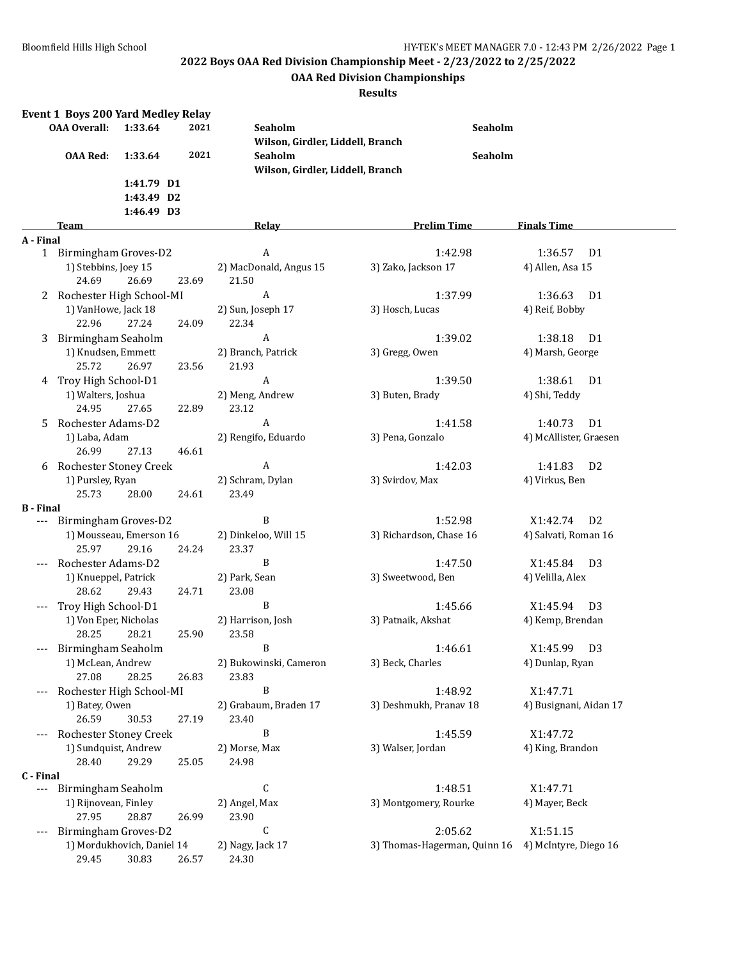## **OAA Red Division Championships**

|                          | <b>Event 1 Boys 200 Yard Medley Relay</b><br><b>OAA Overall:</b> | 1:33.64    | 2021  | Seaholm                          | Seaholm                      |                                            |
|--------------------------|------------------------------------------------------------------|------------|-------|----------------------------------|------------------------------|--------------------------------------------|
|                          |                                                                  |            |       | Wilson, Girdler, Liddell, Branch |                              |                                            |
|                          | <b>OAA Red:</b>                                                  | 1:33.64    | 2021  | Seaholm                          | Seaholm                      |                                            |
|                          |                                                                  |            |       | Wilson, Girdler, Liddell, Branch |                              |                                            |
|                          |                                                                  | 1:41.79 D1 |       |                                  |                              |                                            |
|                          |                                                                  | 1:43.49 D2 |       |                                  |                              |                                            |
|                          |                                                                  | 1:46.49 D3 |       |                                  |                              |                                            |
|                          | Team                                                             |            |       | <b>Relay</b>                     | <b>Prelim Time</b>           | <b>Finals Time</b>                         |
| A - Final                |                                                                  |            |       |                                  |                              |                                            |
|                          | 1 Birmingham Groves-D2                                           |            |       | A                                | 1:42.98                      | 1:36.57<br>D1                              |
|                          | 1) Stebbins, Joey 15                                             |            |       | 2) MacDonald, Angus 15           | 3) Zako, Jackson 17          | 4) Allen, Asa 15                           |
|                          | 24.69                                                            | 26.69      | 23.69 | 21.50                            |                              |                                            |
|                          | 2 Rochester High School-MI                                       |            |       | A                                | 1:37.99                      | 1:36.63<br>D1                              |
|                          | 1) VanHowe, Jack 18                                              |            |       | 2) Sun, Joseph 17                | 3) Hosch, Lucas              | 4) Reif, Bobby                             |
|                          | 22.96                                                            | 27.24      | 24.09 | 22.34                            |                              |                                            |
| 3                        | Birmingham Seaholm                                               |            |       | A                                | 1:39.02                      | 1:38.18<br>D1                              |
|                          | 1) Knudsen, Emmett                                               |            |       | 2) Branch, Patrick               | 3) Gregg, Owen               | 4) Marsh, George                           |
|                          | 25.72                                                            | 26.97      | 23.56 | 21.93                            |                              |                                            |
| 4                        | Troy High School-D1<br>1) Walters, Joshua                        |            |       | A                                | 1:39.50                      | 1:38.61<br>D <sub>1</sub><br>4) Shi, Teddy |
|                          | 24.95                                                            | 27.65      | 22.89 | 2) Meng, Andrew<br>23.12         | 3) Buten, Brady              |                                            |
| 5.                       | Rochester Adams-D2                                               |            |       | A                                | 1:41.58                      | 1:40.73<br>D1                              |
|                          | 1) Laba, Adam                                                    |            |       | 2) Rengifo, Eduardo              | 3) Pena, Gonzalo             | 4) McAllister, Graesen                     |
|                          | 26.99                                                            | 27.13      | 46.61 |                                  |                              |                                            |
|                          | 6 Rochester Stoney Creek                                         |            |       | $\boldsymbol{A}$                 | 1:42.03                      | 1:41.83<br>D <sub>2</sub>                  |
|                          | 1) Pursley, Ryan                                                 |            |       | 2) Schram, Dylan                 | 3) Svirdov, Max              | 4) Virkus, Ben                             |
|                          | 25.73                                                            | 28.00      | 24.61 | 23.49                            |                              |                                            |
| <b>B</b> - Final         |                                                                  |            |       |                                  |                              |                                            |
|                          | --- Birmingham Groves-D2                                         |            |       | B                                | 1:52.98                      | X1:42.74<br>D <sub>2</sub>                 |
|                          | 1) Mousseau, Emerson 16                                          |            |       | 2) Dinkeloo, Will 15             | 3) Richardson, Chase 16      | 4) Salvati, Roman 16                       |
|                          | 25.97                                                            | 29.16      | 24.24 | 23.37                            |                              |                                            |
|                          | Rochester Adams-D2                                               |            |       | B                                | 1:47.50                      | X1:45.84<br>D3                             |
|                          | 1) Knueppel, Patrick                                             |            |       | 2) Park, Sean                    | 3) Sweetwood, Ben            | 4) Velilla, Alex                           |
|                          | 28.62                                                            | 29.43      | 24.71 | 23.08                            |                              |                                            |
|                          | Troy High School-D1                                              |            |       | B                                | 1:45.66                      | X1:45.94<br>D <sub>3</sub>                 |
|                          | 1) Von Eper, Nicholas                                            |            |       | 2) Harrison, Josh                | 3) Patnaik, Akshat           | 4) Kemp, Brendan                           |
|                          | 28.25<br>Birmingham Seaholm                                      | 28.21      | 25.90 | 23.58<br><sup>B</sup>            |                              |                                            |
|                          | 1) McLean, Andrew                                                |            |       |                                  | 1:46.61<br>3) Beck, Charles  | X1:45.99 D3                                |
|                          | 27.08                                                            | 28.25      | 26.83 | 2) Bukowinski, Cameron<br>23.83  |                              | 4) Dunlap, Ryan                            |
|                          | Rochester High School-MI                                         |            |       | B                                | 1:48.92                      | X1:47.71                                   |
|                          | 1) Batey, Owen                                                   |            |       | 2) Grabaum, Braden 17            | 3) Deshmukh, Pranav 18       | 4) Busignani, Aidan 17                     |
|                          | 26.59                                                            | 30.53      | 27.19 | 23.40                            |                              |                                            |
|                          | Rochester Stoney Creek                                           |            |       | B                                | 1:45.59                      | X1:47.72                                   |
|                          | 1) Sundquist, Andrew                                             |            |       | 2) Morse, Max                    | 3) Walser, Jordan            | 4) King, Brandon                           |
|                          | 28.40                                                            | 29.29      | 25.05 | 24.98                            |                              |                                            |
| C - Final                |                                                                  |            |       |                                  |                              |                                            |
| $\hspace{0.05cm} \ldots$ | Birmingham Seaholm                                               |            |       | С                                | 1:48.51                      | X1:47.71                                   |
|                          | 1) Rijnovean, Finley                                             |            |       | 2) Angel, Max                    | 3) Montgomery, Rourke        | 4) Mayer, Beck                             |
|                          | 27.95                                                            | 28.87      | 26.99 | 23.90                            |                              |                                            |
| ---                      | Birmingham Groves-D2                                             |            |       | C                                | 2:05.62                      | X1:51.15                                   |
|                          | 1) Mordukhovich, Daniel 14                                       |            |       | 2) Nagy, Jack 17                 | 3) Thomas-Hagerman, Quinn 16 | 4) McIntyre, Diego 16                      |
|                          | 29.45                                                            | 30.83      | 26.57 | 24.30                            |                              |                                            |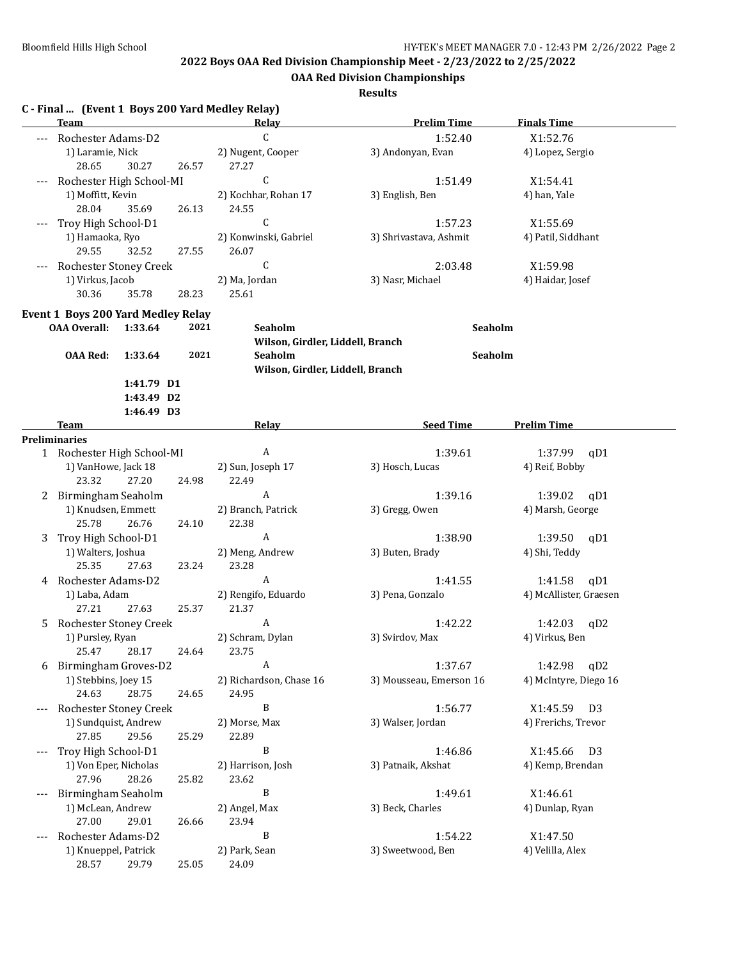**OAA Red Division Championships**

|    | <b>Team</b>                                               |                                        |       | C - Final  (Event 1 Boys 200 Yard Medley Relay)<br>Relay | <b>Prelim Time</b>      | <b>Finals Time</b>         |
|----|-----------------------------------------------------------|----------------------------------------|-------|----------------------------------------------------------|-------------------------|----------------------------|
|    | Rochester Adams-D2                                        |                                        |       | C                                                        | 1:52.40                 | X1:52.76                   |
|    | 1) Laramie, Nick<br>28.65                                 | 30.27                                  | 26.57 | 2) Nugent, Cooper<br>27.27                               | 3) Andonyan, Evan       | 4) Lopez, Sergio           |
|    | Rochester High School-MI                                  |                                        |       | $\mathsf{C}$                                             | 1:51.49                 | X1:54.41                   |
|    | 1) Moffitt, Kevin<br>28.04                                | 35.69                                  | 26.13 | 2) Kochhar, Rohan 17<br>24.55                            | 3) English, Ben         | 4) han, Yale               |
|    | Troy High School-D1                                       |                                        |       | $\mathsf{C}$                                             | 1:57.23                 | X1:55.69                   |
|    | 1) Hamaoka, Ryo<br>29.55                                  | 32.52                                  | 27.55 | 2) Konwinski, Gabriel<br>26.07                           | 3) Shrivastava, Ashmit  | 4) Patil, Siddhant         |
|    | Rochester Stoney Creek                                    |                                        |       | C                                                        | 2:03.48                 | X1:59.98                   |
|    | 1) Virkus, Jacob<br>30.36                                 | 35.78                                  | 28.23 | 2) Ma, Jordan<br>25.61                                   | 3) Nasr, Michael        | 4) Haidar, Josef           |
|    |                                                           |                                        |       |                                                          |                         |                            |
|    | Event 1 Boys 200 Yard Medley Relay<br><b>OAA Overall:</b> | 1:33.64                                | 2021  | Seaholm<br>Wilson, Girdler, Liddell, Branch              | Seaholm                 |                            |
|    | <b>OAA Red:</b>                                           | 1:33.64                                | 2021  | Seaholm                                                  | Seaholm                 |                            |
|    |                                                           |                                        |       | Wilson, Girdler, Liddell, Branch                         |                         |                            |
|    |                                                           | 1:41.79 D1<br>1:43.49 D2<br>1:46.49 D3 |       |                                                          |                         |                            |
|    | Team                                                      |                                        |       | Relay                                                    | <b>Seed Time</b>        | <b>Prelim Time</b>         |
|    | <b>Preliminaries</b>                                      |                                        |       |                                                          |                         |                            |
|    | 1 Rochester High School-MI                                |                                        |       | A                                                        | 1:39.61                 | 1:37.99<br>qD1             |
|    | 1) VanHowe, Jack 18<br>23.32                              | 27.20                                  | 24.98 | 2) Sun, Joseph 17<br>22.49                               | 3) Hosch, Lucas         | 4) Reif, Bobby             |
| 2  | Birmingham Seaholm                                        |                                        |       | A                                                        | 1:39.16                 | 1:39.02<br>qD1             |
|    | 1) Knudsen, Emmett<br>25.78                               | 26.76                                  | 24.10 | 2) Branch, Patrick<br>22.38                              | 3) Gregg, Owen          | 4) Marsh, George           |
| 3  | Troy High School-D1                                       |                                        |       | A                                                        | 1:38.90                 | 1:39.50<br>qD1             |
|    | 1) Walters, Joshua<br>25.35                               | 27.63                                  | 23.24 | 2) Meng, Andrew<br>23.28                                 | 3) Buten, Brady         | 4) Shi, Teddy              |
| 4  | Rochester Adams-D2                                        |                                        |       | A                                                        | 1:41.55                 | 1:41.58<br>qD1             |
|    | 1) Laba, Adam<br>27.21                                    | 27.63                                  | 25.37 | 2) Rengifo, Eduardo<br>21.37                             | 3) Pena, Gonzalo        | 4) McAllister, Graesen     |
| 5. | Rochester Stoney Creek                                    |                                        |       | A                                                        | 1:42.22                 | 1:42.03<br>qD2             |
|    | 1) Pursley, Ryan<br>25.47                                 | 28.17                                  | 24.64 | 2) Schram, Dylan<br>23.75                                | 3) Svirdov, Max         | 4) Virkus, Ben             |
| 6  | Birmingham Groves-D2                                      |                                        |       | Α                                                        | 1:37.67                 | qD2<br>1:42.98             |
|    | 1) Stebbins, Joey 15<br>24.63                             | 28.75                                  | 24.65 | 2) Richardson, Chase 16<br>24.95                         | 3) Mousseau, Emerson 16 | 4) McIntyre, Diego 16      |
|    | Rochester Stoney Creek                                    |                                        |       | $\, {\bf B}$                                             | 1:56.77                 | X1:45.59<br>D <sub>3</sub> |
|    | 1) Sundquist, Andrew<br>27.85                             | 29.56                                  | 25.29 | 2) Morse, Max<br>22.89                                   | 3) Walser, Jordan       | 4) Frerichs, Trevor        |
|    | Troy High School-D1                                       |                                        |       | B                                                        | 1:46.86                 | X1:45.66<br>D <sub>3</sub> |
|    | 1) Von Eper, Nicholas<br>27.96                            | 28.26                                  | 25.82 | 2) Harrison, Josh<br>23.62                               | 3) Patnaik, Akshat      | 4) Kemp, Brendan           |
|    | Birmingham Seaholm                                        |                                        |       | B                                                        | 1:49.61                 | X1:46.61                   |
|    | 1) McLean, Andrew<br>27.00                                | 29.01                                  | 26.66 | 2) Angel, Max<br>23.94                                   | 3) Beck, Charles        | 4) Dunlap, Ryan            |
|    | Rochester Adams-D2                                        |                                        |       | B                                                        | 1:54.22                 | X1:47.50                   |
|    | 1) Knueppel, Patrick<br>28.57                             | 29.79                                  | 25.05 | 2) Park, Sean<br>24.09                                   | 3) Sweetwood, Ben       | 4) Velilla, Alex           |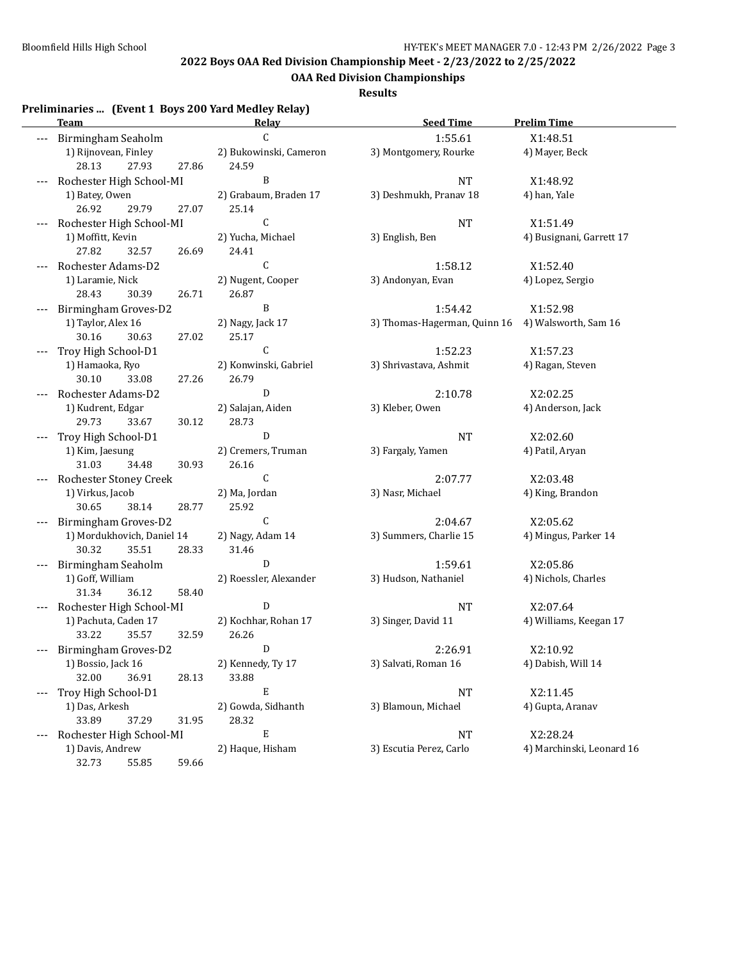**OAA Red Division Championships**

**Results**

## **Preliminaries ... (Event 1 Boys 200 Yard Medley Relay)**

|     | <b>Team</b>                                      | <u>Relav</u>           | <b>Seed Time</b>                                  | <b>Prelim Time</b>                 |
|-----|--------------------------------------------------|------------------------|---------------------------------------------------|------------------------------------|
| --- | Birmingham Seaholm                               | C                      | 1:55.61                                           | X1:48.51                           |
|     | 1) Rijnovean, Finley                             | 2) Bukowinski, Cameron | 3) Montgomery, Rourke                             | 4) Mayer, Beck                     |
|     | 27.93<br>28.13<br>27.86                          | 24.59                  |                                                   |                                    |
|     | Rochester High School-MI                         | B                      | <b>NT</b>                                         | X1:48.92                           |
|     | 1) Batey, Owen                                   | 2) Grabaum, Braden 17  | 3) Deshmukh, Pranav 18                            | 4) han, Yale                       |
|     | 26.92<br>29.79<br>27.07                          | 25.14                  |                                                   |                                    |
|     | Rochester High School-MI                         | C                      | <b>NT</b>                                         | X1:51.49                           |
|     | 1) Moffitt, Kevin                                | 2) Yucha, Michael      | 3) English, Ben                                   | 4) Busignani, Garrett 17           |
|     | 27.82<br>32.57<br>26.69                          | 24.41                  |                                                   |                                    |
|     | Rochester Adams-D2                               | C                      | 1:58.12                                           | X1:52.40                           |
|     | 1) Laramie, Nick                                 | 2) Nugent, Cooper      | 3) Andonyan, Evan                                 | 4) Lopez, Sergio                   |
|     | 28.43<br>30.39<br>26.71                          | 26.87                  |                                                   |                                    |
|     | Birmingham Groves-D2                             | B                      | 1:54.42                                           | X1:52.98                           |
|     | 1) Taylor, Alex 16                               | 2) Nagy, Jack 17       | 3) Thomas-Hagerman, Quinn 16 4) Walsworth, Sam 16 |                                    |
|     | 30.16<br>30.63<br>27.02                          | 25.17                  |                                                   |                                    |
|     | Troy High School-D1                              | $\mathsf{C}$           | 1:52.23                                           | X1:57.23                           |
|     | 1) Hamaoka, Ryo                                  | 2) Konwinski, Gabriel  | 3) Shrivastava, Ashmit                            | 4) Ragan, Steven                   |
|     | 30.10<br>33.08<br>27.26                          | 26.79                  |                                                   |                                    |
|     | Rochester Adams-D2                               | D                      | 2:10.78                                           | X2:02.25                           |
|     | 1) Kudrent, Edgar                                | 2) Salajan, Aiden      | 3) Kleber, Owen                                   | 4) Anderson, Jack                  |
|     | 29.73<br>33.67<br>30.12                          | 28.73                  |                                                   |                                    |
|     | Troy High School-D1                              | $\mathbf D$            | <b>NT</b>                                         | X2:02.60                           |
|     | 1) Kim, Jaesung                                  | 2) Cremers, Truman     | 3) Fargaly, Yamen                                 | 4) Patil, Aryan                    |
|     | 31.03<br>34.48<br>30.93                          | 26.16                  |                                                   |                                    |
|     | Rochester Stoney Creek                           | C                      | 2:07.77                                           | X2:03.48                           |
|     | 1) Virkus, Jacob                                 | 2) Ma, Jordan          | 3) Nasr, Michael                                  | 4) King, Brandon                   |
|     | 30.65<br>38.14<br>28.77                          | 25.92                  |                                                   |                                    |
|     | Birmingham Groves-D2                             | C                      | 2:04.67                                           | X2:05.62                           |
|     | 1) Mordukhovich, Daniel 14                       | 2) Nagy, Adam 14       | 3) Summers, Charlie 15                            | 4) Mingus, Parker 14               |
|     | 30.32<br>35.51<br>28.33                          | 31.46<br>D             |                                                   |                                    |
|     | Birmingham Seaholm                               |                        | 1:59.61                                           | X2:05.86                           |
|     | 1) Goff, William<br>31.34<br>36.12<br>58.40      | 2) Roessler, Alexander | 3) Hudson, Nathaniel                              | 4) Nichols, Charles                |
|     |                                                  | $\mathbf D$            |                                                   |                                    |
|     | Rochester High School-MI<br>1) Pachuta, Caden 17 | 2) Kochhar, Rohan 17   | <b>NT</b><br>3) Singer, David 11                  | X2:07.64<br>4) Williams, Keegan 17 |
|     | 33.22<br>35.57<br>32.59                          | 26.26                  |                                                   |                                    |
|     | Birmingham Groves-D2                             | D                      | 2:26.91                                           | X2:10.92                           |
|     | 1) Bossio, Jack 16                               | 2) Kennedy, Ty 17      | 3) Salvati, Roman 16                              | 4) Dabish, Will 14                 |
|     | 32.00<br>36.91<br>28.13                          | 33.88                  |                                                   |                                    |
|     | Troy High School-D1                              | E                      | $\rm{NT}$                                         | X2:11.45                           |
|     | 1) Das, Arkesh                                   | 2) Gowda, Sidhanth     | 3) Blamoun, Michael                               | 4) Gupta, Aranav                   |
|     | 33.89<br>37.29<br>31.95                          | 28.32                  |                                                   |                                    |
| --- | Rochester High School-MI                         | E                      | <b>NT</b>                                         | X2:28.24                           |
|     | 1) Davis, Andrew                                 | 2) Haque, Hisham       | 3) Escutia Perez, Carlo                           | 4) Marchinski, Leonard 16          |
|     | 32.73<br>59.66<br>55.85                          |                        |                                                   |                                    |
|     |                                                  |                        |                                                   |                                    |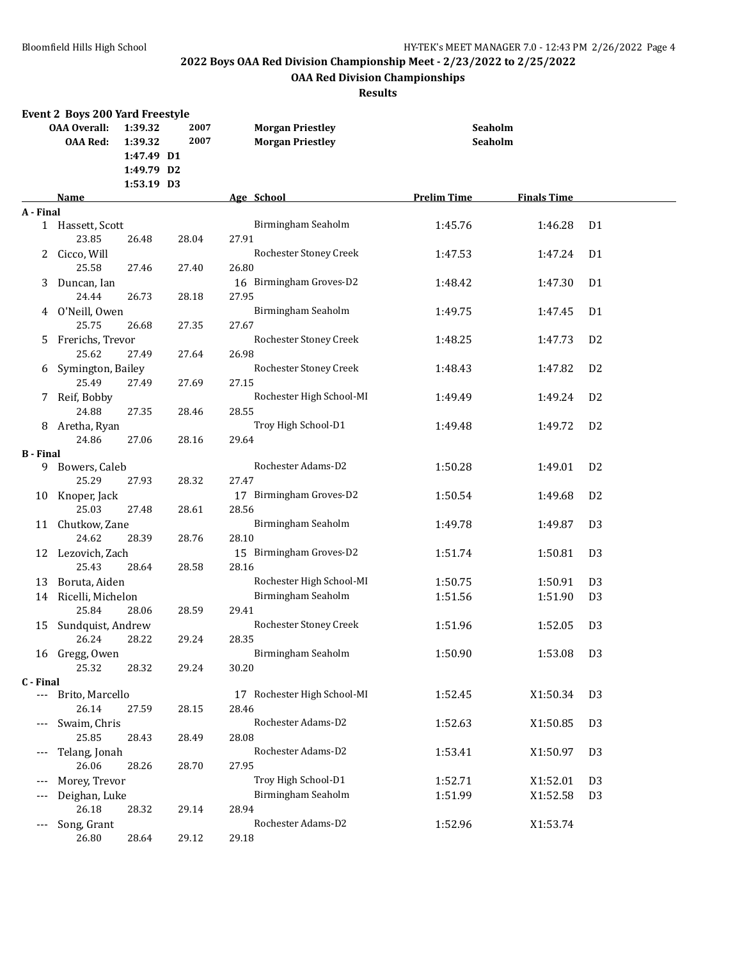## **OAA Red Division Championships**

|                          | <b>OAA Overall:</b><br><b>OAA Red:</b>                                                                                                                                                                                                                                                                                                                                                                                                                                                                                                                                                                                                                                                                                                                                                                                                                                                                                                                                                                                                                                                                                                                                                                                                                                                                                                                                                                                                                                                                                                                                                                                                                                                                                                                                                                                                                                                                                                                                                                                                                                                                                                                                                                                                                                                                                                                                                                                                                                                                                                                                                                                                                                                                                                                                       | 1:39.32<br>1:39.32 | 2007<br>2007 | <b>Morgan Priestley</b><br><b>Morgan Priestley</b> |  |  |  |
|--------------------------|------------------------------------------------------------------------------------------------------------------------------------------------------------------------------------------------------------------------------------------------------------------------------------------------------------------------------------------------------------------------------------------------------------------------------------------------------------------------------------------------------------------------------------------------------------------------------------------------------------------------------------------------------------------------------------------------------------------------------------------------------------------------------------------------------------------------------------------------------------------------------------------------------------------------------------------------------------------------------------------------------------------------------------------------------------------------------------------------------------------------------------------------------------------------------------------------------------------------------------------------------------------------------------------------------------------------------------------------------------------------------------------------------------------------------------------------------------------------------------------------------------------------------------------------------------------------------------------------------------------------------------------------------------------------------------------------------------------------------------------------------------------------------------------------------------------------------------------------------------------------------------------------------------------------------------------------------------------------------------------------------------------------------------------------------------------------------------------------------------------------------------------------------------------------------------------------------------------------------------------------------------------------------------------------------------------------------------------------------------------------------------------------------------------------------------------------------------------------------------------------------------------------------------------------------------------------------------------------------------------------------------------------------------------------------------------------------------------------------------------------------------------------------|--------------------|--------------|----------------------------------------------------|--|--|--|
|                          |                                                                                                                                                                                                                                                                                                                                                                                                                                                                                                                                                                                                                                                                                                                                                                                                                                                                                                                                                                                                                                                                                                                                                                                                                                                                                                                                                                                                                                                                                                                                                                                                                                                                                                                                                                                                                                                                                                                                                                                                                                                                                                                                                                                                                                                                                                                                                                                                                                                                                                                                                                                                                                                                                                                                                                              |                    |              |                                                    |  |  |  |
|                          |                                                                                                                                                                                                                                                                                                                                                                                                                                                                                                                                                                                                                                                                                                                                                                                                                                                                                                                                                                                                                                                                                                                                                                                                                                                                                                                                                                                                                                                                                                                                                                                                                                                                                                                                                                                                                                                                                                                                                                                                                                                                                                                                                                                                                                                                                                                                                                                                                                                                                                                                                                                                                                                                                                                                                                              |                    |              |                                                    |  |  |  |
|                          | <b>Event 2 Boys 200 Yard Freestyle</b><br><b>Seaholm</b><br>Seaholm<br>1:47.49 D1<br>1:49.79 D2<br>1:53.19 D3<br>Age School<br><b>Prelim Time</b><br><b>Finals Time</b><br>Name<br>Birmingham Seaholm<br>D <sub>1</sub><br>1 Hassett, Scott<br>1:45.76<br>1:46.28<br>23.85<br>27.91<br>26.48<br>28.04<br>Rochester Stoney Creek<br>Cicco, Will<br>D <sub>1</sub><br>1:47.53<br>1:47.24<br>25.58<br>26.80<br>27.46<br>27.40<br>16 Birmingham Groves-D2<br>1:47.30<br>D <sub>1</sub><br>Duncan, Ian<br>1:48.42<br>24.44<br>26.73<br>27.95<br>28.18<br>Birmingham Seaholm<br>4 O'Neill, Owen<br>1:49.75<br>1:47.45<br>D <sub>1</sub><br>25.75<br>26.68<br>27.35<br>27.67<br>Frerichs, Trevor<br>Rochester Stoney Creek<br>D <sub>2</sub><br>1:48.25<br>1:47.73<br>25.62<br>27.64<br>26.98<br>27.49<br>Rochester Stoney Creek<br>D <sub>2</sub><br>Symington, Bailey<br>1:48.43<br>1:47.82<br>25.49<br>27.49<br>27.15<br>27.69<br>Rochester High School-MI<br>7 Reif, Bobby<br>1:49.24<br>D <sub>2</sub><br>1:49.49<br>24.88<br>27.35<br>28.55<br>28.46<br>Troy High School-D1<br>D <sub>2</sub><br>Aretha, Ryan<br>1:49.48<br>1:49.72<br>24.86<br>27.06<br>29.64<br>28.16<br>Rochester Adams-D2<br>Bowers, Caleb<br>1:50.28<br>1:49.01<br>D <sub>2</sub><br>25.29<br>27.93<br>28.32<br>27.47<br>17 Birmingham Groves-D2<br>D <sub>2</sub><br>1:50.54<br>1:49.68<br>25.03<br>28.56<br>27.48<br>28.61<br>Birmingham Seaholm<br>11 Chutkow, Zane<br>D <sub>3</sub><br>1:49.78<br>1:49.87<br>24.62<br>28.10<br>28.39<br>28.76<br>15 Birmingham Groves-D2<br>D <sub>3</sub><br>12 Lezovich, Zach<br>1:51.74<br>1:50.81<br>25.43<br>28.16<br>28.64<br>28.58<br>Rochester High School-MI<br>Boruta, Aiden<br>1:50.75<br>1:50.91<br>D <sub>3</sub><br>Birmingham Seaholm<br>Ricelli, Michelon<br>D <sub>3</sub><br>1:51.56<br>1:51.90<br>25.84<br>28.06<br>28.59<br>29.41<br>Rochester Stoney Creek<br>Sundquist, Andrew<br>1:51.96<br>1:52.05<br>D <sub>3</sub><br>28.22<br>29.24<br>28.35<br>26.24<br>16 Gregg, Owen<br>Birmingham Seaholm<br>1:50.90<br>1:53.08<br>D3<br>25.32<br>30.20<br>28.32<br>29.24<br>17 Rochester High School-MI<br>Brito, Marcello<br>1:52.45<br>X1:50.34<br>D <sub>3</sub><br>26.14<br>27.59<br>28.15<br>28.46<br>Rochester Adams-D2<br>Swaim, Chris<br>1:52.63<br>X1:50.85<br>D <sub>3</sub><br>25.85<br>28.08<br>28.43<br>28.49<br>Rochester Adams-D2<br>Telang, Jonah<br>1:53.41<br>X1:50.97<br>D <sub>3</sub><br>26.06<br>28.26<br>28.70<br>27.95<br>Troy High School-D1<br>1:52.71<br>X1:52.01<br>Morey, Trevor<br>D <sub>3</sub><br>Birmingham Seaholm<br>Deighan, Luke<br>1:51.99<br>X1:52.58<br>D <sub>3</sub><br>26.18<br>28.32<br>29.14<br>28.94<br>Rochester Adams-D2<br>Song, Grant<br>1:52.96<br>X1:53.74<br>29.18<br>26.80<br>28.64<br>29.12 |                    |              |                                                    |  |  |  |
| A - Final                |                                                                                                                                                                                                                                                                                                                                                                                                                                                                                                                                                                                                                                                                                                                                                                                                                                                                                                                                                                                                                                                                                                                                                                                                                                                                                                                                                                                                                                                                                                                                                                                                                                                                                                                                                                                                                                                                                                                                                                                                                                                                                                                                                                                                                                                                                                                                                                                                                                                                                                                                                                                                                                                                                                                                                                              |                    |              |                                                    |  |  |  |
|                          |                                                                                                                                                                                                                                                                                                                                                                                                                                                                                                                                                                                                                                                                                                                                                                                                                                                                                                                                                                                                                                                                                                                                                                                                                                                                                                                                                                                                                                                                                                                                                                                                                                                                                                                                                                                                                                                                                                                                                                                                                                                                                                                                                                                                                                                                                                                                                                                                                                                                                                                                                                                                                                                                                                                                                                              |                    |              |                                                    |  |  |  |
|                          |                                                                                                                                                                                                                                                                                                                                                                                                                                                                                                                                                                                                                                                                                                                                                                                                                                                                                                                                                                                                                                                                                                                                                                                                                                                                                                                                                                                                                                                                                                                                                                                                                                                                                                                                                                                                                                                                                                                                                                                                                                                                                                                                                                                                                                                                                                                                                                                                                                                                                                                                                                                                                                                                                                                                                                              |                    |              |                                                    |  |  |  |
| 2                        |                                                                                                                                                                                                                                                                                                                                                                                                                                                                                                                                                                                                                                                                                                                                                                                                                                                                                                                                                                                                                                                                                                                                                                                                                                                                                                                                                                                                                                                                                                                                                                                                                                                                                                                                                                                                                                                                                                                                                                                                                                                                                                                                                                                                                                                                                                                                                                                                                                                                                                                                                                                                                                                                                                                                                                              |                    |              |                                                    |  |  |  |
|                          |                                                                                                                                                                                                                                                                                                                                                                                                                                                                                                                                                                                                                                                                                                                                                                                                                                                                                                                                                                                                                                                                                                                                                                                                                                                                                                                                                                                                                                                                                                                                                                                                                                                                                                                                                                                                                                                                                                                                                                                                                                                                                                                                                                                                                                                                                                                                                                                                                                                                                                                                                                                                                                                                                                                                                                              |                    |              |                                                    |  |  |  |
| 3                        |                                                                                                                                                                                                                                                                                                                                                                                                                                                                                                                                                                                                                                                                                                                                                                                                                                                                                                                                                                                                                                                                                                                                                                                                                                                                                                                                                                                                                                                                                                                                                                                                                                                                                                                                                                                                                                                                                                                                                                                                                                                                                                                                                                                                                                                                                                                                                                                                                                                                                                                                                                                                                                                                                                                                                                              |                    |              |                                                    |  |  |  |
|                          |                                                                                                                                                                                                                                                                                                                                                                                                                                                                                                                                                                                                                                                                                                                                                                                                                                                                                                                                                                                                                                                                                                                                                                                                                                                                                                                                                                                                                                                                                                                                                                                                                                                                                                                                                                                                                                                                                                                                                                                                                                                                                                                                                                                                                                                                                                                                                                                                                                                                                                                                                                                                                                                                                                                                                                              |                    |              |                                                    |  |  |  |
|                          |                                                                                                                                                                                                                                                                                                                                                                                                                                                                                                                                                                                                                                                                                                                                                                                                                                                                                                                                                                                                                                                                                                                                                                                                                                                                                                                                                                                                                                                                                                                                                                                                                                                                                                                                                                                                                                                                                                                                                                                                                                                                                                                                                                                                                                                                                                                                                                                                                                                                                                                                                                                                                                                                                                                                                                              |                    |              |                                                    |  |  |  |
|                          |                                                                                                                                                                                                                                                                                                                                                                                                                                                                                                                                                                                                                                                                                                                                                                                                                                                                                                                                                                                                                                                                                                                                                                                                                                                                                                                                                                                                                                                                                                                                                                                                                                                                                                                                                                                                                                                                                                                                                                                                                                                                                                                                                                                                                                                                                                                                                                                                                                                                                                                                                                                                                                                                                                                                                                              |                    |              |                                                    |  |  |  |
| 5                        |                                                                                                                                                                                                                                                                                                                                                                                                                                                                                                                                                                                                                                                                                                                                                                                                                                                                                                                                                                                                                                                                                                                                                                                                                                                                                                                                                                                                                                                                                                                                                                                                                                                                                                                                                                                                                                                                                                                                                                                                                                                                                                                                                                                                                                                                                                                                                                                                                                                                                                                                                                                                                                                                                                                                                                              |                    |              |                                                    |  |  |  |
|                          |                                                                                                                                                                                                                                                                                                                                                                                                                                                                                                                                                                                                                                                                                                                                                                                                                                                                                                                                                                                                                                                                                                                                                                                                                                                                                                                                                                                                                                                                                                                                                                                                                                                                                                                                                                                                                                                                                                                                                                                                                                                                                                                                                                                                                                                                                                                                                                                                                                                                                                                                                                                                                                                                                                                                                                              |                    |              |                                                    |  |  |  |
| 6                        |                                                                                                                                                                                                                                                                                                                                                                                                                                                                                                                                                                                                                                                                                                                                                                                                                                                                                                                                                                                                                                                                                                                                                                                                                                                                                                                                                                                                                                                                                                                                                                                                                                                                                                                                                                                                                                                                                                                                                                                                                                                                                                                                                                                                                                                                                                                                                                                                                                                                                                                                                                                                                                                                                                                                                                              |                    |              |                                                    |  |  |  |
|                          |                                                                                                                                                                                                                                                                                                                                                                                                                                                                                                                                                                                                                                                                                                                                                                                                                                                                                                                                                                                                                                                                                                                                                                                                                                                                                                                                                                                                                                                                                                                                                                                                                                                                                                                                                                                                                                                                                                                                                                                                                                                                                                                                                                                                                                                                                                                                                                                                                                                                                                                                                                                                                                                                                                                                                                              |                    |              |                                                    |  |  |  |
|                          |                                                                                                                                                                                                                                                                                                                                                                                                                                                                                                                                                                                                                                                                                                                                                                                                                                                                                                                                                                                                                                                                                                                                                                                                                                                                                                                                                                                                                                                                                                                                                                                                                                                                                                                                                                                                                                                                                                                                                                                                                                                                                                                                                                                                                                                                                                                                                                                                                                                                                                                                                                                                                                                                                                                                                                              |                    |              |                                                    |  |  |  |
| 8                        |                                                                                                                                                                                                                                                                                                                                                                                                                                                                                                                                                                                                                                                                                                                                                                                                                                                                                                                                                                                                                                                                                                                                                                                                                                                                                                                                                                                                                                                                                                                                                                                                                                                                                                                                                                                                                                                                                                                                                                                                                                                                                                                                                                                                                                                                                                                                                                                                                                                                                                                                                                                                                                                                                                                                                                              |                    |              |                                                    |  |  |  |
|                          |                                                                                                                                                                                                                                                                                                                                                                                                                                                                                                                                                                                                                                                                                                                                                                                                                                                                                                                                                                                                                                                                                                                                                                                                                                                                                                                                                                                                                                                                                                                                                                                                                                                                                                                                                                                                                                                                                                                                                                                                                                                                                                                                                                                                                                                                                                                                                                                                                                                                                                                                                                                                                                                                                                                                                                              |                    |              |                                                    |  |  |  |
| <b>B</b> - Final         |                                                                                                                                                                                                                                                                                                                                                                                                                                                                                                                                                                                                                                                                                                                                                                                                                                                                                                                                                                                                                                                                                                                                                                                                                                                                                                                                                                                                                                                                                                                                                                                                                                                                                                                                                                                                                                                                                                                                                                                                                                                                                                                                                                                                                                                                                                                                                                                                                                                                                                                                                                                                                                                                                                                                                                              |                    |              |                                                    |  |  |  |
| 9.                       |                                                                                                                                                                                                                                                                                                                                                                                                                                                                                                                                                                                                                                                                                                                                                                                                                                                                                                                                                                                                                                                                                                                                                                                                                                                                                                                                                                                                                                                                                                                                                                                                                                                                                                                                                                                                                                                                                                                                                                                                                                                                                                                                                                                                                                                                                                                                                                                                                                                                                                                                                                                                                                                                                                                                                                              |                    |              |                                                    |  |  |  |
|                          |                                                                                                                                                                                                                                                                                                                                                                                                                                                                                                                                                                                                                                                                                                                                                                                                                                                                                                                                                                                                                                                                                                                                                                                                                                                                                                                                                                                                                                                                                                                                                                                                                                                                                                                                                                                                                                                                                                                                                                                                                                                                                                                                                                                                                                                                                                                                                                                                                                                                                                                                                                                                                                                                                                                                                                              |                    |              |                                                    |  |  |  |
| 10                       | Knoper, Jack                                                                                                                                                                                                                                                                                                                                                                                                                                                                                                                                                                                                                                                                                                                                                                                                                                                                                                                                                                                                                                                                                                                                                                                                                                                                                                                                                                                                                                                                                                                                                                                                                                                                                                                                                                                                                                                                                                                                                                                                                                                                                                                                                                                                                                                                                                                                                                                                                                                                                                                                                                                                                                                                                                                                                                 |                    |              |                                                    |  |  |  |
|                          |                                                                                                                                                                                                                                                                                                                                                                                                                                                                                                                                                                                                                                                                                                                                                                                                                                                                                                                                                                                                                                                                                                                                                                                                                                                                                                                                                                                                                                                                                                                                                                                                                                                                                                                                                                                                                                                                                                                                                                                                                                                                                                                                                                                                                                                                                                                                                                                                                                                                                                                                                                                                                                                                                                                                                                              |                    |              |                                                    |  |  |  |
|                          |                                                                                                                                                                                                                                                                                                                                                                                                                                                                                                                                                                                                                                                                                                                                                                                                                                                                                                                                                                                                                                                                                                                                                                                                                                                                                                                                                                                                                                                                                                                                                                                                                                                                                                                                                                                                                                                                                                                                                                                                                                                                                                                                                                                                                                                                                                                                                                                                                                                                                                                                                                                                                                                                                                                                                                              |                    |              |                                                    |  |  |  |
|                          |                                                                                                                                                                                                                                                                                                                                                                                                                                                                                                                                                                                                                                                                                                                                                                                                                                                                                                                                                                                                                                                                                                                                                                                                                                                                                                                                                                                                                                                                                                                                                                                                                                                                                                                                                                                                                                                                                                                                                                                                                                                                                                                                                                                                                                                                                                                                                                                                                                                                                                                                                                                                                                                                                                                                                                              |                    |              |                                                    |  |  |  |
|                          |                                                                                                                                                                                                                                                                                                                                                                                                                                                                                                                                                                                                                                                                                                                                                                                                                                                                                                                                                                                                                                                                                                                                                                                                                                                                                                                                                                                                                                                                                                                                                                                                                                                                                                                                                                                                                                                                                                                                                                                                                                                                                                                                                                                                                                                                                                                                                                                                                                                                                                                                                                                                                                                                                                                                                                              |                    |              |                                                    |  |  |  |
|                          |                                                                                                                                                                                                                                                                                                                                                                                                                                                                                                                                                                                                                                                                                                                                                                                                                                                                                                                                                                                                                                                                                                                                                                                                                                                                                                                                                                                                                                                                                                                                                                                                                                                                                                                                                                                                                                                                                                                                                                                                                                                                                                                                                                                                                                                                                                                                                                                                                                                                                                                                                                                                                                                                                                                                                                              |                    |              |                                                    |  |  |  |
| 13                       |                                                                                                                                                                                                                                                                                                                                                                                                                                                                                                                                                                                                                                                                                                                                                                                                                                                                                                                                                                                                                                                                                                                                                                                                                                                                                                                                                                                                                                                                                                                                                                                                                                                                                                                                                                                                                                                                                                                                                                                                                                                                                                                                                                                                                                                                                                                                                                                                                                                                                                                                                                                                                                                                                                                                                                              |                    |              |                                                    |  |  |  |
| 14                       |                                                                                                                                                                                                                                                                                                                                                                                                                                                                                                                                                                                                                                                                                                                                                                                                                                                                                                                                                                                                                                                                                                                                                                                                                                                                                                                                                                                                                                                                                                                                                                                                                                                                                                                                                                                                                                                                                                                                                                                                                                                                                                                                                                                                                                                                                                                                                                                                                                                                                                                                                                                                                                                                                                                                                                              |                    |              |                                                    |  |  |  |
|                          |                                                                                                                                                                                                                                                                                                                                                                                                                                                                                                                                                                                                                                                                                                                                                                                                                                                                                                                                                                                                                                                                                                                                                                                                                                                                                                                                                                                                                                                                                                                                                                                                                                                                                                                                                                                                                                                                                                                                                                                                                                                                                                                                                                                                                                                                                                                                                                                                                                                                                                                                                                                                                                                                                                                                                                              |                    |              |                                                    |  |  |  |
| 15                       |                                                                                                                                                                                                                                                                                                                                                                                                                                                                                                                                                                                                                                                                                                                                                                                                                                                                                                                                                                                                                                                                                                                                                                                                                                                                                                                                                                                                                                                                                                                                                                                                                                                                                                                                                                                                                                                                                                                                                                                                                                                                                                                                                                                                                                                                                                                                                                                                                                                                                                                                                                                                                                                                                                                                                                              |                    |              |                                                    |  |  |  |
|                          |                                                                                                                                                                                                                                                                                                                                                                                                                                                                                                                                                                                                                                                                                                                                                                                                                                                                                                                                                                                                                                                                                                                                                                                                                                                                                                                                                                                                                                                                                                                                                                                                                                                                                                                                                                                                                                                                                                                                                                                                                                                                                                                                                                                                                                                                                                                                                                                                                                                                                                                                                                                                                                                                                                                                                                              |                    |              |                                                    |  |  |  |
|                          |                                                                                                                                                                                                                                                                                                                                                                                                                                                                                                                                                                                                                                                                                                                                                                                                                                                                                                                                                                                                                                                                                                                                                                                                                                                                                                                                                                                                                                                                                                                                                                                                                                                                                                                                                                                                                                                                                                                                                                                                                                                                                                                                                                                                                                                                                                                                                                                                                                                                                                                                                                                                                                                                                                                                                                              |                    |              |                                                    |  |  |  |
|                          |                                                                                                                                                                                                                                                                                                                                                                                                                                                                                                                                                                                                                                                                                                                                                                                                                                                                                                                                                                                                                                                                                                                                                                                                                                                                                                                                                                                                                                                                                                                                                                                                                                                                                                                                                                                                                                                                                                                                                                                                                                                                                                                                                                                                                                                                                                                                                                                                                                                                                                                                                                                                                                                                                                                                                                              |                    |              |                                                    |  |  |  |
| C - Final                |                                                                                                                                                                                                                                                                                                                                                                                                                                                                                                                                                                                                                                                                                                                                                                                                                                                                                                                                                                                                                                                                                                                                                                                                                                                                                                                                                                                                                                                                                                                                                                                                                                                                                                                                                                                                                                                                                                                                                                                                                                                                                                                                                                                                                                                                                                                                                                                                                                                                                                                                                                                                                                                                                                                                                                              |                    |              |                                                    |  |  |  |
| $\cdots$                 |                                                                                                                                                                                                                                                                                                                                                                                                                                                                                                                                                                                                                                                                                                                                                                                                                                                                                                                                                                                                                                                                                                                                                                                                                                                                                                                                                                                                                                                                                                                                                                                                                                                                                                                                                                                                                                                                                                                                                                                                                                                                                                                                                                                                                                                                                                                                                                                                                                                                                                                                                                                                                                                                                                                                                                              |                    |              |                                                    |  |  |  |
|                          |                                                                                                                                                                                                                                                                                                                                                                                                                                                                                                                                                                                                                                                                                                                                                                                                                                                                                                                                                                                                                                                                                                                                                                                                                                                                                                                                                                                                                                                                                                                                                                                                                                                                                                                                                                                                                                                                                                                                                                                                                                                                                                                                                                                                                                                                                                                                                                                                                                                                                                                                                                                                                                                                                                                                                                              |                    |              |                                                    |  |  |  |
| $---$                    |                                                                                                                                                                                                                                                                                                                                                                                                                                                                                                                                                                                                                                                                                                                                                                                                                                                                                                                                                                                                                                                                                                                                                                                                                                                                                                                                                                                                                                                                                                                                                                                                                                                                                                                                                                                                                                                                                                                                                                                                                                                                                                                                                                                                                                                                                                                                                                                                                                                                                                                                                                                                                                                                                                                                                                              |                    |              |                                                    |  |  |  |
|                          |                                                                                                                                                                                                                                                                                                                                                                                                                                                                                                                                                                                                                                                                                                                                                                                                                                                                                                                                                                                                                                                                                                                                                                                                                                                                                                                                                                                                                                                                                                                                                                                                                                                                                                                                                                                                                                                                                                                                                                                                                                                                                                                                                                                                                                                                                                                                                                                                                                                                                                                                                                                                                                                                                                                                                                              |                    |              |                                                    |  |  |  |
| $---$                    |                                                                                                                                                                                                                                                                                                                                                                                                                                                                                                                                                                                                                                                                                                                                                                                                                                                                                                                                                                                                                                                                                                                                                                                                                                                                                                                                                                                                                                                                                                                                                                                                                                                                                                                                                                                                                                                                                                                                                                                                                                                                                                                                                                                                                                                                                                                                                                                                                                                                                                                                                                                                                                                                                                                                                                              |                    |              |                                                    |  |  |  |
| $\scriptstyle{\cdots}$ . |                                                                                                                                                                                                                                                                                                                                                                                                                                                                                                                                                                                                                                                                                                                                                                                                                                                                                                                                                                                                                                                                                                                                                                                                                                                                                                                                                                                                                                                                                                                                                                                                                                                                                                                                                                                                                                                                                                                                                                                                                                                                                                                                                                                                                                                                                                                                                                                                                                                                                                                                                                                                                                                                                                                                                                              |                    |              |                                                    |  |  |  |
| $---$                    |                                                                                                                                                                                                                                                                                                                                                                                                                                                                                                                                                                                                                                                                                                                                                                                                                                                                                                                                                                                                                                                                                                                                                                                                                                                                                                                                                                                                                                                                                                                                                                                                                                                                                                                                                                                                                                                                                                                                                                                                                                                                                                                                                                                                                                                                                                                                                                                                                                                                                                                                                                                                                                                                                                                                                                              |                    |              |                                                    |  |  |  |
|                          |                                                                                                                                                                                                                                                                                                                                                                                                                                                                                                                                                                                                                                                                                                                                                                                                                                                                                                                                                                                                                                                                                                                                                                                                                                                                                                                                                                                                                                                                                                                                                                                                                                                                                                                                                                                                                                                                                                                                                                                                                                                                                                                                                                                                                                                                                                                                                                                                                                                                                                                                                                                                                                                                                                                                                                              |                    |              |                                                    |  |  |  |
| $---$                    |                                                                                                                                                                                                                                                                                                                                                                                                                                                                                                                                                                                                                                                                                                                                                                                                                                                                                                                                                                                                                                                                                                                                                                                                                                                                                                                                                                                                                                                                                                                                                                                                                                                                                                                                                                                                                                                                                                                                                                                                                                                                                                                                                                                                                                                                                                                                                                                                                                                                                                                                                                                                                                                                                                                                                                              |                    |              |                                                    |  |  |  |
|                          |                                                                                                                                                                                                                                                                                                                                                                                                                                                                                                                                                                                                                                                                                                                                                                                                                                                                                                                                                                                                                                                                                                                                                                                                                                                                                                                                                                                                                                                                                                                                                                                                                                                                                                                                                                                                                                                                                                                                                                                                                                                                                                                                                                                                                                                                                                                                                                                                                                                                                                                                                                                                                                                                                                                                                                              |                    |              |                                                    |  |  |  |
|                          |                                                                                                                                                                                                                                                                                                                                                                                                                                                                                                                                                                                                                                                                                                                                                                                                                                                                                                                                                                                                                                                                                                                                                                                                                                                                                                                                                                                                                                                                                                                                                                                                                                                                                                                                                                                                                                                                                                                                                                                                                                                                                                                                                                                                                                                                                                                                                                                                                                                                                                                                                                                                                                                                                                                                                                              |                    |              |                                                    |  |  |  |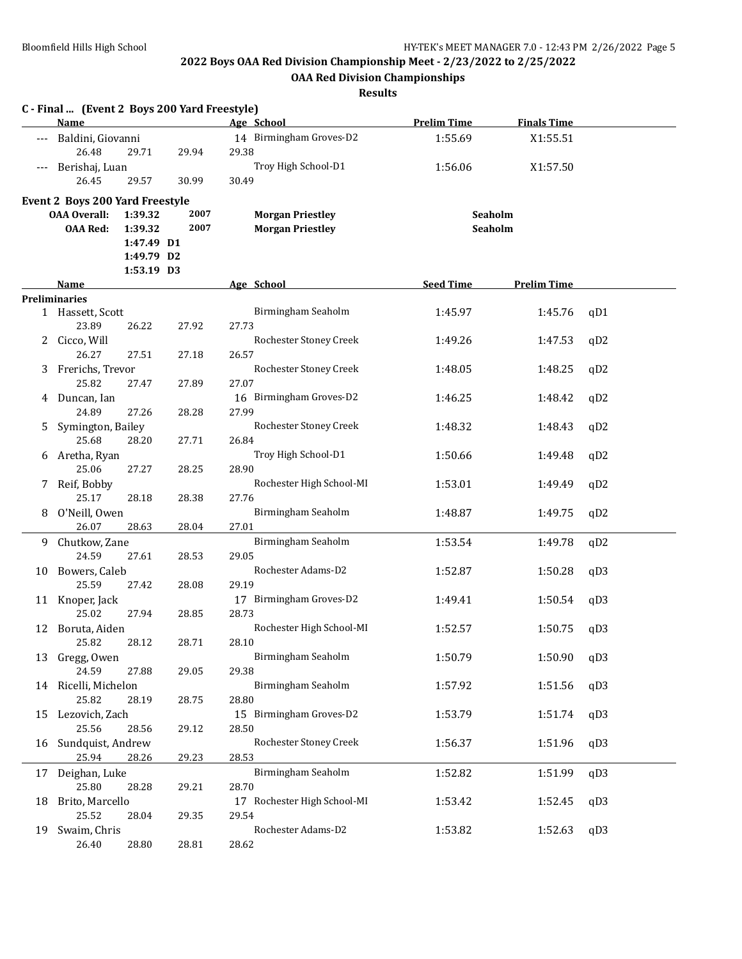**OAA Red Division Championships**

|              | C - Final  (Event 2 Boys 200 Yard Freestyle)<br><b>Name</b> |            |       | Age School                  | <b>Prelim Time</b> | <b>Finals Time</b> |     |
|--------------|-------------------------------------------------------------|------------|-------|-----------------------------|--------------------|--------------------|-----|
|              | --- Baldini, Giovanni                                       |            |       | 14 Birmingham Groves-D2     | 1:55.69            | X1:55.51           |     |
|              | 26.48                                                       | 29.71      | 29.94 | 29.38                       |                    |                    |     |
|              | Berishaj, Luan                                              |            |       | Troy High School-D1         | 1:56.06            | X1:57.50           |     |
|              | 26.45                                                       | 29.57      | 30.99 | 30.49                       |                    |                    |     |
|              | <b>Event 2 Boys 200 Yard Freestyle</b>                      |            |       |                             |                    |                    |     |
|              | <b>OAA Overall:</b>                                         | 1:39.32    | 2007  | <b>Morgan Priestley</b>     | Seaholm            |                    |     |
|              | <b>OAA Red:</b>                                             | 1:39.32    | 2007  | <b>Morgan Priestley</b>     | Seaholm            |                    |     |
|              |                                                             | 1:47.49 D1 |       |                             |                    |                    |     |
|              |                                                             | 1:49.79 D2 |       |                             |                    |                    |     |
|              |                                                             | 1:53.19 D3 |       |                             |                    |                    |     |
|              | <b>Name</b>                                                 |            |       | Age School                  | <b>Seed Time</b>   | <b>Prelim Time</b> |     |
|              | <b>Preliminaries</b>                                        |            |       |                             |                    |                    |     |
|              | 1 Hassett, Scott                                            |            |       | Birmingham Seaholm          | 1:45.97            | 1:45.76            | qD1 |
|              | 23.89                                                       | 26.22      | 27.92 | 27.73                       |                    |                    |     |
| $\mathbf{2}$ | Cicco, Will                                                 |            |       | Rochester Stoney Creek      | 1:49.26            | 1:47.53            | qD2 |
|              | 26.27                                                       | 27.51      | 27.18 | 26.57                       |                    |                    |     |
|              | 3 Frerichs, Trevor                                          |            |       | Rochester Stoney Creek      | 1:48.05            | 1:48.25            | qD2 |
|              | 25.82                                                       | 27.47      | 27.89 | 27.07                       |                    |                    |     |
|              | 4 Duncan, Ian                                               |            |       | 16 Birmingham Groves-D2     | 1:46.25            | 1:48.42            | qD2 |
|              | 24.89                                                       | 27.26      | 28.28 | 27.99                       |                    |                    |     |
| 5            | Symington, Bailey                                           |            |       | Rochester Stoney Creek      | 1:48.32            | 1:48.43            | qD2 |
|              | 25.68                                                       | 28.20      | 27.71 | 26.84                       |                    |                    |     |
|              | 6 Aretha, Ryan                                              |            |       | Troy High School-D1         | 1:50.66            | 1:49.48            | qD2 |
|              | 25.06                                                       | 27.27      | 28.25 | 28.90                       |                    |                    |     |
|              | 7 Reif, Bobby                                               |            |       | Rochester High School-MI    | 1:53.01            | 1:49.49            | qD2 |
|              | 25.17                                                       | 28.18      | 28.38 | 27.76                       |                    |                    |     |
| 8            | O'Neill, Owen                                               |            |       | Birmingham Seaholm          | 1:48.87            | 1:49.75            | qD2 |
|              | 26.07                                                       | 28.63      | 28.04 | 27.01                       |                    |                    |     |
|              | 9 Chutkow, Zane                                             |            |       | Birmingham Seaholm          | 1:53.54            | 1:49.78            | qD2 |
|              | 24.59                                                       | 27.61      | 28.53 | 29.05                       |                    |                    |     |
| 10           | Bowers, Caleb                                               |            |       | Rochester Adams-D2          | 1:52.87            | 1:50.28            | qD3 |
|              | 25.59                                                       | 27.42      | 28.08 | 29.19                       |                    |                    |     |
|              | 11 Knoper, Jack                                             |            |       | 17 Birmingham Groves-D2     | 1:49.41            | 1:50.54            | qD3 |
|              | 25.02                                                       | 27.94      | 28.85 | 28.73                       |                    |                    |     |
| 12           | Boruta, Aiden                                               |            |       | Rochester High School-MI    | 1:52.57            | 1:50.75            | qD3 |
|              | 25.82                                                       | 28.12      | 28.71 | 28.10                       |                    |                    |     |
|              | 13 Gregg, Owen                                              |            |       | Birmingham Seaholm          | 1:50.79            | 1:50.90            | qD3 |
|              | 24.59                                                       | 27.88      | 29.05 | 29.38                       |                    |                    |     |
|              | 14 Ricelli, Michelon                                        |            |       | Birmingham Seaholm          | 1:57.92            | 1:51.56            | qD3 |
|              | 25.82                                                       | 28.19      | 28.75 | 28.80                       |                    |                    |     |
| 15           | Lezovich, Zach                                              |            |       | 15 Birmingham Groves-D2     | 1:53.79            | 1:51.74            | qD3 |
|              | 25.56                                                       | 28.56      | 29.12 | 28.50                       |                    |                    |     |
| 16           | Sundquist, Andrew                                           |            |       | Rochester Stoney Creek      | 1:56.37            | 1:51.96            | qD3 |
|              | 25.94                                                       | 28.26      | 29.23 | 28.53                       |                    |                    |     |
|              | 17 Deighan, Luke                                            |            |       | Birmingham Seaholm          | 1:52.82            | 1:51.99            | qD3 |
|              | 25.80                                                       | 28.28      | 29.21 | 28.70                       |                    |                    |     |
| 18           | Brito, Marcello                                             |            |       | 17 Rochester High School-MI | 1:53.42            | 1:52.45            | qD3 |
|              | 25.52                                                       | 28.04      | 29.35 | 29.54                       |                    |                    |     |
| 19           | Swaim, Chris                                                |            |       | Rochester Adams-D2          | 1:53.82            | 1:52.63            | qD3 |
|              | 26.40                                                       | 28.80      | 28.81 | 28.62                       |                    |                    |     |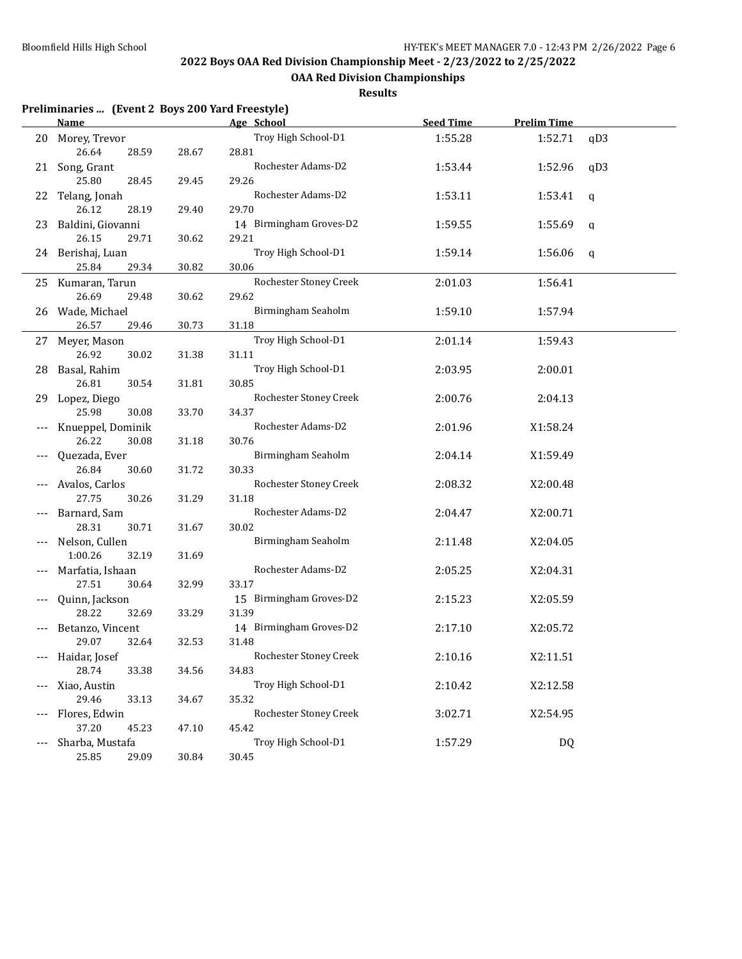**OAA Red Division Championships**

|     | Preliminaries  (Event 2 Boys 200 Yard Freestyle) |       |                         |                  |                    |     |
|-----|--------------------------------------------------|-------|-------------------------|------------------|--------------------|-----|
|     | <b>Name</b>                                      |       | Age School              | <b>Seed Time</b> | <b>Prelim Time</b> |     |
|     | 20 Morey, Trevor                                 |       | Troy High School-D1     | 1:55.28          | 1:52.71            | qD3 |
|     | 26.64<br>28.59                                   | 28.67 | 28.81                   |                  |                    |     |
|     | 21 Song, Grant                                   |       | Rochester Adams-D2      | 1:53.44          | 1:52.96            | qD3 |
|     | 25.80<br>28.45                                   | 29.45 | 29.26                   |                  |                    |     |
|     | 22 Telang, Jonah                                 |       | Rochester Adams-D2      | 1:53.11          | 1:53.41            | q   |
|     | 26.12<br>28.19                                   | 29.40 | 29.70                   |                  |                    |     |
| 23  | Baldini, Giovanni                                |       | 14 Birmingham Groves-D2 | 1:59.55          | 1:55.69            | q   |
|     | 26.15<br>29.71                                   | 30.62 | 29.21                   |                  |                    |     |
|     | 24 Berishaj, Luan                                |       | Troy High School-D1     | 1:59.14          | 1:56.06            | q   |
|     | 25.84<br>29.34                                   | 30.82 | 30.06                   |                  |                    |     |
|     | 25 Kumaran, Tarun                                |       | Rochester Stoney Creek  | 2:01.03          | 1:56.41            |     |
|     | 26.69<br>29.48                                   | 30.62 | 29.62                   |                  |                    |     |
|     | 26 Wade, Michael                                 |       | Birmingham Seaholm      | 1:59.10          | 1:57.94            |     |
|     | 26.57<br>29.46                                   | 30.73 | 31.18                   |                  |                    |     |
|     | 27 Meyer, Mason                                  |       | Troy High School-D1     | 2:01.14          | 1:59.43            |     |
|     | 26.92<br>30.02                                   | 31.38 | 31.11                   |                  |                    |     |
| 28  | Basal, Rahim                                     |       | Troy High School-D1     | 2:03.95          | 2:00.01            |     |
|     | 26.81<br>30.54                                   | 31.81 | 30.85                   |                  |                    |     |
|     |                                                  |       | Rochester Stoney Creek  | 2:00.76          | 2:04.13            |     |
| 29  | Lopez, Diego<br>25.98<br>30.08                   |       | 34.37                   |                  |                    |     |
|     |                                                  | 33.70 | Rochester Adams-D2      |                  |                    |     |
|     | Knueppel, Dominik                                |       |                         | 2:01.96          | X1:58.24           |     |
|     | 26.22<br>30.08                                   | 31.18 | 30.76                   |                  |                    |     |
|     | Quezada, Ever                                    |       | Birmingham Seaholm      | 2:04.14          | X1:59.49           |     |
|     | 26.84<br>30.60                                   | 31.72 | 30.33                   |                  |                    |     |
|     | Avalos, Carlos                                   |       | Rochester Stoney Creek  | 2:08.32          | X2:00.48           |     |
|     | 27.75<br>30.26                                   | 31.29 | 31.18                   |                  |                    |     |
|     | Barnard, Sam                                     |       | Rochester Adams-D2      | 2:04.47          | X2:00.71           |     |
|     | 28.31<br>30.71                                   | 31.67 | 30.02                   |                  |                    |     |
|     | Nelson, Cullen                                   |       | Birmingham Seaholm      | 2:11.48          | X2:04.05           |     |
|     | 1:00.26<br>32.19                                 | 31.69 |                         |                  |                    |     |
|     | Marfatia, Ishaan                                 |       | Rochester Adams-D2      | 2:05.25          | X2:04.31           |     |
|     | 27.51<br>30.64                                   | 32.99 | 33.17                   |                  |                    |     |
|     | Quinn, Jackson                                   |       | 15 Birmingham Groves-D2 | 2:15.23          | X2:05.59           |     |
|     | 28.22<br>32.69                                   | 33.29 | 31.39                   |                  |                    |     |
|     | --- Betanzo, Vincent                             |       | 14 Birmingham Groves-D2 | 2:17.10          | X2:05.72           |     |
|     | 29.07<br>32.64                                   | 32.53 | 31.48                   |                  |                    |     |
| --- | Haidar, Josef                                    |       | Rochester Stoney Creek  | 2:10.16          | X2:11.51           |     |
|     | 28.74<br>33.38                                   | 34.56 | 34.83                   |                  |                    |     |
|     | Xiao, Austin                                     |       | Troy High School-D1     | 2:10.42          | X2:12.58           |     |
|     | 29.46<br>33.13                                   | 34.67 | 35.32                   |                  |                    |     |
|     | Flores, Edwin                                    |       | Rochester Stoney Creek  | 3:02.71          | X2:54.95           |     |
|     | 37.20<br>45.23                                   | 47.10 | 45.42                   |                  |                    |     |
|     | Sharba, Mustafa                                  |       | Troy High School-D1     | 1:57.29          | DQ                 |     |
|     | 25.85<br>29.09                                   | 30.84 | 30.45                   |                  |                    |     |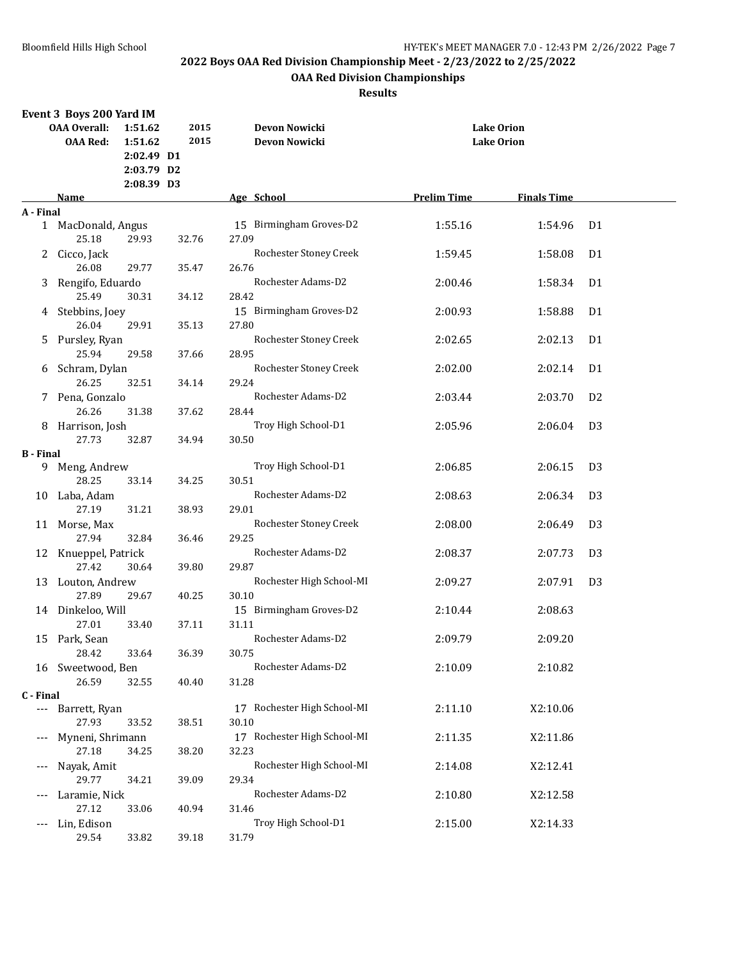## **OAA Red Division Championships**

|                          | Event 3 Boys 200 Yard IM               |                                                |              |                                       |                    |                                        |                |  |
|--------------------------|----------------------------------------|------------------------------------------------|--------------|---------------------------------------|--------------------|----------------------------------------|----------------|--|
|                          | <b>OAA Overall:</b><br><b>OAA Red:</b> | 1:51.62<br>1:51.62<br>2:02.49 D1<br>2:03.79 D2 | 2015<br>2015 | <b>Devon Nowicki</b><br>Devon Nowicki |                    | <b>Lake Orion</b><br><b>Lake Orion</b> |                |  |
|                          |                                        | 2:08.39 D3                                     |              |                                       |                    |                                        |                |  |
|                          | Name                                   |                                                |              | Age School                            | <b>Prelim Time</b> | <b>Finals Time</b>                     |                |  |
| A - Final                |                                        |                                                |              |                                       |                    |                                        |                |  |
| 1                        | MacDonald, Angus<br>25.18              | 29.93                                          | 32.76        | 15 Birmingham Groves-D2<br>27.09      | 1:55.16            | 1:54.96                                | D <sub>1</sub> |  |
| 2                        | Cicco, Jack                            |                                                |              | Rochester Stoney Creek                | 1:59.45            | 1:58.08                                | D <sub>1</sub> |  |
|                          | 26.08                                  | 29.77                                          | 35.47        | 26.76                                 |                    |                                        |                |  |
| 3                        | Rengifo, Eduardo<br>25.49              |                                                |              | Rochester Adams-D2                    | 2:00.46            | 1:58.34                                | D <sub>1</sub> |  |
|                          |                                        | 30.31                                          | 34.12        | 28.42                                 |                    |                                        |                |  |
|                          | 4 Stebbins, Joey<br>26.04              | 29.91                                          | 35.13        | 15 Birmingham Groves-D2<br>27.80      | 2:00.93            | 1:58.88                                | D <sub>1</sub> |  |
| 5                        | Pursley, Ryan                          |                                                |              | Rochester Stoney Creek                | 2:02.65            | 2:02.13                                | D <sub>1</sub> |  |
|                          | 25.94                                  | 29.58                                          | 37.66        | 28.95                                 |                    |                                        |                |  |
|                          | 6 Schram, Dylan<br>26.25               | 32.51                                          | 34.14        | Rochester Stoney Creek<br>29.24       | 2:02.00            | 2:02.14                                | D <sub>1</sub> |  |
|                          | 7 Pena, Gonzalo<br>26.26               | 31.38                                          | 37.62        | Rochester Adams-D2<br>28.44           | 2:03.44            | 2:03.70                                | D <sub>2</sub> |  |
|                          | 8 Harrison, Josh                       |                                                |              | Troy High School-D1                   | 2:05.96            | 2:06.04                                | D <sub>3</sub> |  |
|                          | 27.73                                  | 32.87                                          | 34.94        | 30.50                                 |                    |                                        |                |  |
| <b>B</b> - Final         |                                        |                                                |              |                                       |                    |                                        |                |  |
| 9.                       | Meng, Andrew                           |                                                |              | Troy High School-D1                   | 2:06.85            | 2:06.15                                | D <sub>3</sub> |  |
|                          | 28.25                                  | 33.14                                          | 34.25        | 30.51                                 |                    |                                        |                |  |
| 10                       | Laba, Adam                             |                                                |              | Rochester Adams-D2                    | 2:08.63            | 2:06.34                                | D <sub>3</sub> |  |
|                          | 27.19                                  | 31.21                                          | 38.93        | 29.01                                 |                    |                                        |                |  |
| 11                       | Morse, Max<br>27.94                    | 32.84                                          | 36.46        | Rochester Stoney Creek<br>29.25       | 2:08.00            | 2:06.49                                | D <sub>3</sub> |  |
|                          | 12 Knueppel, Patrick                   |                                                |              | Rochester Adams-D2                    | 2:08.37            | 2:07.73                                | D <sub>3</sub> |  |
|                          | 27.42                                  | 30.64                                          | 39.80        | 29.87                                 |                    |                                        |                |  |
| 13                       | Louton, Andrew                         |                                                |              | Rochester High School-MI              | 2:09.27            | 2:07.91                                | D <sub>3</sub> |  |
|                          | 27.89                                  | 29.67                                          | 40.25        | 30.10                                 |                    |                                        |                |  |
|                          | 14 Dinkeloo, Will<br>27.01             | 33.40                                          | 37.11        | 15 Birmingham Groves-D2<br>31.11      | 2:10.44            | 2:08.63                                |                |  |
|                          | 15 Park, Sean                          |                                                |              | Rochester Adams-D2                    | 2:09.79            | 2:09.20                                |                |  |
|                          | 28.42                                  | 33.64                                          | 36.39        | 30.75                                 |                    |                                        |                |  |
|                          | 16 Sweetwood, Ben                      |                                                |              | Rochester Adams-D2                    | 2:10.09            | 2:10.82                                |                |  |
|                          | 26.59                                  | 32.55                                          | 40.40        | 31.28                                 |                    |                                        |                |  |
| C - Final                |                                        |                                                |              |                                       |                    |                                        |                |  |
| $\scriptstyle\cdots$     | Barrett, Ryan                          |                                                |              | 17 Rochester High School-MI           | 2:11.10            | X2:10.06                               |                |  |
|                          | 27.93                                  | 33.52                                          | 38.51        | 30.10                                 |                    |                                        |                |  |
| $\scriptstyle{\cdots}$ . | Myneni, Shrimann<br>27.18              | 34.25                                          | 38.20        | 17 Rochester High School-MI<br>32.23  | 2:11.35            | X2:11.86                               |                |  |
| $---$                    | Nayak, Amit<br>29.77                   |                                                | 39.09        | Rochester High School-MI<br>29.34     | 2:14.08            | X2:12.41                               |                |  |
| $---$                    | Laramie, Nick                          | 34.21                                          |              | Rochester Adams-D2                    | 2:10.80            | X2:12.58                               |                |  |
|                          | 27.12                                  | 33.06                                          | 40.94        | 31.46                                 |                    |                                        |                |  |
| ---                      | Lin, Edison                            |                                                |              | Troy High School-D1                   | 2:15.00            | X2:14.33                               |                |  |
|                          | 29.54                                  | 33.82                                          | 39.18        | 31.79                                 |                    |                                        |                |  |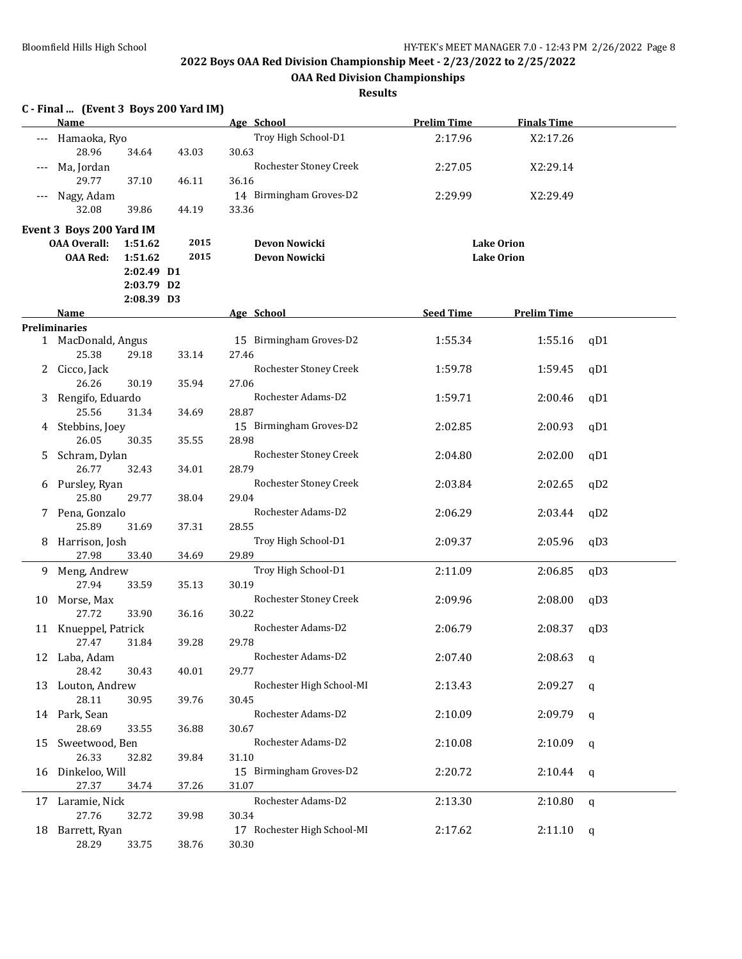**OAA Red Division Championships**

|       | C - Final  (Event 3 Boys 200 Yard IM)<br><b>Name</b> |            |       | Age School                  | <b>Prelim Time</b> | <b>Finals Time</b> |              |
|-------|------------------------------------------------------|------------|-------|-----------------------------|--------------------|--------------------|--------------|
|       | Hamaoka, Ryo                                         |            |       | Troy High School-D1         | 2:17.96            | X2:17.26           |              |
|       | 28.96                                                | 34.64      | 43.03 | 30.63                       |                    |                    |              |
|       | Ma, Jordan                                           |            |       | Rochester Stoney Creek      | 2:27.05            | X2:29.14           |              |
|       | 29.77                                                | 37.10      | 46.11 | 36.16                       |                    |                    |              |
| $---$ | Nagy, Adam                                           |            |       | 14 Birmingham Groves-D2     | 2:29.99            | X2:29.49           |              |
|       | 32.08                                                | 39.86      | 44.19 | 33.36                       |                    |                    |              |
|       | Event 3 Boys 200 Yard IM                             |            |       |                             |                    |                    |              |
|       | <b>OAA Overall:</b>                                  | 1:51.62    | 2015  | Devon Nowicki               |                    | <b>Lake Orion</b>  |              |
|       | <b>OAA Red:</b>                                      | 1:51.62    | 2015  | Devon Nowicki               |                    | <b>Lake Orion</b>  |              |
|       |                                                      | 2:02.49 D1 |       |                             |                    |                    |              |
|       |                                                      | 2:03.79 D2 |       |                             |                    |                    |              |
|       |                                                      | 2:08.39 D3 |       |                             |                    |                    |              |
|       | Name                                                 |            |       | Age School                  | <b>Seed Time</b>   | <b>Prelim Time</b> |              |
|       | <b>Preliminaries</b>                                 |            |       |                             |                    |                    |              |
| 1     | MacDonald, Angus                                     |            |       | 15 Birmingham Groves-D2     | 1:55.34            | 1:55.16            | qD1          |
|       | 25.38                                                | 29.18      | 33.14 | 27.46                       |                    |                    |              |
| 2     | Cicco, Jack                                          |            |       | Rochester Stoney Creek      | 1:59.78            | 1:59.45            | qD1          |
|       | 26.26                                                | 30.19      | 35.94 | 27.06                       |                    |                    |              |
| 3     | Rengifo, Eduardo                                     |            |       | Rochester Adams-D2          | 1:59.71            | 2:00.46            | qD1          |
|       | 25.56                                                | 31.34      | 34.69 | 28.87                       |                    |                    |              |
| 4     | Stebbins, Joey                                       |            |       | 15 Birmingham Groves-D2     | 2:02.85            | 2:00.93            | qD1          |
|       | 26.05                                                | 30.35      | 35.55 | 28.98                       |                    |                    |              |
| 5.    | Schram, Dylan                                        |            |       | Rochester Stoney Creek      | 2:04.80            | 2:02.00            | qD1          |
|       | 26.77                                                | 32.43      | 34.01 | 28.79                       |                    |                    |              |
| 6     | Pursley, Ryan                                        |            |       | Rochester Stoney Creek      | 2:03.84            | 2:02.65            | qD2          |
|       | 25.80                                                | 29.77      | 38.04 | 29.04                       |                    |                    |              |
|       | 7 Pena, Gonzalo                                      |            |       | Rochester Adams-D2          | 2:06.29            | 2:03.44            | qD2          |
|       | 25.89                                                | 31.69      | 37.31 | 28.55                       |                    |                    |              |
| 8.    | Harrison, Josh                                       |            |       | Troy High School-D1         | 2:09.37            | 2:05.96            | qD3          |
|       | 27.98                                                | 33.40      | 34.69 | 29.89                       |                    |                    |              |
| 9.    | Meng, Andrew                                         |            |       | Troy High School-D1         | 2:11.09            | 2:06.85            | qD3          |
|       | 27.94                                                | 33.59      | 35.13 | 30.19                       |                    |                    |              |
| 10    | Morse, Max                                           |            |       | Rochester Stoney Creek      | 2:09.96            | 2:08.00            | qD3          |
|       | 27.72                                                | 33.90      | 36.16 | 30.22                       |                    |                    |              |
|       | 11 Knueppel, Patrick                                 |            |       | Rochester Adams-D2          | 2:06.79            | 2:08.37            | qD3          |
|       | 27.47 31.84                                          |            | 39.28 | 29.78                       |                    |                    |              |
|       | 12 Laba, Adam                                        |            |       | Rochester Adams-D2          | 2:07.40            | 2:08.63            | q            |
|       | 28.42                                                | 30.43      | 40.01 | 29.77                       |                    |                    |              |
|       | 13 Louton, Andrew                                    |            |       | Rochester High School-MI    | 2:13.43            | 2:09.27            | q            |
|       | 28.11                                                | 30.95      | 39.76 | 30.45                       |                    |                    |              |
|       | 14 Park, Sean                                        |            |       | Rochester Adams-D2          | 2:10.09            | 2:09.79            | q            |
|       | 28.69                                                | 33.55      | 36.88 | 30.67                       |                    |                    |              |
| 15    | Sweetwood, Ben                                       |            |       | Rochester Adams-D2          | 2:10.08            | 2:10.09            | q            |
|       | 26.33                                                | 32.82      | 39.84 | 31.10                       |                    |                    |              |
| 16    | Dinkeloo, Will                                       |            |       | 15 Birmingham Groves-D2     | 2:20.72            | 2:10.44            | q            |
|       | 27.37                                                | 34.74      | 37.26 | 31.07                       |                    |                    |              |
| 17    | Laramie, Nick                                        |            |       | Rochester Adams-D2          | 2:13.30            | 2:10.80            | $\mathsf{q}$ |
|       | 27.76                                                | 32.72      | 39.98 | 30.34                       |                    |                    |              |
| 18    | Barrett, Ryan                                        |            |       | 17 Rochester High School-MI | 2:17.62            | 2:11.10            | q            |
|       | 28.29                                                | 33.75      | 38.76 | 30.30                       |                    |                    |              |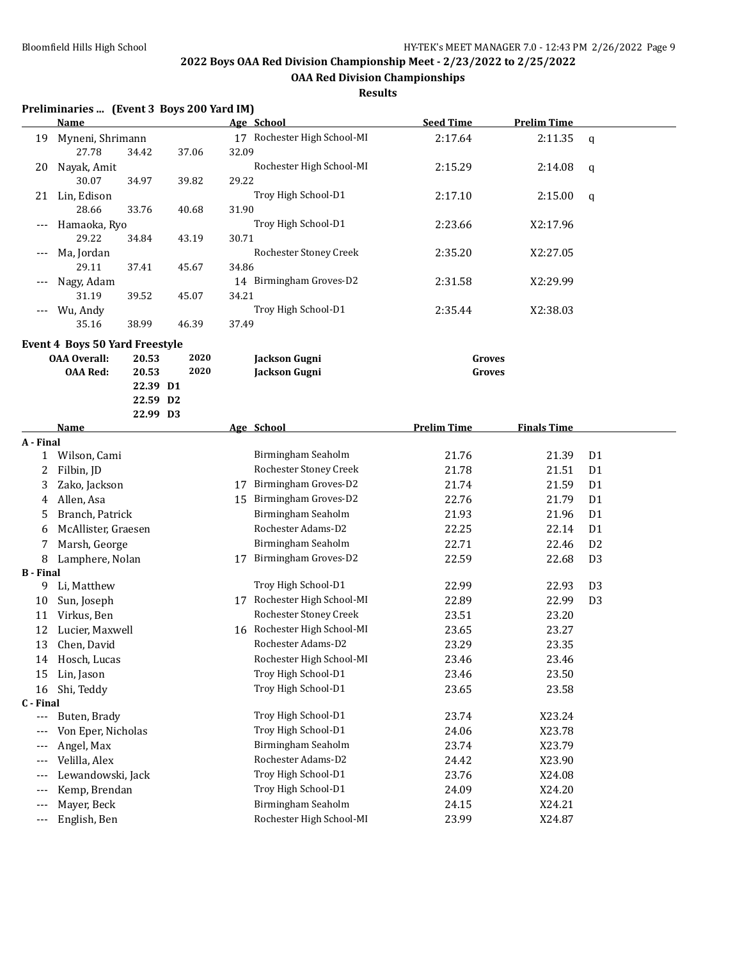**OAA Red Division Championships**

**Results**

## **Preliminaries ... (Event 3 Boys 200 Yard IM) Name Age School Seed Time Prelim Time** 19 Myneni, Shrimann 17 Rochester High School-MI 2:17.64 2:11.35 q 27.78 34.42 37.06 32.09 20 Nayak, Amit Rochester High School-MI 2:15.29 2:14.08 q 30.07 34.97 39.82 29.22 21 Lin, Edison Troy High School-D1 2:17.10 2:15.00 q 28.66 33.76 40.68 31.90 --- Hamaoka, Ryo Troy High School-D1 2:23.66 X2:17.96 29.22 34.84 43.19 30.71 --- Ma, Jordan Rochester Stoney Creek 2:35.20 X2:27.05 29.11 37.41 45.67 34.86 --- Nagy, Adam 14 Birmingham Groves-D2 2:31.58 X2:29.99 31.19 39.52 45.07 34.21 --- Wu, Andy Troy High School-D1 2:35.44 X2:38.03 35.16 38.99 46.39 37.49 **Event 4 Boys 50 Yard Freestyle OAA Overall: 20.53 2020 Jackson Gugni Groves OAA Red: 20.53 2020 Jackson Gugni Groves 22.39 D1 22.59 D2 22.99 D3 Name Age School Prelim Time Finals Time A - Final** 1 Wilson, Cami Birmingham Seaholm 21.76 21.39 D1 2 Filbin, JD Rochester Stoney Creek 21.78 21.51 D1 3 Zako, Jackson 17 Birmingham Groves-D2 21.74 21.59 D1 4 Allen, Asa 15 Birmingham Groves-D2 22.76 21.79 D1 5 Branch, Patrick Birmingham Seaholm 21.93 21.96 D1 6 McAllister, Graesen Rochester Adams-D2 22.25 22.14 D1 7 Marsh, George Birmingham Seaholm 22.71 22.46 D2 8 Lamphere, Nolan 17 Birmingham Groves-D2 22.59 22.68 D3 **B - Final** 9 Li, Matthew Troy High School-D1 22.99 22.93 D3 10 Sun, Joseph 17 Rochester High School-MI 22.89 22.99 D3 11 Virkus, Ben Rochester Stoney Creek 23.51 23.20 12 Lucier, Maxwell 16 Rochester High School-MI 23.65 23.27 13 Chen, David Rochester Adams-D2 23.29 23.35 14 Hosch, Lucas Rochester High School-MI 23.46 23.46 15 Lin, Jason **Troy High School-D1** 23.46 23.50 16 Shi, Teddy Troy High School-D1 23.65 23.58 **C - Final** --- Buten, Brady 23.74 X23.24 Troy High School-D1 23.74 X23.24 --- Von Eper, Nicholas Troy High School-D1 24.06 X23.78 --- Angel, Max Birmingham Seaholm 23.74 X23.79 --- Velilla, Alex Rochester Adams-D2 24.42 X23.90 --- Lewandowski, Jack Troy High School-D1 23.76 X24.08 --- Kemp, Brendan Troy High School-D1 24.09 X24.20 --- Mayer, Beck Birmingham Seaholm 24.15 X24.21 --- English, Ben Nation Contract Righ School-MI 23.99 X24.87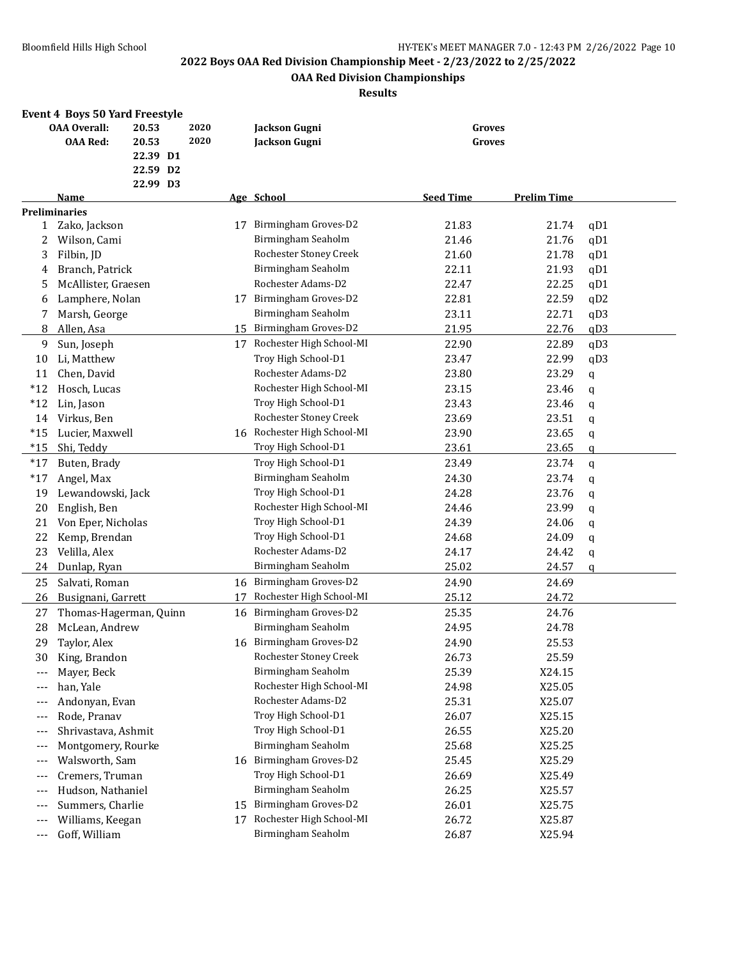## **OAA Red Division Championships**

## **Results**

## **Event 4 Boys 50 Yard Freestyle**

|              | <b>OAA Overall:</b>    | 20.53    | 2020 |    | Jackson Gugni                 | Groves           |                    |     |
|--------------|------------------------|----------|------|----|-------------------------------|------------------|--------------------|-----|
|              | <b>OAA Red:</b>        | 20.53    | 2020 |    | Jackson Gugni                 | Groves           |                    |     |
|              |                        | 22.39 D1 |      |    |                               |                  |                    |     |
|              |                        | 22.59 D2 |      |    |                               |                  |                    |     |
|              |                        | 22.99 D3 |      |    |                               |                  |                    |     |
|              | Name                   |          |      |    | Age School                    | <b>Seed Time</b> | <b>Prelim Time</b> |     |
|              | <b>Preliminaries</b>   |          |      |    |                               |                  |                    |     |
| $\mathbf{1}$ | Zako, Jackson          |          |      | 17 | Birmingham Groves-D2          | 21.83            | 21.74              | qD1 |
| 2            | Wilson, Cami           |          |      |    | Birmingham Seaholm            | 21.46            | 21.76              | qD1 |
| 3            | Filbin, JD             |          |      |    | <b>Rochester Stoney Creek</b> | 21.60            | 21.78              | qD1 |
| 4            | Branch, Patrick        |          |      |    | Birmingham Seaholm            | 22.11            | 21.93              | qD1 |
| 5            | McAllister, Graesen    |          |      |    | Rochester Adams-D2            | 22.47            | 22.25              | qD1 |
| 6            | Lamphere, Nolan        |          |      |    | 17 Birmingham Groves-D2       | 22.81            | 22.59              | qD2 |
| 7            | Marsh, George          |          |      |    | Birmingham Seaholm            | 23.11            | 22.71              | qD3 |
| 8            | Allen, Asa             |          |      | 15 | Birmingham Groves-D2          | 21.95            | 22.76              | qD3 |
| 9            | Sun, Joseph            |          |      | 17 | Rochester High School-MI      | 22.90            | 22.89              | qD3 |
| 10           | Li, Matthew            |          |      |    | Troy High School-D1           | 23.47            | 22.99              | qD3 |
| 11           | Chen, David            |          |      |    | Rochester Adams-D2            | 23.80            | 23.29              | q   |
| $*12$        | Hosch, Lucas           |          |      |    | Rochester High School-MI      | 23.15            | 23.46              | q   |
| $*12$        | Lin, Jason             |          |      |    | Troy High School-D1           | 23.43            | 23.46              | q   |
| 14           | Virkus, Ben            |          |      |    | Rochester Stoney Creek        | 23.69            | 23.51              | q   |
| $*15$        | Lucier, Maxwell        |          |      |    | 16 Rochester High School-MI   | 23.90            | 23.65              | q   |
| $*15$        | Shi, Teddy             |          |      |    | Troy High School-D1           | 23.61            | 23.65              | q   |
| $*17$        | Buten, Brady           |          |      |    | Troy High School-D1           | 23.49            | 23.74              | q   |
| $*17$        | Angel, Max             |          |      |    | Birmingham Seaholm            | 24.30            | 23.74              | q   |
| 19           | Lewandowski, Jack      |          |      |    | Troy High School-D1           | 24.28            | 23.76              | q   |
| 20           | English, Ben           |          |      |    | Rochester High School-MI      | 24.46            | 23.99              | q   |
| 21           | Von Eper, Nicholas     |          |      |    | Troy High School-D1           | 24.39            | 24.06              | q   |
| 22           | Kemp, Brendan          |          |      |    | Troy High School-D1           | 24.68            | 24.09              | q   |
| 23           | Velilla, Alex          |          |      |    | Rochester Adams-D2            | 24.17            | 24.42              | q   |
| 24           | Dunlap, Ryan           |          |      |    | Birmingham Seaholm            | 25.02            | 24.57              | a   |
| 25           | Salvati, Roman         |          |      | 16 | Birmingham Groves-D2          | 24.90            | 24.69              |     |
|              |                        |          |      | 17 | Rochester High School-MI      |                  | 24.72              |     |
| 26           | Busignani, Garrett     |          |      |    |                               | 25.12            |                    |     |
| 27           | Thomas-Hagerman, Quinn |          |      | 16 | Birmingham Groves-D2          | 25.35            | 24.76              |     |
| 28           | McLean, Andrew         |          |      |    | Birmingham Seaholm            | 24.95            | 24.78              |     |
| 29           | Taylor, Alex           |          |      | 16 | Birmingham Groves-D2          | 24.90            | 25.53              |     |
| 30           | King, Brandon          |          |      |    | Rochester Stoney Creek        | 26.73            | 25.59              |     |
|              | Mayer, Beck            |          |      |    | Birmingham Seaholm            | 25.39            | X24.15             |     |
|              | han, Yale              |          |      |    | Rochester High School-MI      | 24.98            | X25.05             |     |
| $---$        | Andonyan, Evan         |          |      |    | Rochester Adams-D2            | 25.31            | X25.07             |     |
| $---$        | Rode, Pranav           |          |      |    | Troy High School-D1           | 26.07            | X25.15             |     |
| $---$        | Shrivastava, Ashmit    |          |      |    | Troy High School-D1           | 26.55            | X25.20             |     |
| $---$        | Montgomery, Rourke     |          |      |    | Birmingham Seaholm            | 25.68            | X25.25             |     |
| $---$        | Walsworth, Sam         |          |      |    | 16 Birmingham Groves-D2       | 25.45            | X25.29             |     |
| $---$        | Cremers, Truman        |          |      |    | Troy High School-D1           | 26.69            | X25.49             |     |
| $---$        | Hudson, Nathaniel      |          |      |    | Birmingham Seaholm            | 26.25            | X25.57             |     |
| $--$         | Summers, Charlie       |          |      | 15 | Birmingham Groves-D2          | 26.01            | X25.75             |     |
| $---$        | Williams, Keegan       |          |      | 17 | Rochester High School-MI      | 26.72            | X25.87             |     |
| $---$        | Goff, William          |          |      |    | Birmingham Seaholm            | 26.87            | X25.94             |     |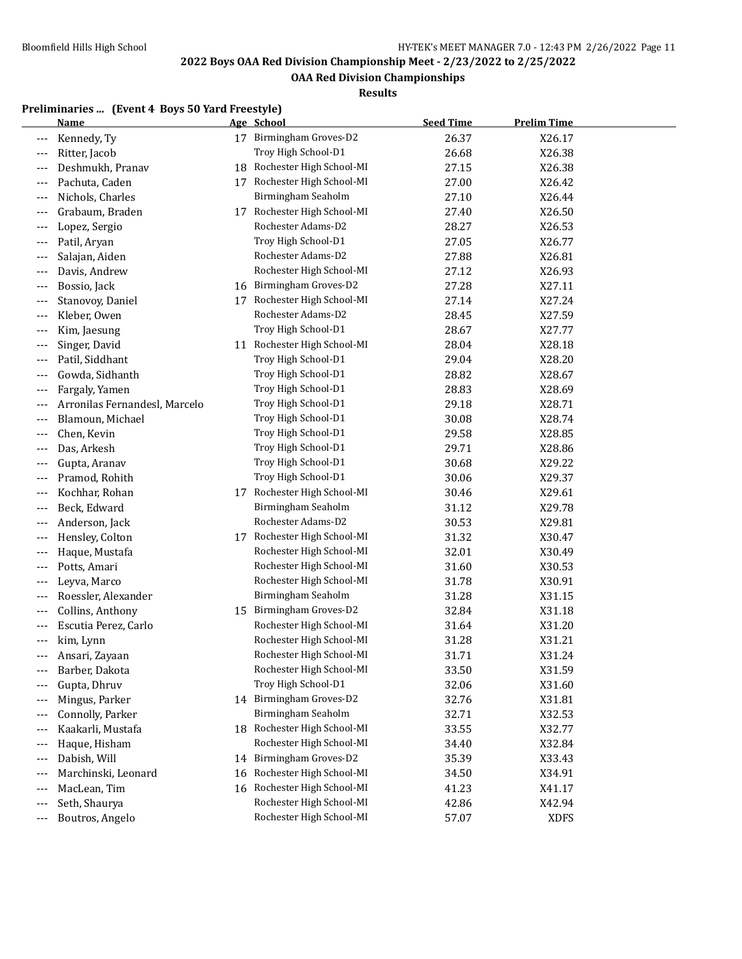$\overline{a}$ 

## **2022 Boys OAA Red Division Championship Meet - 2/23/2022 to 2/25/2022**

**OAA Red Division Championships**

## **Results**

### **Preliminaries ... (Event 4 Boys 50 Yard Freestyle)**

|       | <u>Name</u>                   | Age School                  | <b>Seed Time</b> | <b>Prelim Time</b> |  |
|-------|-------------------------------|-----------------------------|------------------|--------------------|--|
|       | Kennedy, Ty                   | 17 Birmingham Groves-D2     | 26.37            | X26.17             |  |
|       | Ritter, Jacob                 | Troy High School-D1         | 26.68            | X26.38             |  |
|       | Deshmukh, Pranav              | 18 Rochester High School-MI | 27.15            | X26.38             |  |
|       | Pachuta, Caden                | 17 Rochester High School-MI | 27.00            | X26.42             |  |
|       | Nichols, Charles              | Birmingham Seaholm          | 27.10            | X26.44             |  |
|       | Grabaum, Braden               | 17 Rochester High School-MI | 27.40            | X26.50             |  |
| ---   | Lopez, Sergio                 | Rochester Adams-D2          | 28.27            | X26.53             |  |
|       | Patil, Aryan                  | Troy High School-D1         | 27.05            | X26.77             |  |
| ---   | Salajan, Aiden                | Rochester Adams-D2          | 27.88            | X26.81             |  |
|       | Davis, Andrew                 | Rochester High School-MI    | 27.12            | X26.93             |  |
|       | Bossio, Jack                  | 16 Birmingham Groves-D2     | 27.28            | X27.11             |  |
| ---   | Stanovoy, Daniel              | 17 Rochester High School-MI | 27.14            | X27.24             |  |
| $---$ | Kleber, Owen                  | Rochester Adams-D2          | 28.45            | X27.59             |  |
| $---$ | Kim, Jaesung                  | Troy High School-D1         | 28.67            | X27.77             |  |
| $---$ | Singer, David                 | 11 Rochester High School-MI | 28.04            | X28.18             |  |
| $---$ | Patil, Siddhant               | Troy High School-D1         | 29.04            | X28.20             |  |
|       | Gowda, Sidhanth               | Troy High School-D1         | 28.82            | X28.67             |  |
| ---   | Fargaly, Yamen                | Troy High School-D1         | 28.83            | X28.69             |  |
|       | Arronilas Fernandesl, Marcelo | Troy High School-D1         | 29.18            | X28.71             |  |
| ---   | Blamoun, Michael              | Troy High School-D1         | 30.08            | X28.74             |  |
| $---$ | Chen, Kevin                   | Troy High School-D1         | 29.58            | X28.85             |  |
| $---$ | Das, Arkesh                   | Troy High School-D1         | 29.71            | X28.86             |  |
| $---$ | Gupta, Aranav                 | Troy High School-D1         | 30.68            | X29.22             |  |
|       | Pramod, Rohith                | Troy High School-D1         | 30.06            | X29.37             |  |
|       | Kochhar, Rohan                | 17 Rochester High School-MI | 30.46            | X29.61             |  |
|       | Beck, Edward                  | Birmingham Seaholm          | 31.12            | X29.78             |  |
| ---   | Anderson, Jack                | Rochester Adams-D2          | 30.53            | X29.81             |  |
| ---   | Hensley, Colton               | 17 Rochester High School-MI | 31.32            | X30.47             |  |
| $---$ | Haque, Mustafa                | Rochester High School-MI    | 32.01            | X30.49             |  |
|       | Potts, Amari                  | Rochester High School-MI    | 31.60            | X30.53             |  |
|       | Leyva, Marco                  | Rochester High School-MI    | 31.78            | X30.91             |  |
|       | Roessler, Alexander           | Birmingham Seaholm          | 31.28            | X31.15             |  |
|       | Collins, Anthony              | 15 Birmingham Groves-D2     | 32.84            | X31.18             |  |
|       | Escutia Perez, Carlo          | Rochester High School-MI    | 31.64            | X31.20             |  |
| ---   | kim, Lynn                     | Rochester High School-MI    | 31.28            | X31.21             |  |
|       | Ansari, Zayaan                | Rochester High School-MI    | 31.71            | X31.24             |  |
|       | Barber, Dakota                | Rochester High School-MI    | 33.50            | X31.59             |  |
|       | Gupta, Dhruv                  | Troy High School-D1         | 32.06            | X31.60             |  |
| $---$ | Mingus, Parker                | 14 Birmingham Groves-D2     | 32.76            | X31.81             |  |
|       | Connolly, Parker              | Birmingham Seaholm          | 32.71            | X32.53             |  |
|       | Kaakarli, Mustafa             | 18 Rochester High School-MI | 33.55            | X32.77             |  |
| $---$ | Haque, Hisham                 | Rochester High School-MI    | 34.40            | X32.84             |  |
| $---$ | Dabish, Will                  | 14 Birmingham Groves-D2     | 35.39            | X33.43             |  |
| $---$ | Marchinski, Leonard           | 16 Rochester High School-MI | 34.50            | X34.91             |  |
| $---$ | MacLean, Tim                  | 16 Rochester High School-MI | 41.23            | X41.17             |  |
| $---$ | Seth, Shaurya                 | Rochester High School-MI    | 42.86            | X42.94             |  |
| $---$ | Boutros, Angelo               | Rochester High School-MI    | 57.07            | <b>XDFS</b>        |  |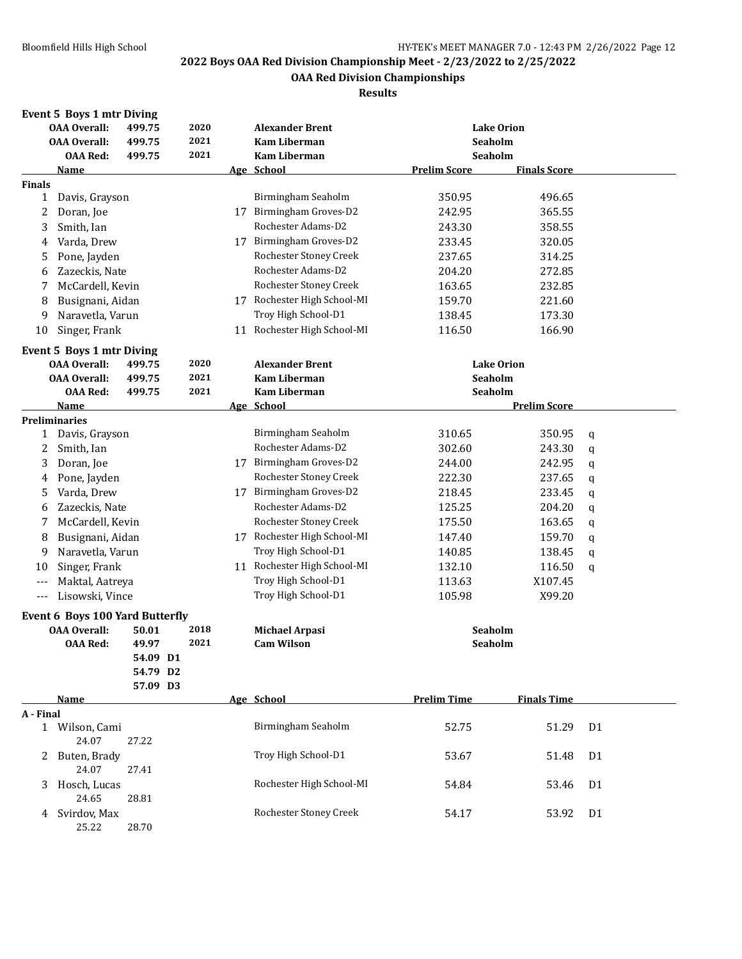**OAA Red Division Championships**

|  | <b>Event 5 Boys 1 mtr Diving</b> |  |
|--|----------------------------------|--|
|  |                                  |  |

|               | <b>OAA Overall:</b>             | 499.75   | 2020         |    | <b>Alexander Brent</b>                     |                     | <b>Lake Orion</b>   |                |
|---------------|---------------------------------|----------|--------------|----|--------------------------------------------|---------------------|---------------------|----------------|
|               | <b>OAA Overall:</b>             | 499.75   | 2021         |    | <b>Kam Liberman</b>                        | Seaholm             |                     |                |
|               | <b>OAA Red:</b>                 | 499.75   | 2021         |    | <b>Kam Liberman</b>                        | Seaholm             |                     |                |
|               | Name                            |          |              |    | Age School                                 | <b>Prelim Score</b> | <b>Finals Score</b> |                |
| <b>Finals</b> |                                 |          |              |    |                                            |                     |                     |                |
| $\mathbf{1}$  | Davis, Grayson                  |          |              |    | Birmingham Seaholm                         | 350.95              | 496.65              |                |
| 2             | Doran, Joe                      |          |              | 17 | Birmingham Groves-D2                       | 242.95              | 365.55              |                |
| 3             | Smith, Ian                      |          |              |    | Rochester Adams-D2                         | 243.30              | 358.55              |                |
| 4             | Varda, Drew                     |          |              | 17 | Birmingham Groves-D2                       | 233.45              | 320.05              |                |
| 5             | Pone, Jayden                    |          |              |    | Rochester Stoney Creek                     | 237.65              | 314.25              |                |
| 6             | Zazeckis, Nate                  |          |              |    | Rochester Adams-D2                         | 204.20              | 272.85              |                |
| 7             | McCardell, Kevin                |          |              |    | Rochester Stoney Creek                     | 163.65              | 232.85              |                |
| 8             | Busignani, Aidan                |          |              |    | 17 Rochester High School-MI                | 159.70              | 221.60              |                |
| 9             | Naravetla, Varun                |          |              |    | Troy High School-D1                        | 138.45              | 173.30              |                |
| 10            | Singer, Frank                   |          |              |    | 11 Rochester High School-MI                | 116.50              | 166.90              |                |
|               |                                 |          |              |    |                                            |                     |                     |                |
|               | Event 5 Boys 1 mtr Diving       |          |              |    |                                            |                     |                     |                |
|               | <b>OAA Overall:</b>             | 499.75   | 2020<br>2021 |    | <b>Alexander Brent</b>                     |                     | <b>Lake Orion</b>   |                |
|               | <b>OAA Overall:</b>             | 499.75   | 2021         |    | <b>Kam Liberman</b><br><b>Kam Liberman</b> | Seaholm<br>Seaholm  |                     |                |
|               | <b>OAA Red:</b>                 | 499.75   |              |    |                                            |                     |                     |                |
|               | Name<br><b>Preliminaries</b>    |          |              |    | Age School                                 |                     | <b>Prelim Score</b> |                |
|               | 1 Davis, Grayson                |          |              |    | Birmingham Seaholm                         | 310.65              | 350.95              | q              |
| 2             | Smith, Ian                      |          |              |    | Rochester Adams-D2                         | 302.60              | 243.30              |                |
| 3             | Doran, Joe                      |          |              | 17 | Birmingham Groves-D2                       | 244.00              | 242.95              | q              |
|               |                                 |          |              |    | Rochester Stoney Creek                     | 222.30              | 237.65              | $\mathbf q$    |
| 4             | Pone, Jayden                    |          |              |    | Birmingham Groves-D2                       |                     |                     | q              |
| 5             | Varda, Drew                     |          |              | 17 | Rochester Adams-D2                         | 218.45              | 233.45              | q              |
| 6             | Zazeckis, Nate                  |          |              |    |                                            | 125.25              | 204.20              | q              |
| 7             | McCardell, Kevin                |          |              |    | Rochester Stoney Creek                     | 175.50              | 163.65              | q              |
| 8             | Busignani, Aidan                |          |              |    | 17 Rochester High School-MI                | 147.40              | 159.70              | q              |
| 9             | Naravetla, Varun                |          |              |    | Troy High School-D1                        | 140.85              | 138.45              | q              |
| 10            | Singer, Frank                   |          |              |    | 11 Rochester High School-MI                | 132.10              | 116.50              | q              |
| $---$         | Maktal, Aatreya                 |          |              |    | Troy High School-D1                        | 113.63              | X107.45             |                |
| $---$         | Lisowski, Vince                 |          |              |    | Troy High School-D1                        | 105.98              | X99.20              |                |
|               | Event 6 Boys 100 Yard Butterfly |          |              |    |                                            |                     |                     |                |
|               | <b>OAA Overall:</b>             | 50.01    | 2018         |    | <b>Michael Arpasi</b>                      | Seaholm             |                     |                |
|               | <b>OAA Red:</b>                 | 49.97    | 2021         |    | <b>Cam Wilson</b>                          | Seaholm             |                     |                |
|               |                                 | 54.09 D1 |              |    |                                            |                     |                     |                |
|               |                                 | 54.79 D2 |              |    |                                            |                     |                     |                |
|               |                                 | 57.09 D3 |              |    |                                            |                     |                     |                |
|               | Name                            |          |              |    | Age School                                 | <b>Prelim Time</b>  | <b>Finals Time</b>  |                |
| A - Final     |                                 |          |              |    |                                            |                     |                     |                |
| 1             | Wilson, Cami                    |          |              |    | Birmingham Seaholm                         | 52.75               | 51.29               | D <sub>1</sub> |
|               | 24.07                           | 27.22    |              |    |                                            |                     |                     |                |
| 2             | Buten, Brady                    |          |              |    | Troy High School-D1                        | 53.67               | 51.48               | D <sub>1</sub> |
|               | 24.07                           | 27.41    |              |    |                                            |                     |                     |                |
| 3             | Hosch, Lucas                    |          |              |    | Rochester High School-MI                   | 54.84               | 53.46               | D <sub>1</sub> |
|               | 24.65                           | 28.81    |              |    |                                            |                     |                     |                |
| 4             | Svirdov, Max                    |          |              |    | Rochester Stoney Creek                     | 54.17               | 53.92               | D <sub>1</sub> |
|               | 25.22                           | 28.70    |              |    |                                            |                     |                     |                |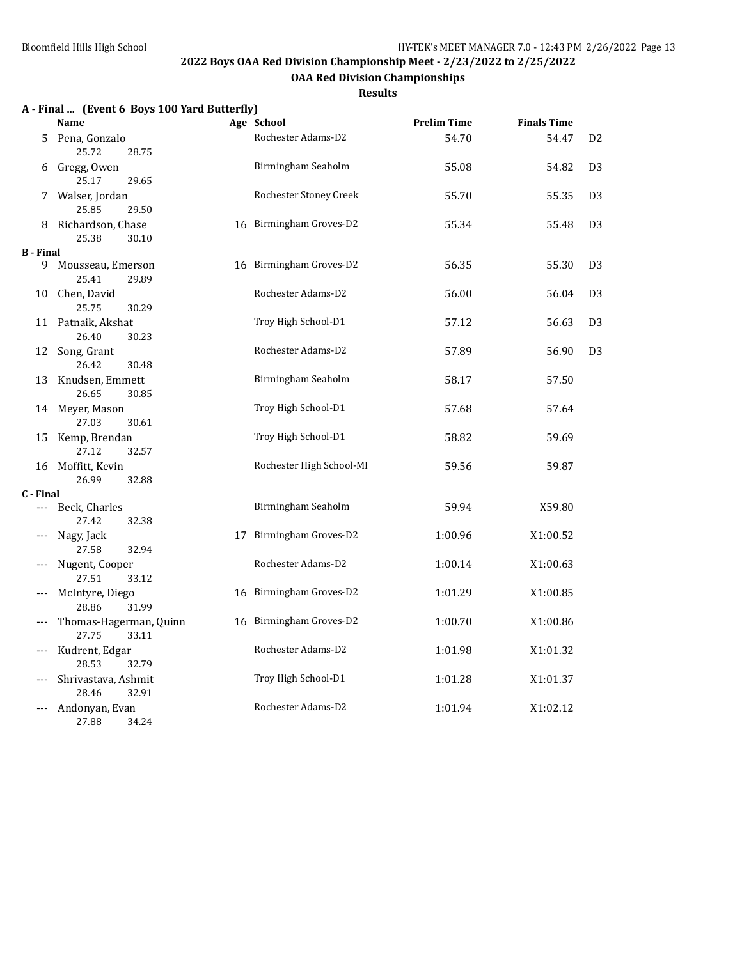**OAA Red Division Championships**

**Results**

## **A - Final ... (Event 6 Boys 100 Yard Butterfly)**

|           | <u>Name</u>                              | Age School               | <b>Prelim Time</b> | <b>Finals Time</b> |                |
|-----------|------------------------------------------|--------------------------|--------------------|--------------------|----------------|
|           | 5 Pena, Gonzalo<br>25.72<br>28.75        | Rochester Adams-D2       | 54.70              | 54.47              | D <sub>2</sub> |
|           | 6 Gregg, Owen<br>25.17<br>29.65          | Birmingham Seaholm       | 55.08              | 54.82              | D <sub>3</sub> |
|           | 7 Walser, Jordan<br>25.85<br>29.50       | Rochester Stoney Creek   | 55.70              | 55.35              | D <sub>3</sub> |
|           | 8 Richardson, Chase<br>25.38<br>30.10    | 16 Birmingham Groves-D2  | 55.34              | 55.48              | D <sub>3</sub> |
| B - Final |                                          |                          |                    |                    |                |
| 9         | Mousseau, Emerson<br>25.41<br>29.89      | 16 Birmingham Groves-D2  | 56.35              | 55.30              | D <sub>3</sub> |
|           | 10 Chen, David<br>25.75<br>30.29         | Rochester Adams-D2       | 56.00              | 56.04              | D <sub>3</sub> |
|           | 11 Patnaik, Akshat<br>26.40<br>30.23     | Troy High School-D1      | 57.12              | 56.63              | D <sub>3</sub> |
|           | 12 Song, Grant<br>26.42<br>30.48         | Rochester Adams-D2       | 57.89              | 56.90              | D <sub>3</sub> |
|           | 13 Knudsen, Emmett<br>26.65<br>30.85     | Birmingham Seaholm       | 58.17              | 57.50              |                |
|           | 14 Meyer, Mason<br>27.03<br>30.61        | Troy High School-D1      | 57.68              | 57.64              |                |
|           | 15 Kemp, Brendan<br>27.12<br>32.57       | Troy High School-D1      | 58.82              | 59.69              |                |
|           | 16 Moffitt, Kevin<br>26.99<br>32.88      | Rochester High School-MI | 59.56              | 59.87              |                |
| C - Final |                                          |                          |                    |                    |                |
| ---       | Beck, Charles<br>32.38<br>27.42          | Birmingham Seaholm       | 59.94              | X59.80             |                |
|           | Nagy, Jack<br>27.58<br>32.94             | 17 Birmingham Groves-D2  | 1:00.96            | X1:00.52           |                |
|           | Nugent, Cooper<br>27.51<br>33.12         | Rochester Adams-D2       | 1:00.14            | X1:00.63           |                |
| ---       | McIntyre, Diego<br>28.86<br>31.99        | 16 Birmingham Groves-D2  | 1:01.29            | X1:00.85           |                |
|           | Thomas-Hagerman, Quinn<br>27.75<br>33.11 | 16 Birmingham Groves-D2  | 1:00.70            | X1:00.86           |                |
| ---       | Kudrent, Edgar<br>28.53<br>32.79         | Rochester Adams-D2       | 1:01.98            | X1:01.32           |                |
| ---       | Shrivastava, Ashmit<br>28.46<br>32.91    | Troy High School-D1      | 1:01.28            | X1:01.37           |                |
| ---       | Andonyan, Evan<br>27.88<br>34.24         | Rochester Adams-D2       | 1:01.94            | X1:02.12           |                |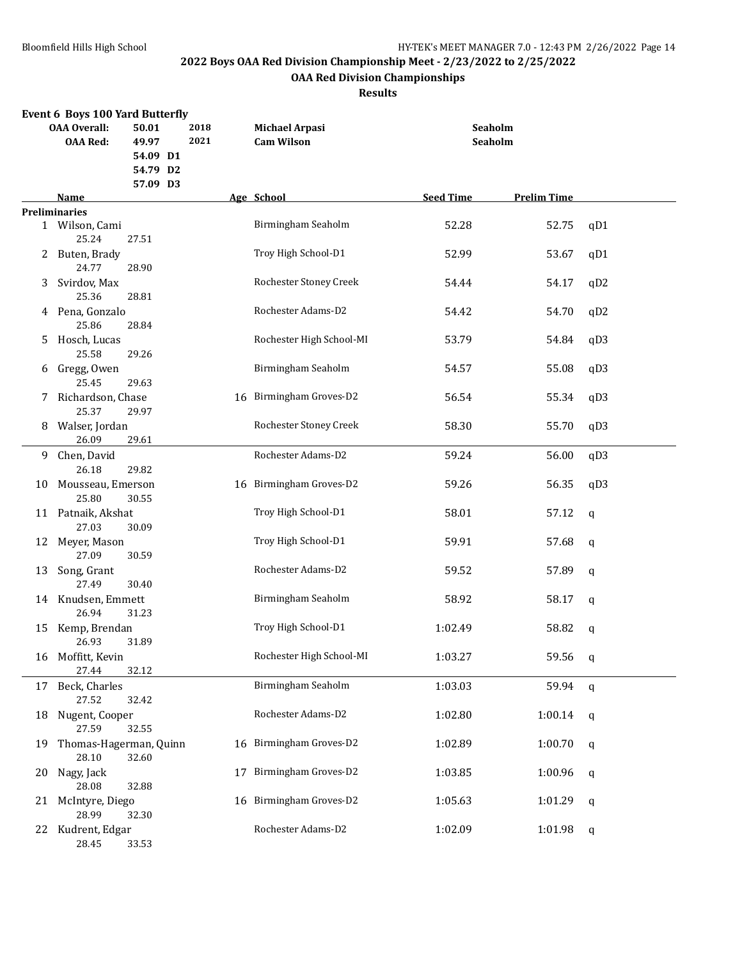## **OAA Red Division Championships**

|    | <b>Event 6 Boys 100 Yard Butterfly</b>                                               |          |  |                                            |                    |                          |                  |                    |     |  |  |
|----|--------------------------------------------------------------------------------------|----------|--|--------------------------------------------|--------------------|--------------------------|------------------|--------------------|-----|--|--|
|    | 2018<br><b>OAA Overall:</b><br>50.01<br>2021<br><b>OAA Red:</b><br>49.97<br>54.09 D1 |          |  | <b>Michael Arpasi</b><br><b>Cam Wilson</b> | Seaholm<br>Seaholm |                          |                  |                    |     |  |  |
|    |                                                                                      | 54.79 D2 |  |                                            |                    |                          |                  |                    |     |  |  |
|    |                                                                                      | 57.09 D3 |  |                                            |                    |                          |                  |                    |     |  |  |
|    | Name                                                                                 |          |  |                                            |                    | Age School               | <b>Seed Time</b> | <b>Prelim Time</b> |     |  |  |
|    | <b>Preliminaries</b>                                                                 |          |  |                                            |                    |                          |                  |                    |     |  |  |
|    | 1 Wilson, Cami<br>25.24                                                              | 27.51    |  |                                            |                    | Birmingham Seaholm       | 52.28            | 52.75              | qD1 |  |  |
|    | 2 Buten, Brady<br>24.77                                                              | 28.90    |  |                                            |                    | Troy High School-D1      | 52.99            | 53.67              | qD1 |  |  |
| 3  | Svirdov, Max<br>25.36                                                                | 28.81    |  |                                            |                    | Rochester Stoney Creek   | 54.44            | 54.17              | qD2 |  |  |
|    | 4 Pena, Gonzalo<br>25.86                                                             | 28.84    |  |                                            |                    | Rochester Adams-D2       | 54.42            | 54.70              | qD2 |  |  |
| 5  | Hosch, Lucas                                                                         |          |  |                                            |                    | Rochester High School-MI | 53.79            | 54.84              | qD3 |  |  |
| 6  | 25.58<br>Gregg, Owen                                                                 | 29.26    |  |                                            |                    | Birmingham Seaholm       | 54.57            | 55.08              | qD3 |  |  |
| 7  | 25.45<br>Richardson, Chase                                                           | 29.63    |  |                                            | 16                 | Birmingham Groves-D2     | 56.54            | 55.34              | qD3 |  |  |
|    | 25.37                                                                                | 29.97    |  |                                            |                    |                          |                  |                    |     |  |  |
| 8  | Walser, Jordan<br>26.09                                                              | 29.61    |  |                                            |                    | Rochester Stoney Creek   | 58.30            | 55.70              | qD3 |  |  |
| 9. | Chen, David<br>26.18                                                                 | 29.82    |  |                                            |                    | Rochester Adams-D2       | 59.24            | 56.00              | qD3 |  |  |
| 10 | Mousseau, Emerson<br>25.80                                                           | 30.55    |  |                                            |                    | 16 Birmingham Groves-D2  | 59.26            | 56.35              | qD3 |  |  |
| 11 | Patnaik, Akshat<br>27.03                                                             | 30.09    |  |                                            |                    | Troy High School-D1      | 58.01            | 57.12              | q   |  |  |
| 12 | Meyer, Mason                                                                         |          |  |                                            |                    | Troy High School-D1      | 59.91            | 57.68              | q   |  |  |
| 13 | 27.09<br>Song, Grant                                                                 | 30.59    |  |                                            |                    | Rochester Adams-D2       | 59.52            | 57.89              | q   |  |  |
|    | 27.49<br>14 Knudsen, Emmett                                                          | 30.40    |  |                                            |                    | Birmingham Seaholm       | 58.92            | 58.17              | q   |  |  |
| 15 | 26.94<br>Kemp, Brendan                                                               | 31.23    |  |                                            |                    | Troy High School-D1      | 1:02.49          | 58.82              | q   |  |  |
| 16 | 26.93<br>Moffitt, Kevin                                                              | 31.89    |  |                                            |                    | Rochester High School-MI | 1:03.27          | 59.56              | q   |  |  |
|    | 27.44                                                                                | 32.12    |  |                                            |                    |                          |                  |                    |     |  |  |
| 17 | Beck, Charles<br>27.52                                                               | 32.42    |  |                                            |                    | Birmingham Seaholm       | 1:03.03          | 59.94              | q   |  |  |
| 18 | Nugent, Cooper<br>27.59                                                              | 32.55    |  |                                            |                    | Rochester Adams-D2       | 1:02.80          | 1:00.14            | q   |  |  |
| 19 | Thomas-Hagerman, Quinn<br>28.10                                                      | 32.60    |  |                                            |                    | 16 Birmingham Groves-D2  | 1:02.89          | 1:00.70            | q   |  |  |
| 20 | Nagy, Jack<br>28.08                                                                  | 32.88    |  |                                            |                    | 17 Birmingham Groves-D2  | 1:03.85          | 1:00.96            | q   |  |  |
| 21 | McIntyre, Diego<br>28.99                                                             | 32.30    |  |                                            |                    | 16 Birmingham Groves-D2  | 1:05.63          | 1:01.29            | q   |  |  |
| 22 | Kudrent, Edgar<br>28.45                                                              | 33.53    |  |                                            |                    | Rochester Adams-D2       | 1:02.09          | 1:01.98            | q   |  |  |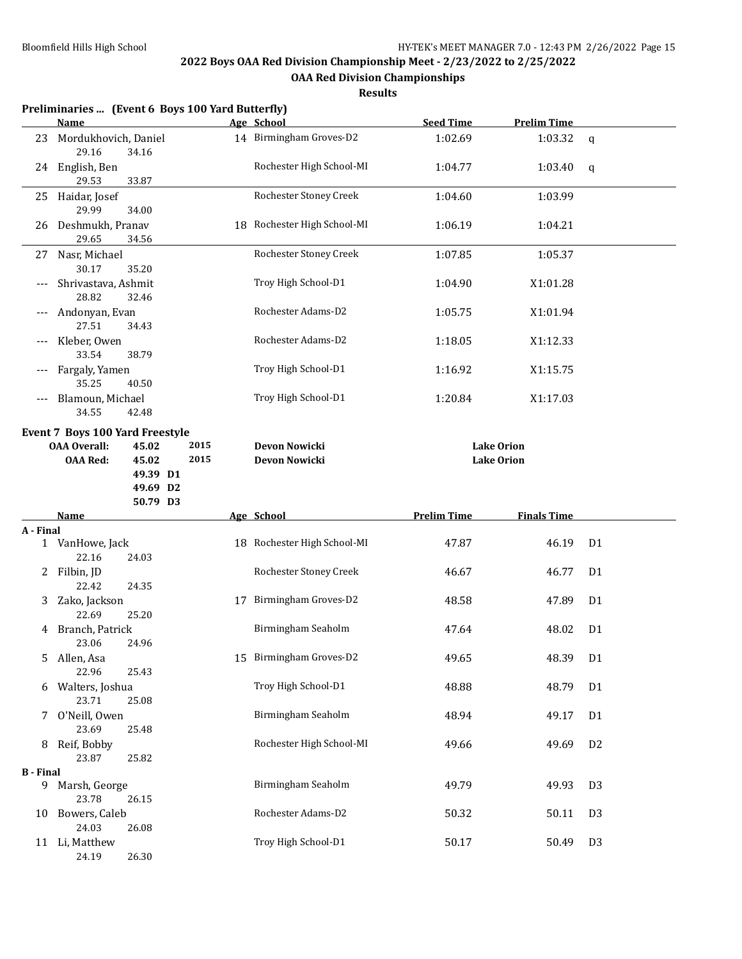**OAA Red Division Championships**

| Results |
|---------|
|---------|

|                  |                                 |          | Preliminaries  (Event 6 Boys 100 Yard Butterfly) |                             |                    |                    |                |
|------------------|---------------------------------|----------|--------------------------------------------------|-----------------------------|--------------------|--------------------|----------------|
|                  | Name                            |          |                                                  | Age School                  | <b>Seed Time</b>   | <b>Prelim Time</b> |                |
| 23               | Mordukhovich, Daniel<br>29.16   | 34.16    |                                                  | 14 Birmingham Groves-D2     | 1:02.69            | 1:03.32            | $\mathsf{q}$   |
|                  | 24 English, Ben<br>29.53        | 33.87    |                                                  | Rochester High School-MI    | 1:04.77            | 1:03.40            | q              |
| 25               | Haidar, Josef<br>29.99          | 34.00    |                                                  | Rochester Stoney Creek      | 1:04.60            | 1:03.99            |                |
| 26               | Deshmukh, Pranav<br>29.65       | 34.56    |                                                  | 18 Rochester High School-MI | 1:06.19            | 1:04.21            |                |
| 27               | Nasr, Michael<br>30.17          | 35.20    |                                                  | Rochester Stoney Creek      | 1:07.85            | 1:05.37            |                |
|                  | Shrivastava, Ashmit<br>28.82    | 32.46    |                                                  | Troy High School-D1         | 1:04.90            | X1:01.28           |                |
|                  | Andonyan, Evan<br>27.51         | 34.43    |                                                  | Rochester Adams-D2          | 1:05.75            | X1:01.94           |                |
|                  | Kleber, Owen<br>33.54           | 38.79    |                                                  | Rochester Adams-D2          | 1:18.05            | X1:12.33           |                |
|                  | Fargaly, Yamen<br>35.25         | 40.50    |                                                  | Troy High School-D1         | 1:16.92            | X1:15.75           |                |
| ---              | Blamoun, Michael<br>34.55       | 42.48    |                                                  | Troy High School-D1         | 1:20.84            | X1:17.03           |                |
|                  | Event 7 Boys 100 Yard Freestyle |          |                                                  |                             |                    |                    |                |
|                  | <b>OAA Overall:</b>             | 45.02    | 2015                                             | Devon Nowicki               |                    | <b>Lake Orion</b>  |                |
|                  | <b>OAA Red:</b>                 | 45.02    | 2015                                             | Devon Nowicki               |                    | <b>Lake Orion</b>  |                |
|                  |                                 | 49.39 D1 |                                                  |                             |                    |                    |                |
|                  |                                 | 49.69 D2 |                                                  |                             |                    |                    |                |
|                  |                                 | 50.79 D3 |                                                  |                             |                    |                    |                |
|                  | Name                            |          |                                                  | Age School                  | <b>Prelim Time</b> | <b>Finals Time</b> |                |
| A - Final        |                                 |          |                                                  |                             |                    |                    |                |
| $\mathbf{1}$     | VanHowe, Jack                   |          |                                                  | 18 Rochester High School-MI | 47.87              | 46.19              | D <sub>1</sub> |
|                  | 22.16                           | 24.03    |                                                  | Rochester Stoney Creek      | 46.67              | 46.77              | D <sub>1</sub> |
| 2                | Filbin, JD<br>22.42             | 24.35    |                                                  |                             |                    |                    |                |
| 3                | Zako, Jackson                   |          | 17                                               | Birmingham Groves-D2        | 48.58              | 47.89              | D <sub>1</sub> |
|                  | 22.69                           | 25.20    |                                                  |                             |                    |                    |                |
| 4                | Branch, Patrick<br>23.06        | 24.96    |                                                  | Birmingham Seaholm          | 47.64              | 48.02              | D <sub>1</sub> |
| 5.               | Allen, Asa<br>22.96             | 25.43    |                                                  | 15 Birmingham Groves-D2     | 49.65              | 48.39              | D <sub>1</sub> |
| 6                | Walters, Joshua<br>23.71        | 25.08    |                                                  | Troy High School-D1         | 48.88              | 48.79              | D <sub>1</sub> |
| 7                | O'Neill, Owen<br>23.69          | 25.48    |                                                  | Birmingham Seaholm          | 48.94              | 49.17              | D <sub>1</sub> |
| 8                | Reif, Bobby<br>23.87            | 25.82    |                                                  | Rochester High School-MI    | 49.66              | 49.69              | D <sub>2</sub> |
| <b>B</b> - Final |                                 |          |                                                  |                             |                    |                    |                |
| 9                | Marsh, George<br>23.78          | 26.15    |                                                  | Birmingham Seaholm          | 49.79              | 49.93              | D <sub>3</sub> |
| 10               | Bowers, Caleb<br>24.03          | 26.08    |                                                  | Rochester Adams-D2          | 50.32              | 50.11              | D <sub>3</sub> |
|                  | 11 Li, Matthew<br>24.19         | 26.30    |                                                  | Troy High School-D1         | 50.17              | 50.49              | D <sub>3</sub> |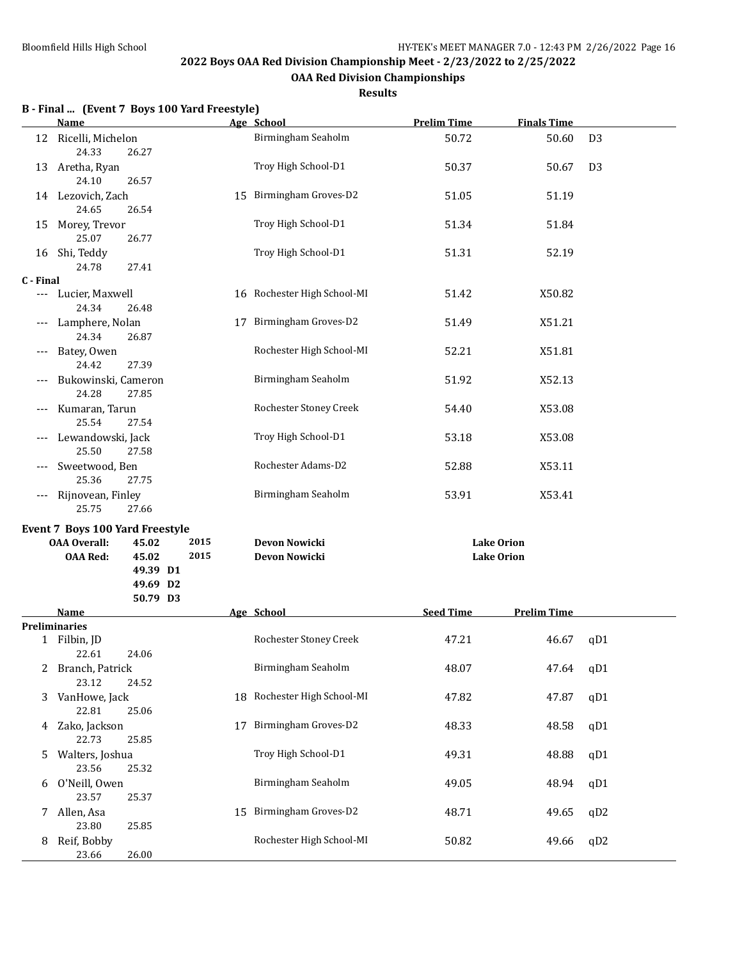**OAA Red Division Championships**

**Results**

| 50.60<br>50.67<br>51.19<br>51.84<br>52.19<br>X50.82<br>X51.21 | D <sub>3</sub><br>D <sub>3</sub> |
|---------------------------------------------------------------|----------------------------------|
|                                                               |                                  |
|                                                               |                                  |
|                                                               |                                  |
|                                                               |                                  |
|                                                               |                                  |
|                                                               |                                  |
|                                                               |                                  |
|                                                               |                                  |
| X51.81                                                        |                                  |
| X52.13                                                        |                                  |
| X53.08                                                        |                                  |
| X53.08                                                        |                                  |
| X53.11                                                        |                                  |
| X53.41                                                        |                                  |
|                                                               |                                  |
|                                                               |                                  |
|                                                               |                                  |
|                                                               |                                  |
|                                                               |                                  |
| 46.67                                                         | qD1                              |
| 47.64                                                         | qD1                              |
| 47.87                                                         | qD1                              |
| 48.33<br>48.58                                                |                                  |
| 48.88                                                         | qD1                              |
| 48.94                                                         | qD1                              |
| 49.65                                                         | qD2                              |
| 49.66                                                         | qD2                              |
|                                                               | <b>Prelim Time</b>               |

## **B - Final ... (Event 7 Boys 100 Yard Freestyle)**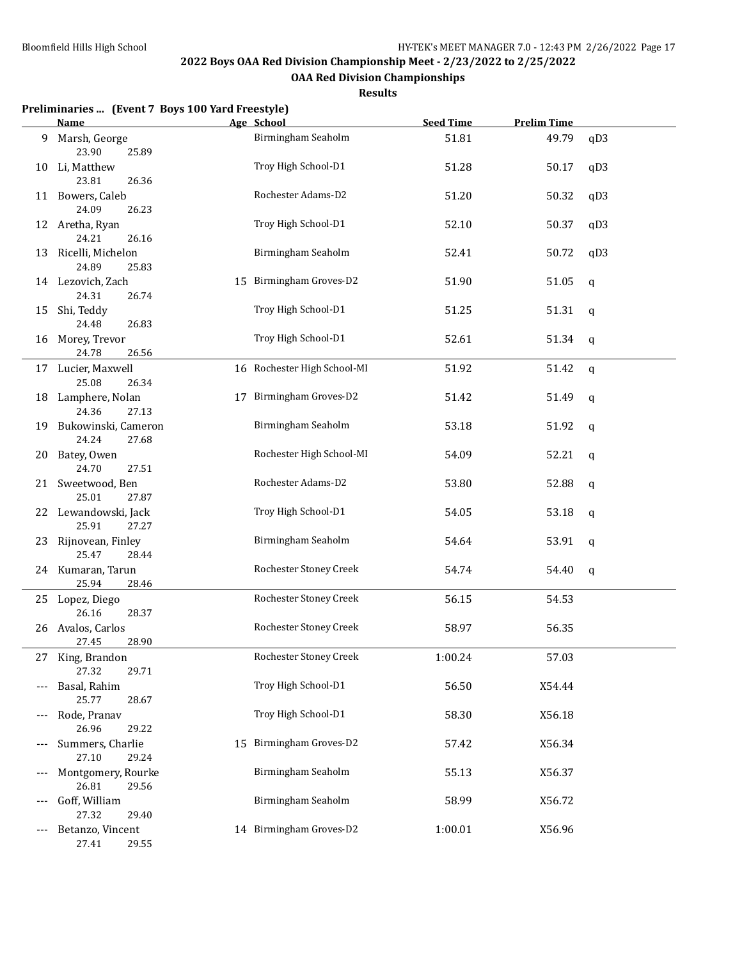**OAA Red Division Championships**

#### **Results**

|     | Preliminaries  (Event 7 Boys 100 Yard Freestyle)      |    |                               |                  |                    |              |
|-----|-------------------------------------------------------|----|-------------------------------|------------------|--------------------|--------------|
|     | Name                                                  |    | Age School                    | <b>Seed Time</b> | <b>Prelim Time</b> |              |
| 9   | Marsh, George<br>23.90<br>25.89                       |    | Birmingham Seaholm            | 51.81            | 49.79              | qD3          |
| 10  | Li, Matthew<br>23.81<br>26.36                         |    | Troy High School-D1           | 51.28            | 50.17              | qD3          |
| 11  | Bowers, Caleb<br>24.09<br>26.23                       |    | Rochester Adams-D2            | 51.20            | 50.32              | qD3          |
|     | 12 Aretha, Ryan                                       |    | Troy High School-D1           | 52.10            | 50.37              | qD3          |
| 13  | 24.21<br>26.16<br>Ricelli, Michelon                   |    | Birmingham Seaholm            | 52.41            | 50.72              | qD3          |
|     | 24.89<br>25.83<br>14 Lezovich, Zach<br>24.31<br>26.74 |    | 15 Birmingham Groves-D2       | 51.90            | 51.05              | $\mathbf q$  |
| 15  | Shi, Teddy<br>24.48<br>26.83                          |    | Troy High School-D1           | 51.25            | 51.31              | $\mathsf{q}$ |
| 16  | Morey, Trevor<br>24.78<br>26.56                       |    | Troy High School-D1           | 52.61            | 51.34              | q            |
|     | 17 Lucier, Maxwell<br>25.08<br>26.34                  |    | 16 Rochester High School-MI   | 51.92            | 51.42              | q            |
| 18  | Lamphere, Nolan<br>24.36<br>27.13                     | 17 | Birmingham Groves-D2          | 51.42            | 51.49              | q            |
| 19  | Bukowinski, Cameron<br>24.24<br>27.68                 |    | Birmingham Seaholm            | 53.18            | 51.92              | q            |
| 20  | Batey, Owen<br>24.70<br>27.51                         |    | Rochester High School-MI      | 54.09            | 52.21              | q            |
| 21  | Sweetwood, Ben<br>25.01<br>27.87                      |    | Rochester Adams-D2            | 53.80            | 52.88              | q            |
|     | 22 Lewandowski, Jack<br>25.91<br>27.27                |    | Troy High School-D1           | 54.05            | 53.18              | $\mathbf q$  |
| 23  | Rijnovean, Finley<br>25.47<br>28.44                   |    | Birmingham Seaholm            | 54.64            | 53.91              | q            |
|     | 24 Kumaran, Tarun<br>25.94<br>28.46                   |    | Rochester Stoney Creek        | 54.74            | 54.40              | q            |
|     | 25 Lopez, Diego<br>26.16<br>28.37                     |    | Rochester Stoney Creek        | 56.15            | 54.53              |              |
|     | 26 Avalos, Carlos<br>28.90<br>27.45                   |    | <b>Rochester Stoney Creek</b> | 58.97            | 56.35              |              |
|     | 27 King, Brandon<br>27.32<br>29.71                    |    | Rochester Stoney Creek        | 1:00.24          | 57.03              |              |
|     | Basal, Rahim<br>25.77<br>28.67                        |    | Troy High School-D1           | 56.50            | X54.44             |              |
| --- | Rode, Pranav<br>26.96<br>29.22                        |    | Troy High School-D1           | 58.30            | X56.18             |              |
| --- | Summers, Charlie<br>27.10<br>29.24                    | 15 | Birmingham Groves-D2          | 57.42            | X56.34             |              |
| --- | Montgomery, Rourke<br>26.81<br>29.56                  |    | Birmingham Seaholm            | 55.13            | X56.37             |              |
| --- | Goff, William<br>27.32<br>29.40                       |    | Birmingham Seaholm            | 58.99            | X56.72             |              |
| --- | Betanzo, Vincent                                      |    | 14 Birmingham Groves-D2       | 1:00.01          | X56.96             |              |

27.41 29.55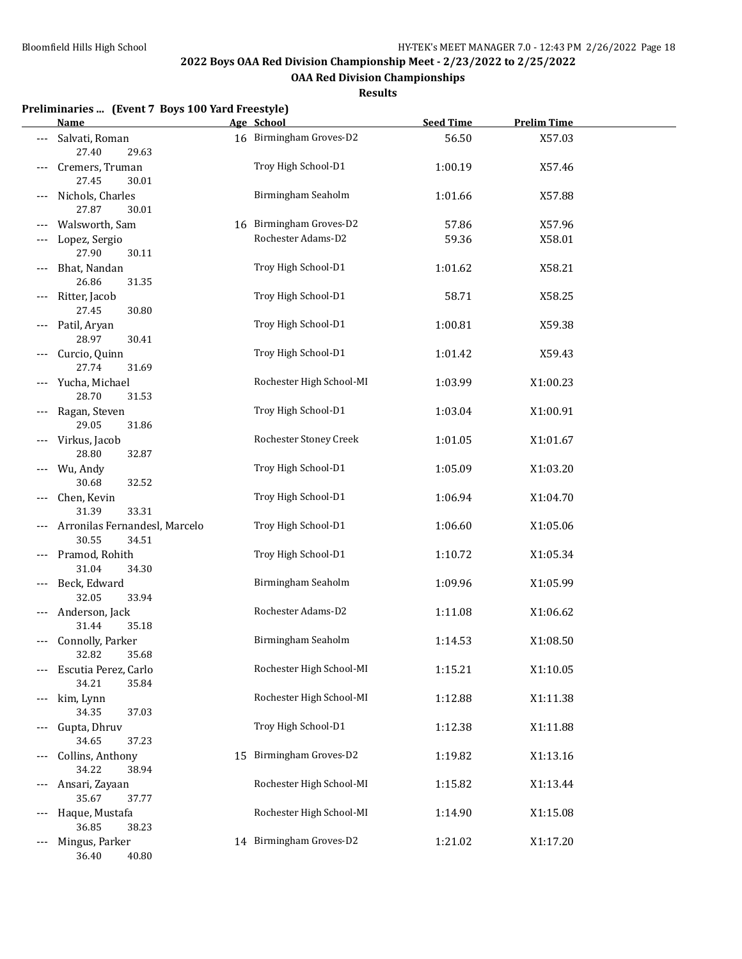**OAA Red Division Championships**

#### **Results**

#### **Preliminaries ... (Event 7 Boys 100 Yard Freestyle)**

|       | <u>Name_</u>                                       |    | Age School               | <b>Seed Time</b> | <b>Prelim Time</b> |
|-------|----------------------------------------------------|----|--------------------------|------------------|--------------------|
|       | Salvati, Roman<br>27.40<br>29.63                   |    | 16 Birmingham Groves-D2  | 56.50            | X57.03             |
|       | Cremers, Truman<br>27.45<br>30.01                  |    | Troy High School-D1      | 1:00.19          | X57.46             |
|       | Nichols, Charles<br>27.87<br>30.01                 |    | Birmingham Seaholm       | 1:01.66          | X57.88             |
|       | Walsworth, Sam                                     |    | 16 Birmingham Groves-D2  | 57.86            | X57.96             |
|       | Lopez, Sergio                                      |    | Rochester Adams-D2       | 59.36            | X58.01             |
|       | 27.90<br>30.11                                     |    |                          |                  |                    |
|       | Bhat, Nandan<br>26.86<br>31.35                     |    | Troy High School-D1      | 1:01.62          | X58.21             |
|       | Ritter, Jacob<br>27.45<br>30.80                    |    | Troy High School-D1      | 58.71            | X58.25             |
|       | Patil, Aryan<br>28.97<br>30.41                     |    | Troy High School-D1      | 1:00.81          | X59.38             |
|       | Curcio, Quinn<br>27.74<br>31.69                    |    | Troy High School-D1      | 1:01.42          | X59.43             |
|       | Yucha, Michael<br>28.70<br>31.53                   |    | Rochester High School-MI | 1:03.99          | X1:00.23           |
|       | Ragan, Steven<br>29.05<br>31.86                    |    | Troy High School-D1      | 1:03.04          | X1:00.91           |
|       | Virkus, Jacob<br>28.80<br>32.87                    |    | Rochester Stoney Creek   | 1:01.05          | X1:01.67           |
|       | Wu, Andy<br>32.52                                  |    | Troy High School-D1      | 1:05.09          | X1:03.20           |
|       | 30.68<br>Chen, Kevin                               |    | Troy High School-D1      | 1:06.94          | X1:04.70           |
|       | 33.31<br>31.39<br>Arronilas Fernandesl, Marcelo    |    | Troy High School-D1      | 1:06.60          | X1:05.06           |
|       | 30.55<br>34.51<br>Pramod, Rohith                   |    | Troy High School-D1      | 1:10.72          | X1:05.34           |
|       | 31.04<br>34.30<br>Beck, Edward                     |    | Birmingham Seaholm       | 1:09.96          | X1:05.99           |
| $---$ | 32.05<br>33.94<br>Anderson, Jack                   |    | Rochester Adams-D2       | 1:11.08          | X1:06.62           |
| $---$ | 31.44<br>35.18<br>Connolly, Parker                 |    | Birmingham Seaholm       | 1:14.53          | X1:08.50           |
|       | 32.82<br>35.68<br>Escutia Perez, Carlo             |    | Rochester High School-MI | 1:15.21          | X1:10.05           |
| $---$ | 34.21<br>35.84<br>kim, Lynn                        |    | Rochester High School-MI | 1:12.88          | X1:11.38           |
|       | 34.35<br>37.03<br>Gupta, Dhruv                     |    | Troy High School-D1      | 1:12.38          | X1:11.88           |
|       | 34.65<br>37.23<br>Collins, Anthony                 | 15 | Birmingham Groves-D2     | 1:19.82          | X1:13.16           |
|       | 34.22<br>38.94<br>Ansari, Zayaan                   |    | Rochester High School-MI | 1:15.82          | X1:13.44           |
|       | 35.67<br>37.77<br>Haque, Mustafa                   |    | Rochester High School-MI | 1:14.90          | X1:15.08           |
| $---$ | 36.85<br>38.23<br>Mingus, Parker<br>36.40<br>40.80 |    | 14 Birmingham Groves-D2  | 1:21.02          | X1:17.20           |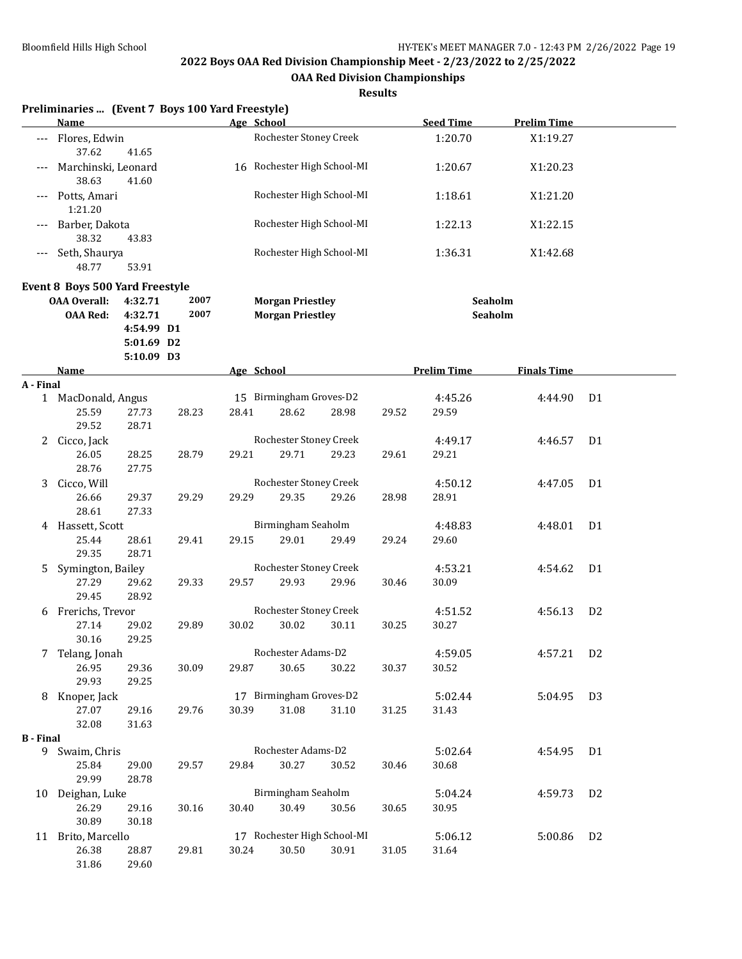**OAA Red Division Championships**

|                       | Preliminaries  (Event 7 Boys 100 Yard Freestyle)                                                                       |                |                                                    |       | Age School                       |                          |                    |                    |                    |                |
|-----------------------|------------------------------------------------------------------------------------------------------------------------|----------------|----------------------------------------------------|-------|----------------------------------|--------------------------|--------------------|--------------------|--------------------|----------------|
|                       | <b>Name</b>                                                                                                            |                |                                                    |       |                                  |                          |                    | <b>Seed Time</b>   | <b>Prelim Time</b> |                |
| ---                   | Flores, Edwin<br>37.62                                                                                                 | 41.65          |                                                    |       | Rochester Stoney Creek           |                          |                    | 1:20.70            | X1:19.27           |                |
|                       | Marchinski, Leonard<br>38.63                                                                                           | 41.60          |                                                    |       | 16 Rochester High School-MI      |                          |                    | 1:20.67            | X1:20.23           |                |
|                       | Potts, Amari<br>1:21.20                                                                                                |                |                                                    |       |                                  | Rochester High School-MI |                    | 1:18.61            | X1:21.20           |                |
|                       | Barber, Dakota<br>38.32                                                                                                | 43.83          |                                                    |       |                                  | Rochester High School-MI |                    | 1:22.13            | X1:22.15           |                |
|                       | Seth, Shaurya<br>48.77                                                                                                 | 53.91          |                                                    |       | Rochester High School-MI         |                          |                    | 1:36.31            | X1:42.68           |                |
|                       | Event 8 Boys 500 Yard Freestyle                                                                                        |                |                                                    |       |                                  |                          |                    |                    |                    |                |
|                       | 2007<br><b>OAA Overall:</b><br>4:32.71<br>2007<br><b>OAA Red:</b><br>4:32.71<br>4:54.99 D1<br>5:01.69 D2<br>5:10.09 D3 |                | <b>Morgan Priestley</b><br><b>Morgan Priestley</b> |       |                                  |                          | Seaholm<br>Seaholm |                    |                    |                |
|                       | Name                                                                                                                   |                |                                                    |       | Age School                       |                          |                    | <b>Prelim Time</b> | <b>Finals Time</b> |                |
| A - Final             |                                                                                                                        |                |                                                    |       |                                  |                          |                    |                    |                    |                |
|                       | 1 MacDonald, Angus<br>25.59<br>29.52                                                                                   | 27.73<br>28.71 | 28.23                                              | 28.41 | 15 Birmingham Groves-D2<br>28.62 | 28.98                    | 29.52              | 4:45.26<br>29.59   | 4:44.90            | D <sub>1</sub> |
| 2                     | Cicco, Jack                                                                                                            |                |                                                    |       | Rochester Stoney Creek           |                          |                    | 4:49.17            | 4:46.57            | D <sub>1</sub> |
|                       | 26.05<br>28.76                                                                                                         | 28.25<br>27.75 | 28.79                                              | 29.21 | 29.71                            | 29.23                    | 29.61              | 29.21              |                    |                |
| 3                     | Cicco, Will                                                                                                            |                |                                                    |       | Rochester Stoney Creek           |                          |                    | 4:50.12            | 4:47.05            | D <sub>1</sub> |
|                       | 26.66<br>28.61                                                                                                         | 29.37<br>27.33 | 29.29                                              | 29.29 | 29.35                            | 29.26                    | 28.98              | 28.91              |                    |                |
| 4                     | Hassett, Scott                                                                                                         |                |                                                    |       | Birmingham Seaholm               |                          |                    | 4:48.83            | 4:48.01            | D <sub>1</sub> |
|                       | 25.44<br>29.35                                                                                                         | 28.61<br>28.71 | 29.41                                              | 29.15 | 29.01                            | 29.49                    | 29.24              | 29.60              |                    |                |
| 5                     | Symington, Bailey                                                                                                      |                |                                                    |       | Rochester Stoney Creek           |                          |                    | 4:53.21            | 4:54.62            | D <sub>1</sub> |
|                       | 27.29<br>29.45                                                                                                         | 29.62<br>28.92 | 29.33                                              | 29.57 | 29.93                            | 29.96                    | 30.46              | 30.09              |                    |                |
| 6                     | Frerichs, Trevor                                                                                                       |                |                                                    |       | Rochester Stoney Creek           |                          |                    | 4:51.52            | 4:56.13            | D <sub>2</sub> |
|                       | 27.14<br>30.16                                                                                                         | 29.02<br>29.25 | 29.89                                              | 30.02 | 30.02                            | 30.11                    | 30.25              | 30.27              |                    |                |
|                       | Telang, Jonah                                                                                                          |                |                                                    |       | Rochester Adams-D2               |                          |                    | 4:59.05            | 4:57.21            | D <sub>2</sub> |
|                       | 26.95<br>29.93                                                                                                         | 29.36<br>29.25 | 30.09                                              | 29.87 | 30.65                            | 30.22                    | 30.37              | 30.52              |                    |                |
|                       | 8 Knoper, Jack                                                                                                         |                |                                                    |       | 17 Birmingham Groves-D2          |                          |                    | 5:02.44            | 5:04.95            | D <sub>3</sub> |
|                       | 27.07                                                                                                                  | 29.16          | 29.76                                              | 30.39 | 31.08                            | 31.10                    | 31.25              | 31.43              |                    |                |
|                       | 32.08                                                                                                                  | 31.63          |                                                    |       |                                  |                          |                    |                    |                    |                |
| <b>B</b> - Final<br>9 | Swaim, Chris                                                                                                           |                |                                                    |       | Rochester Adams-D2               |                          |                    | 5:02.64            |                    | D <sub>1</sub> |
|                       | 25.84<br>29.99                                                                                                         | 29.00<br>28.78 | 29.57                                              | 29.84 | 30.27                            | 30.52                    | 30.46              | 30.68              | 4:54.95            |                |
|                       | 10 Deighan, Luke                                                                                                       |                |                                                    |       | Birmingham Seaholm               |                          |                    | 5:04.24            | 4:59.73            | D <sub>2</sub> |
|                       | 26.29<br>30.89                                                                                                         | 29.16<br>30.18 | 30.16                                              | 30.40 | 30.49                            | 30.56                    | 30.65              | 30.95              |                    |                |
|                       | 11 Brito, Marcello                                                                                                     |                |                                                    |       | 17 Rochester High School-MI      |                          |                    | 5:06.12            | 5:00.86            | D <sub>2</sub> |
|                       | 26.38<br>31.86                                                                                                         | 28.87<br>29.60 | 29.81                                              | 30.24 | 30.50                            | 30.91                    | 31.05              | 31.64              |                    |                |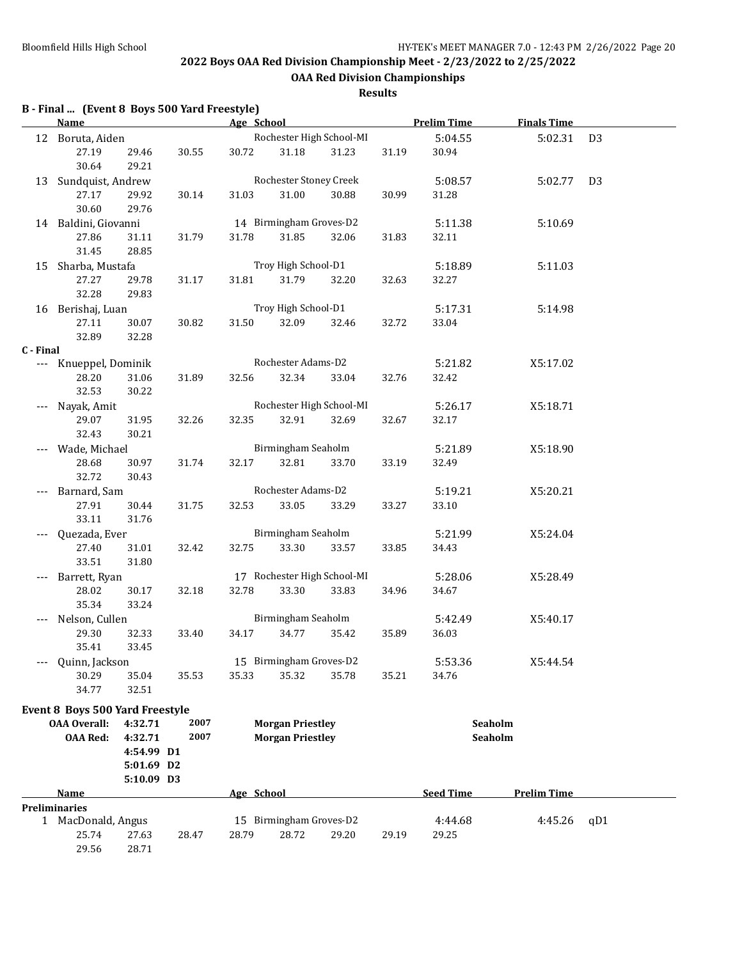**OAA Red Division Championships**

### **Results**

## **B - Final ... (Event 8 Boys 500 Yard Freestyle)**

|           | Age School<br><b>Name</b>              |            |       |                  |                         |                             | <b>Prelim Time</b> | <b>Finals Time</b> |                |                |  |
|-----------|----------------------------------------|------------|-------|------------------|-------------------------|-----------------------------|--------------------|--------------------|----------------|----------------|--|
|           | 12 Boruta, Aiden                       |            |       |                  |                         | Rochester High School-MI    |                    | 5:04.55            | 5:02.31        | D <sub>3</sub> |  |
|           | 27.19                                  | 29.46      | 30.55 | 30.72            | 31.18                   | 31.23                       | 31.19              | 30.94              |                |                |  |
|           | 30.64                                  | 29.21      |       |                  |                         |                             |                    |                    |                |                |  |
|           | 13 Sundquist, Andrew                   |            |       |                  | Rochester Stoney Creek  |                             |                    | 5:08.57            | 5:02.77        | D <sub>3</sub> |  |
|           | 27.17                                  | 29.92      | 30.14 | 31.03            | 31.00                   | 30.88                       | 30.99              | 31.28              |                |                |  |
|           | 30.60                                  | 29.76      |       |                  |                         |                             |                    |                    |                |                |  |
|           | 14 Baldini, Giovanni                   |            |       |                  | 14 Birmingham Groves-D2 |                             |                    | 5:11.38            | 5:10.69        |                |  |
|           | 27.86                                  | 31.11      | 31.79 | 31.78            | 31.85                   | 32.06                       | 31.83              | 32.11              |                |                |  |
|           | 31.45                                  | 28.85      |       |                  |                         |                             |                    |                    |                |                |  |
|           | 15 Sharba, Mustafa                     |            |       |                  | Troy High School-D1     |                             |                    | 5:18.89            | 5:11.03        |                |  |
|           | 27.27                                  | 29.78      | 31.17 | 31.81            | 31.79                   | 32.20                       | 32.63              | 32.27              |                |                |  |
|           | 32.28                                  | 29.83      |       |                  |                         |                             |                    |                    |                |                |  |
|           | 16 Berishaj, Luan                      |            |       |                  | Troy High School-D1     |                             |                    | 5:17.31            | 5:14.98        |                |  |
|           | 27.11                                  | 30.07      | 30.82 | 31.50            | 32.09                   | 32.46                       | 32.72              | 33.04              |                |                |  |
|           | 32.89                                  | 32.28      |       |                  |                         |                             |                    |                    |                |                |  |
| C - Final |                                        |            |       |                  |                         |                             |                    |                    |                |                |  |
| ---       | Knueppel, Dominik                      |            |       |                  | Rochester Adams-D2      |                             |                    | 5:21.82            | X5:17.02       |                |  |
|           | 28.20                                  | 31.06      | 31.89 | 32.56            | 32.34                   | 33.04                       | 32.76              | 32.42              |                |                |  |
|           | 32.53                                  | 30.22      |       |                  |                         |                             |                    |                    |                |                |  |
|           | Nayak, Amit                            |            |       |                  |                         | Rochester High School-MI    |                    | 5:26.17            | X5:18.71       |                |  |
|           | 29.07                                  | 31.95      | 32.26 | 32.35            | 32.91                   | 32.69                       | 32.67              | 32.17              |                |                |  |
|           | 32.43                                  | 30.21      |       |                  |                         |                             |                    |                    |                |                |  |
|           | Wade, Michael                          |            |       |                  | Birmingham Seaholm      |                             |                    | 5:21.89            | X5:18.90       |                |  |
|           | 28.68                                  | 30.97      | 31.74 | 32.17            | 32.81                   | 33.70                       | 33.19              | 32.49              |                |                |  |
|           | 32.72                                  | 30.43      |       |                  |                         |                             |                    |                    |                |                |  |
|           | Barnard, Sam                           |            |       |                  | Rochester Adams-D2      |                             |                    | 5:19.21            | X5:20.21       |                |  |
|           | 27.91                                  | 30.44      | 31.75 | 32.53            | 33.05                   | 33.29                       | 33.27              | 33.10              |                |                |  |
|           | 33.11                                  | 31.76      |       |                  |                         |                             |                    |                    |                |                |  |
|           | Quezada, Ever                          |            |       |                  | Birmingham Seaholm      |                             |                    | 5:21.99            | X5:24.04       |                |  |
|           | 27.40                                  | 31.01      | 32.42 | 32.75            | 33.30                   | 33.57                       | 33.85              | 34.43              |                |                |  |
|           | 33.51                                  | 31.80      |       |                  |                         |                             |                    |                    |                |                |  |
|           | Barrett, Ryan                          |            |       |                  |                         | 17 Rochester High School-MI |                    | 5:28.06            | X5:28.49       |                |  |
|           | 28.02                                  | 30.17      | 32.18 | 32.78            | 33.30                   | 33.83                       | 34.96              | 34.67              |                |                |  |
|           | 35.34                                  | 33.24      |       |                  |                         |                             |                    |                    |                |                |  |
|           | Nelson, Cullen                         |            |       |                  | Birmingham Seaholm      |                             |                    | 5:42.49            | X5:40.17       |                |  |
|           | 29.30                                  | 32.33      | 33.40 | 34.17            | 34.77                   | 35.42                       | 35.89              | 36.03              |                |                |  |
|           | 35.41                                  | 33.45      |       |                  |                         |                             |                    |                    |                |                |  |
|           | Quinn, Jackson                         |            |       |                  | 15 Birmingham Groves-D2 |                             |                    | 5:53.36            | X5:44.54       |                |  |
|           | 30.29                                  | 35.04      | 35.53 | 35.33            | 35.32                   | 35.78                       | 35.21              | 34.76              |                |                |  |
|           | 34.77                                  | 32.51      |       |                  |                         |                             |                    |                    |                |                |  |
|           | <b>Event 8 Boys 500 Yard Freestyle</b> |            |       |                  |                         |                             |                    |                    |                |                |  |
|           | <b>OAA Overall:</b>                    | 4:32.71    | 2007  |                  | <b>Morgan Priestley</b> |                             |                    |                    | <b>Seaholm</b> |                |  |
|           | <b>OAA Red:</b>                        | 4:32.71    | 2007  |                  | <b>Morgan Priestley</b> |                             |                    |                    | Seaholm        |                |  |
|           |                                        | 4:54.99 D1 |       |                  |                         |                             |                    |                    |                |                |  |
|           | 5:01.69 D2                             |            |       |                  |                         |                             |                    |                    |                |                |  |
|           |                                        | 5:10.09 D3 |       |                  |                         |                             |                    |                    |                |                |  |
|           | Name<br>Age School                     |            |       | <b>Seed Time</b> | <b>Prelim Time</b>      |                             |                    |                    |                |                |  |
|           | <b>Preliminaries</b>                   |            |       |                  |                         |                             |                    |                    |                |                |  |
|           | 1 MacDonald, Angus                     |            |       |                  | 15 Birmingham Groves-D2 |                             |                    | 4:44.68            | 4:45.26        | qD1            |  |
|           | 25.74                                  | 27.63      | 28.47 | 28.79            | 28.72                   | 29.20                       | 29.19              | 29.25              |                |                |  |
|           | 29.56                                  | 28.71      |       |                  |                         |                             |                    |                    |                |                |  |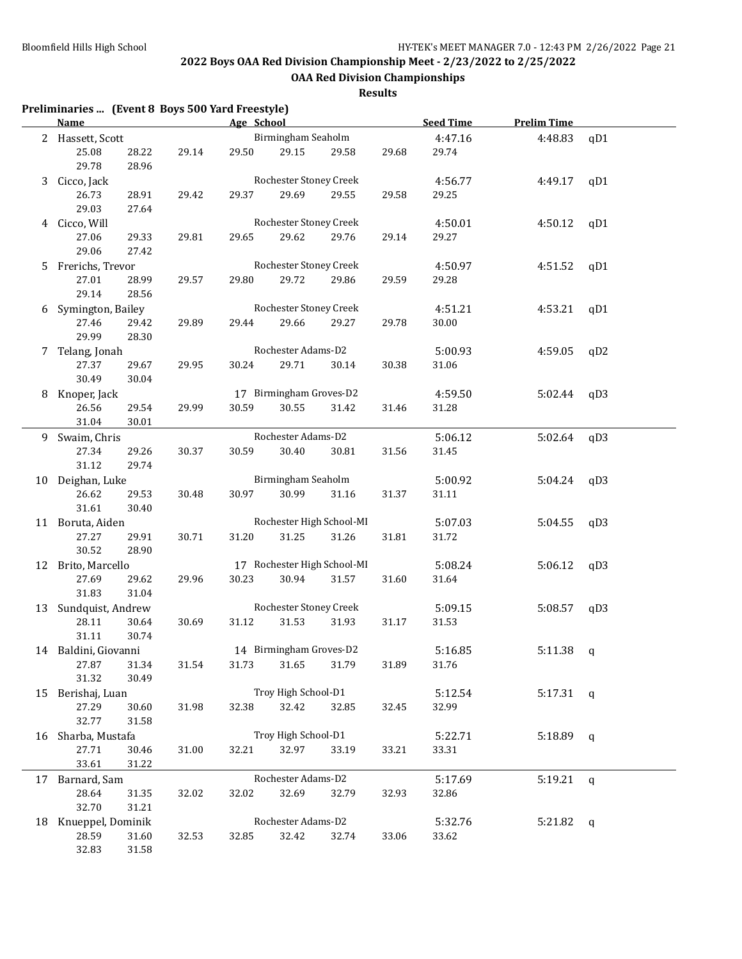**Preliminaries ... (Event 8 Boys 500 Yard Freestyle)**

## **2022 Boys OAA Red Division Championship Meet - 2/23/2022 to 2/25/2022**

**OAA Red Division Championships**

|    | Name                 |       |       | Age School |                         |                             |       | <b>Seed Time</b> | <b>Prelim Time</b> |             |
|----|----------------------|-------|-------|------------|-------------------------|-----------------------------|-------|------------------|--------------------|-------------|
|    | 2 Hassett, Scott     |       |       |            | Birmingham Seaholm      |                             |       | 4:47.16          | 4:48.83            | qD1         |
|    | 25.08                | 28.22 | 29.14 | 29.50      | 29.15                   | 29.58                       | 29.68 | 29.74            |                    |             |
|    | 29.78                | 28.96 |       |            |                         |                             |       |                  |                    |             |
| 3  | Cicco, Jack          |       |       |            | Rochester Stoney Creek  |                             |       | 4:56.77          | 4:49.17            | qD1         |
|    | 26.73                | 28.91 | 29.42 | 29.37      | 29.69                   | 29.55                       | 29.58 | 29.25            |                    |             |
|    | 29.03                | 27.64 |       |            |                         |                             |       |                  |                    |             |
|    | 4 Cicco, Will        |       |       |            | Rochester Stoney Creek  |                             |       | 4:50.01          | 4:50.12            | qD1         |
|    | 27.06                | 29.33 | 29.81 | 29.65      | 29.62                   | 29.76                       | 29.14 | 29.27            |                    |             |
|    | 29.06                | 27.42 |       |            |                         |                             |       |                  |                    |             |
|    | 5 Frerichs, Trevor   |       |       |            | Rochester Stoney Creek  |                             |       | 4:50.97          | 4:51.52            | qD1         |
|    | 27.01                | 28.99 | 29.57 | 29.80      | 29.72                   | 29.86                       | 29.59 | 29.28            |                    |             |
|    | 29.14                | 28.56 |       |            |                         |                             |       |                  |                    |             |
| 6  | Symington, Bailey    |       |       |            | Rochester Stoney Creek  |                             |       | 4:51.21          | 4:53.21            | qD1         |
|    | 27.46                | 29.42 | 29.89 | 29.44      | 29.66                   | 29.27                       | 29.78 | 30.00            |                    |             |
|    | 29.99                | 28.30 |       |            |                         |                             |       |                  |                    |             |
| 7  | Telang, Jonah        |       |       |            | Rochester Adams-D2      |                             |       | 5:00.93          | 4:59.05            | qD2         |
|    | 27.37                | 29.67 | 29.95 | 30.24      | 29.71                   | 30.14                       | 30.38 | 31.06            |                    |             |
|    | 30.49                | 30.04 |       |            |                         |                             |       |                  |                    |             |
| 8  | Knoper, Jack         |       |       |            | 17 Birmingham Groves-D2 |                             |       | 4:59.50          | 5:02.44            | qD3         |
|    | 26.56                | 29.54 | 29.99 | 30.59      | 30.55                   | 31.42                       | 31.46 | 31.28            |                    |             |
|    | 31.04                | 30.01 |       |            |                         |                             |       |                  |                    |             |
|    | 9 Swaim, Chris       |       |       |            | Rochester Adams-D2      |                             |       | 5:06.12          | 5:02.64            | qD3         |
|    | 27.34                | 29.26 | 30.37 | 30.59      | 30.40                   | 30.81                       | 31.56 | 31.45            |                    |             |
|    | 31.12                | 29.74 |       |            |                         |                             |       |                  |                    |             |
|    | 10 Deighan, Luke     |       |       |            | Birmingham Seaholm      |                             |       | 5:00.92          | 5:04.24            | qD3         |
|    | 26.62                | 29.53 | 30.48 | 30.97      | 30.99                   | 31.16                       | 31.37 | 31.11            |                    |             |
|    | 31.61                | 30.40 |       |            |                         |                             |       |                  |                    |             |
|    | 11 Boruta, Aiden     |       |       |            |                         | Rochester High School-MI    |       | 5:07.03          | 5:04.55            | qD3         |
|    | 27.27                | 29.91 | 30.71 | 31.20      | 31.25                   | 31.26                       | 31.81 | 31.72            |                    |             |
|    | 30.52                | 28.90 |       |            |                         |                             |       |                  |                    |             |
|    | 12 Brito, Marcello   |       |       |            |                         | 17 Rochester High School-MI |       | 5:08.24          | 5:06.12            | qD3         |
|    | 27.69                | 29.62 | 29.96 | 30.23      | 30.94                   | 31.57                       | 31.60 | 31.64            |                    |             |
|    | 31.83                | 31.04 |       |            |                         |                             |       |                  |                    |             |
|    | 13 Sundquist, Andrew |       |       |            | Rochester Stoney Creek  |                             |       | 5:09.15          | 5:08.57            | qD3         |
|    | 28.11                | 30.64 | 30.69 | 31.12      | 31.53                   | 31.93                       | 31.17 | 31.53            |                    |             |
|    | 31.11                | 30.74 |       |            |                         |                             |       |                  |                    |             |
|    | 14 Baldini, Giovanni |       |       |            | 14 Birmingham Groves-D2 |                             |       | 5:16.85          | 5:11.38            | q           |
|    | 27.87                | 31.34 | 31.54 | 31.73      | 31.65                   | 31.79                       | 31.89 | 31.76            |                    |             |
|    | 31.32                | 30.49 |       |            |                         |                             |       |                  |                    |             |
| 15 | Berishaj, Luan       |       |       |            | Troy High School-D1     |                             |       | 5:12.54          | $5:17.31$ q        |             |
|    | 27.29                | 30.60 | 31.98 | 32.38      | 32.42                   | 32.85                       | 32.45 | 32.99            |                    |             |
|    | 32.77                | 31.58 |       |            |                         |                             |       |                  |                    |             |
|    | 16 Sharba, Mustafa   |       |       |            | Troy High School-D1     |                             |       | 5:22.71          | 5:18.89            | q           |
|    | 27.71                | 30.46 | 31.00 | 32.21      | 32.97                   | 33.19                       | 33.21 | 33.31            |                    |             |
|    | 33.61                | 31.22 |       |            |                         |                             |       |                  |                    |             |
|    | 17 Barnard, Sam      |       |       |            | Rochester Adams-D2      |                             |       | 5:17.69          | 5:19.21            | $\mathbf q$ |
|    | 28.64                | 31.35 | 32.02 | 32.02      | 32.69                   | 32.79                       | 32.93 | 32.86            |                    |             |
|    | 32.70                | 31.21 |       |            |                         |                             |       |                  |                    |             |
|    | 18 Knueppel, Dominik |       |       |            | Rochester Adams-D2      |                             |       | 5:32.76          | $5:21.82$ q        |             |
|    | 28.59                | 31.60 | 32.53 | 32.85      | 32.42                   | 32.74                       | 33.06 | 33.62            |                    |             |
|    | 32.83                | 31.58 |       |            |                         |                             |       |                  |                    |             |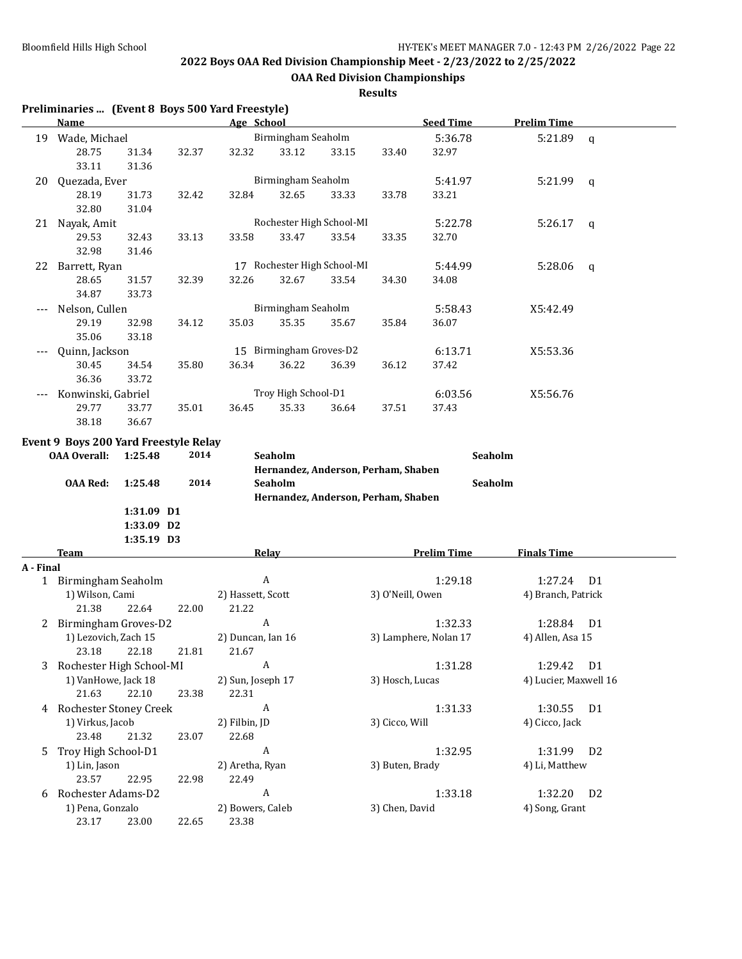**OAA Red Division Championships**

|              | Preliminaries  (Event 8 Boys 500 Yard Freestyle)             |            |       |                   |                             |       |                                     |                       |                       |                |
|--------------|--------------------------------------------------------------|------------|-------|-------------------|-----------------------------|-------|-------------------------------------|-----------------------|-----------------------|----------------|
|              | <b>Name</b>                                                  |            |       | Age School        |                             |       |                                     | <b>Seed Time</b>      | <b>Prelim Time</b>    |                |
|              | 19 Wade, Michael                                             |            |       |                   | Birmingham Seaholm          |       |                                     | 5:36.78               | 5:21.89               | $\mathsf{q}$   |
|              | 28.75                                                        | 31.34      | 32.37 | 32.32             | 33.12                       | 33.15 | 33.40                               | 32.97                 |                       |                |
|              | 33.11                                                        | 31.36      |       |                   |                             |       |                                     |                       |                       |                |
| 20           | Quezada, Ever                                                |            |       |                   | Birmingham Seaholm          |       |                                     | 5:41.97               | 5:21.99               | q              |
|              | 28.19                                                        | 31.73      | 32.42 | 32.84             | 32.65                       | 33.33 | 33.78                               | 33.21                 |                       |                |
|              | 32.80                                                        | 31.04      |       |                   |                             |       |                                     |                       |                       |                |
|              | 21 Nayak, Amit                                               |            |       |                   | Rochester High School-MI    |       |                                     | 5:22.78               | 5:26.17               | q              |
|              | 29.53                                                        | 32.43      | 33.13 | 33.58             | 33.47                       | 33.54 | 33.35                               | 32.70                 |                       |                |
|              | 32.98                                                        | 31.46      |       |                   |                             |       |                                     |                       |                       |                |
|              | 22 Barrett, Ryan                                             |            |       |                   | 17 Rochester High School-MI |       |                                     | 5:44.99               | 5:28.06               | q              |
|              | 28.65                                                        | 31.57      | 32.39 | 32.26             | 32.67                       | 33.54 | 34.30                               | 34.08                 |                       |                |
|              | 34.87                                                        | 33.73      |       |                   |                             |       |                                     |                       |                       |                |
|              | Nelson, Cullen                                               |            |       |                   | Birmingham Seaholm          |       |                                     | 5:58.43               | X5:42.49              |                |
|              | 29.19                                                        | 32.98      | 34.12 | 35.03             | 35.35                       | 35.67 | 35.84                               | 36.07                 |                       |                |
|              | 35.06                                                        | 33.18      |       |                   |                             |       |                                     |                       |                       |                |
|              | Quinn, Jackson                                               |            |       |                   | 15 Birmingham Groves-D2     |       |                                     | 6:13.71               | X5:53.36              |                |
|              | 30.45                                                        | 34.54      | 35.80 | 36.34             | 36.22                       | 36.39 | 36.12                               | 37.42                 |                       |                |
|              | 36.36                                                        | 33.72      |       |                   |                             |       |                                     |                       |                       |                |
|              | Konwinski, Gabriel                                           |            |       |                   | Troy High School-D1         |       |                                     | 6:03.56               | X5:56.76              |                |
|              | 29.77                                                        | 33.77      | 35.01 | 36.45             | 35.33                       | 36.64 | 37.51                               | 37.43                 |                       |                |
|              | 38.18                                                        | 36.67      |       |                   |                             |       |                                     |                       |                       |                |
|              | Event 9 Boys 200 Yard Freestyle Relay<br><b>OAA Overall:</b> | 1:25.48    | 2014  |                   | Seaholm                     |       | Hernandez, Anderson, Perham, Shaben |                       | Seaholm               |                |
|              | <b>OAA Red:</b>                                              | 1:25.48    | 2014  |                   | Seaholm                     |       |                                     | Seaholm               |                       |                |
|              |                                                              |            |       |                   |                             |       | Hernandez, Anderson, Perham, Shaben |                       |                       |                |
|              |                                                              | 1:31.09 D1 |       |                   |                             |       |                                     |                       |                       |                |
|              |                                                              | 1:33.09 D2 |       |                   |                             |       |                                     |                       |                       |                |
|              |                                                              | 1:35.19 D3 |       |                   |                             |       |                                     |                       |                       |                |
|              | Team                                                         |            |       |                   | <b>Relay</b>                |       |                                     | <b>Prelim Time</b>    | <b>Finals Time</b>    |                |
| A - Final    |                                                              |            |       |                   |                             |       |                                     |                       |                       |                |
|              | 1 Birmingham Seaholm                                         |            |       |                   | $\boldsymbol{A}$            |       |                                     | 1:29.18               | 1:27.24               | D <sub>1</sub> |
|              | 1) Wilson, Cami                                              |            |       | 2) Hassett, Scott |                             |       | 3) O'Neill, Owen                    |                       | 4) Branch, Patrick    |                |
|              | 21.38                                                        | 22.64      | 22.00 | 21.22             |                             |       |                                     |                       |                       |                |
| $\mathbf{Z}$ | Birmingham Groves-D2                                         |            |       |                   | A                           |       |                                     | 1:32.33               | 1:28.84               | D <sub>1</sub> |
|              | 1) Lezovich, Zach 15                                         |            |       | 2) Duncan, Ian 16 |                             |       |                                     | 3) Lamphere, Nolan 17 | 4) Allen, Asa 15      |                |
|              | 23.18                                                        | 22.18      | 21.81 | 21.67             |                             |       |                                     |                       |                       |                |
| 3            | Rochester High School-MI                                     |            |       |                   | A                           |       |                                     | 1:31.28               | 1:29.42               | D <sub>1</sub> |
|              | 1) VanHowe, Jack 18                                          |            |       | 2) Sun, Joseph 17 |                             |       | 3) Hosch, Lucas                     |                       | 4) Lucier, Maxwell 16 |                |
|              | 21.63                                                        | 22.10      | 23.38 | 22.31             |                             |       |                                     |                       |                       |                |
|              | 4 Rochester Stoney Creek                                     |            |       |                   | A                           |       |                                     | 1:31.33               | 1:30.55               | D <sub>1</sub> |
|              | 1) Virkus, Jacob                                             |            |       | 2) Filbin, JD     |                             |       | 3) Cicco, Will                      |                       | 4) Cicco, Jack        |                |
|              | 23.48                                                        | 21.32      | 23.07 | 22.68             |                             |       |                                     |                       |                       |                |
| 5            | Troy High School-D1                                          |            |       |                   | A                           |       |                                     | 1:32.95               | 1:31.99               | D <sub>2</sub> |
|              | 1) Lin, Jason                                                |            |       | 2) Aretha, Ryan   |                             |       | 3) Buten, Brady                     |                       | 4) Li, Matthew        |                |
|              | 23.57                                                        | 22.95      | 22.98 | 22.49             |                             |       |                                     |                       |                       |                |
| 6            | Rochester Adams-D2                                           |            |       |                   | A                           |       |                                     | 1:33.18               | 1:32.20               | D <sub>2</sub> |
|              | 1) Pena, Gonzalo                                             |            |       | 2) Bowers, Caleb  |                             |       | 3) Chen, David                      |                       | 4) Song, Grant        |                |
|              | 23.17                                                        | 23.00      | 22.65 | 23.38             |                             |       |                                     |                       |                       |                |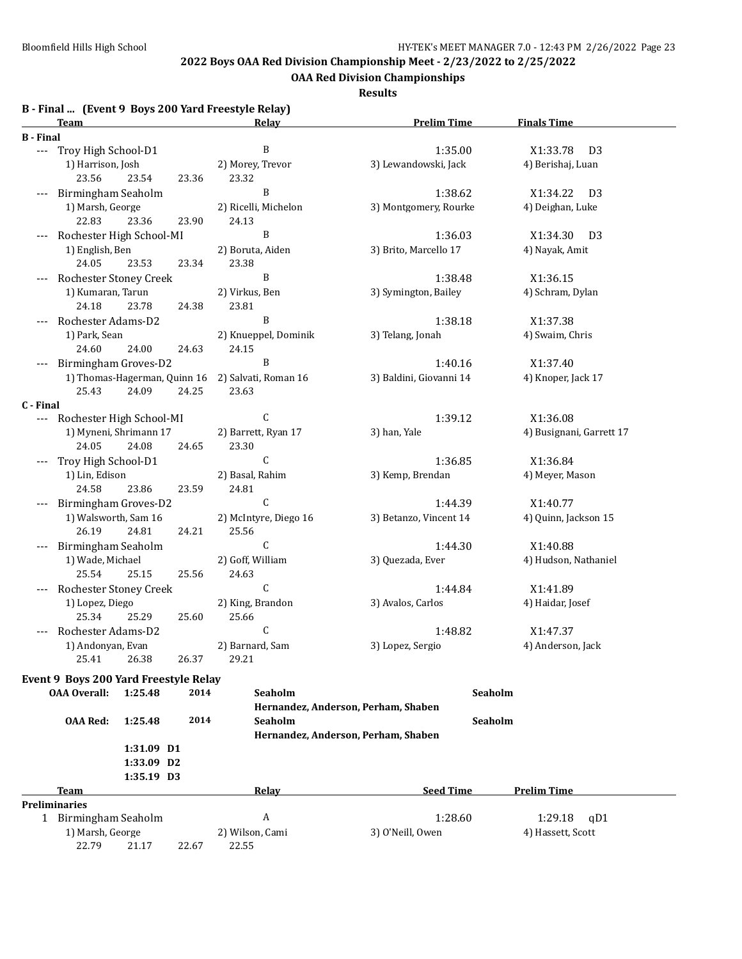**OAA Red Division Championships**

| B - Final  (Event 9 Boys 200 Yard Freestyle Relay) |  |  |  |  |
|----------------------------------------------------|--|--|--|--|
|----------------------------------------------------|--|--|--|--|

|                  | <b>Team</b>                           |            |       | Thiat  (Livent 2 Doys 200 Taru Freestyle Relay)<br>Relay | <b>Prelim Time</b>                  | <b>Finals Time</b>         |
|------------------|---------------------------------------|------------|-------|----------------------------------------------------------|-------------------------------------|----------------------------|
| <b>B</b> - Final |                                       |            |       |                                                          |                                     |                            |
| $---$            | Troy High School-D1                   |            |       | B                                                        | 1:35.00                             | X1:33.78<br>D <sub>3</sub> |
|                  | 1) Harrison, Josh                     |            |       | 2) Morey, Trevor                                         | 3) Lewandowski, Jack                | 4) Berishaj, Luan          |
|                  | 23.56                                 | 23.54      | 23.36 | 23.32                                                    |                                     |                            |
|                  | Birmingham Seaholm                    |            |       | B                                                        | 1:38.62                             | X1:34.22<br>D <sub>3</sub> |
|                  | 1) Marsh, George                      |            |       | 2) Ricelli, Michelon                                     | 3) Montgomery, Rourke               | 4) Deighan, Luke           |
|                  | 22.83                                 | 23.36      | 23.90 | 24.13                                                    |                                     |                            |
|                  | Rochester High School-MI              |            |       | B                                                        | 1:36.03                             | X1:34.30<br>D3             |
|                  | 1) English, Ben                       |            |       | 2) Boruta, Aiden                                         | 3) Brito, Marcello 17               | 4) Nayak, Amit             |
|                  | 24.05                                 | 23.53      | 23.34 | 23.38                                                    |                                     |                            |
|                  | Rochester Stoney Creek                |            |       | B                                                        | 1:38.48                             | X1:36.15                   |
|                  | 1) Kumaran, Tarun                     |            |       | 2) Virkus, Ben                                           | 3) Symington, Bailey                | 4) Schram, Dylan           |
|                  | 24.18                                 | 23.78      | 24.38 | 23.81                                                    |                                     |                            |
|                  | Rochester Adams-D2                    |            |       | B                                                        | 1:38.18                             | X1:37.38                   |
|                  | 1) Park, Sean                         |            |       | 2) Knueppel, Dominik                                     | 3) Telang, Jonah                    | 4) Swaim, Chris            |
|                  | 24.60                                 | 24.00      | 24.63 | 24.15                                                    |                                     |                            |
|                  | Birmingham Groves-D2                  |            |       | B                                                        | 1:40.16                             | X1:37.40                   |
|                  | 1) Thomas-Hagerman, Quinn 16          |            |       | 2) Salvati, Roman 16                                     | 3) Baldini, Giovanni 14             | 4) Knoper, Jack 17         |
|                  | 25.43                                 | 24.09      | 24.25 | 23.63                                                    |                                     |                            |
| C - Final        |                                       |            |       |                                                          |                                     |                            |
|                  | Rochester High School-MI              |            |       | C                                                        | 1:39.12                             | X1:36.08                   |
|                  | 1) Myneni, Shrimann 17                |            |       | 2) Barrett, Ryan 17                                      | 3) han, Yale                        | 4) Busignani, Garrett 17   |
|                  | 24.05                                 | 24.08      | 24.65 | 23.30                                                    |                                     |                            |
|                  | Troy High School-D1                   |            |       | C                                                        | 1:36.85                             | X1:36.84                   |
|                  | 1) Lin, Edison                        |            |       | 2) Basal, Rahim                                          | 3) Kemp, Brendan                    | 4) Meyer, Mason            |
|                  | 24.58                                 | 23.86      | 23.59 | 24.81                                                    |                                     |                            |
|                  | Birmingham Groves-D2                  |            |       | $\mathsf C$                                              | 1:44.39                             | X1:40.77                   |
|                  | 1) Walsworth, Sam 16                  |            |       | 2) McIntyre, Diego 16                                    | 3) Betanzo, Vincent 14              | 4) Quinn, Jackson 15       |
|                  | 26.19                                 | 24.81      | 24.21 | 25.56                                                    |                                     |                            |
|                  | Birmingham Seaholm                    |            |       | C                                                        | 1:44.30                             | X1:40.88                   |
|                  | 1) Wade, Michael                      |            |       | 2) Goff, William                                         | 3) Quezada, Ever                    | 4) Hudson, Nathaniel       |
|                  | 25.54                                 | 25.15      | 25.56 | 24.63                                                    |                                     |                            |
|                  | Rochester Stoney Creek                |            |       | C                                                        | 1:44.84                             | X1:41.89                   |
|                  | 1) Lopez, Diego                       |            |       | 2) King, Brandon                                         | 3) Avalos, Carlos                   | 4) Haidar, Josef           |
|                  | 25.34                                 | 25.29      | 25.60 | 25.66                                                    |                                     |                            |
|                  | Rochester Adams-D2                    |            |       | C                                                        | 1:48.82                             | X1:47.37                   |
|                  | 1) Andonyan, Evan                     |            |       | 2) Barnard, Sam                                          | 3) Lopez, Sergio                    | 4) Anderson, Jack          |
|                  | 25.41                                 | 26.38      | 26.37 | 29.21                                                    |                                     |                            |
|                  | Event 9 Boys 200 Yard Freestyle Relay |            |       |                                                          |                                     |                            |
|                  | <b>OAA Overall:</b>                   | 1:25.48    | 2014  | Seaholm                                                  | Seaholm                             |                            |
|                  |                                       |            |       |                                                          | Hernandez, Anderson, Perham, Shaben |                            |
|                  | <b>OAA Red:</b>                       | 1:25.48    | 2014  | Seaholm                                                  | Seaholm                             |                            |
|                  |                                       |            |       |                                                          | Hernandez, Anderson, Perham, Shaben |                            |
|                  |                                       | 1:31.09 D1 |       |                                                          |                                     |                            |
|                  |                                       | 1:33.09 D2 |       |                                                          |                                     |                            |
|                  |                                       | 1:35.19 D3 |       |                                                          |                                     |                            |
|                  | Team                                  |            |       | Relay                                                    | <b>Seed Time</b>                    | <b>Prelim Time</b>         |
|                  | <b>Preliminaries</b>                  |            |       |                                                          |                                     |                            |
|                  | 1 Birmingham Seaholm                  |            |       | A                                                        | 1:28.60                             | 1:29.18<br>qD1             |
|                  | 1) Marsh, George                      |            |       | 2) Wilson, Cami                                          | 3) O'Neill, Owen                    | 4) Hassett, Scott          |
|                  | 22.79                                 | 21.17      | 22.67 | 22.55                                                    |                                     |                            |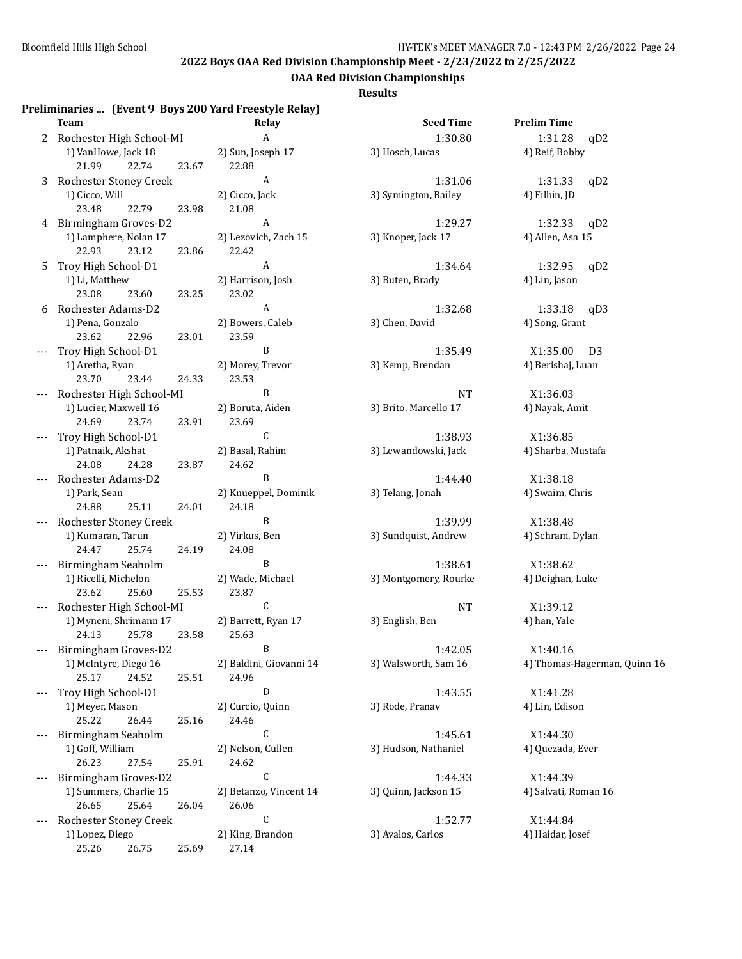**OAA Red Division Championships**

**Results**

# **Preliminaries ... (Event 9 Boys 200 Yard Freestyle Relay)**

| 2 Rochester High School-MI<br>$\boldsymbol{A}$<br>1:30.80<br>1:31.28<br>qD2<br>1) VanHowe, Jack 18<br>3) Hosch, Lucas<br>4) Reif, Bobby<br>2) Sun, Joseph 17<br>21.99<br>22.74<br>23.67<br>22.88<br>A<br>3 Rochester Stoney Creek<br>1:31.06<br>1:31.33<br>qD2<br>1) Cicco, Will<br>3) Symington, Bailey<br>2) Cicco, Jack<br>4) Filbin, JD<br>23.48<br>22.79<br>21.08<br>23.98<br>$\boldsymbol{A}$<br>4 Birmingham Groves-D2<br>1:29.27<br>1:32.33<br>qD2<br>1) Lamphere, Nolan 17<br>2) Lezovich, Zach 15<br>3) Knoper, Jack 17<br>4) Allen, Asa 15<br>22.93<br>23.12<br>22.42<br>23.86<br>$\boldsymbol{A}$<br>Troy High School-D1<br>1:34.64<br>1:32.95<br>qD2<br>5.<br>1) Li, Matthew<br>2) Harrison, Josh<br>3) Buten, Brady<br>4) Lin, Jason<br>23.08<br>23.60<br>23.02<br>23.25<br>$\boldsymbol{A}$<br>1:32.68<br>1:33.18<br>Rochester Adams-D2<br>qD3<br>6<br>1) Pena, Gonzalo<br>2) Bowers, Caleb<br>4) Song, Grant<br>3) Chen, David<br>23.62<br>22.96<br>23.01<br>23.59<br>B<br>Troy High School-D1<br>1:35.49<br>X1:35.00<br>D <sub>3</sub><br>2) Morey, Trevor<br>3) Kemp, Brendan<br>1) Aretha, Ryan<br>4) Berishaj, Luan<br>23.70<br>23.53<br>23.44<br>24.33<br>B<br>Rochester High School-MI<br><b>NT</b><br>X1:36.03<br>1) Lucier, Maxwell 16<br>3) Brito, Marcello 17<br>2) Boruta, Aiden<br>4) Nayak, Amit<br>24.69<br>23.74<br>23.91<br>23.69<br>C<br>Troy High School-D1<br>1:38.93<br>X1:36.85<br>3) Lewandowski, Jack<br>1) Patnaik, Akshat<br>2) Basal, Rahim<br>4) Sharba, Mustafa<br>24.08<br>24.62<br>24.28<br>23.87<br>B<br>X1:38.18<br>Rochester Adams-D2<br>1:44.40<br>2) Knueppel, Dominik<br>3) Telang, Jonah<br>4) Swaim, Chris<br>1) Park, Sean<br>24.88<br>25.11<br>24.01<br>24.18<br>B<br>Rochester Stoney Creek<br>1:39.99<br>X1:38.48<br>3) Sundquist, Andrew<br>1) Kumaran, Tarun<br>2) Virkus, Ben<br>4) Schram, Dylan<br>24.47<br>25.74<br>24.08<br>24.19<br>B<br>Birmingham Seaholm<br>1:38.61<br>X1:38.62<br>1) Ricelli, Michelon<br>2) Wade, Michael<br>3) Montgomery, Rourke<br>4) Deighan, Luke<br>23.62<br>25.60<br>25.53<br>23.87<br>C<br>Rochester High School-MI<br><b>NT</b><br>X1:39.12<br>1) Myneni, Shrimann 17<br>2) Barrett, Ryan 17<br>3) English, Ben<br>4) han, Yale<br>24.13<br>25.78<br>23.58<br>25.63<br>Birmingham Groves-D2<br>1:42.05<br>X1:40.16<br>B.<br>3) Walsworth, Sam 16<br>1) McIntyre, Diego 16<br>2) Baldini, Giovanni 14<br>4) Thomas-Hagerman, Quinn 16<br>25.17<br>24.52<br>25.51<br>24.96<br>Troy High School-D1<br>D<br>X1:41.28<br>1:43.55<br>3) Rode, Pranav<br>4) Lin, Edison<br>1) Meyer, Mason<br>2) Curcio, Quinn<br>25.22<br>26.44<br>24.46<br>25.16<br>C<br>1:45.61<br>Birmingham Seaholm<br>X1:44.30<br>2) Nelson, Cullen<br>3) Hudson, Nathaniel<br>4) Quezada, Ever<br>1) Goff, William<br>26.23<br>27.54<br>24.62<br>25.91<br>C<br>Birmingham Groves-D2<br>1:44.33<br>X1:44.39<br>1) Summers, Charlie 15<br>2) Betanzo, Vincent 14<br>3) Quinn, Jackson 15<br>4) Salvati, Roman 16<br>26.65<br>25.64<br>26.06<br>26.04<br>$\mathsf{C}$<br>1:52.77<br>Rochester Stoney Creek<br>X1:44.84<br>3) Avalos, Carlos<br>1) Lopez, Diego<br>2) King, Brandon<br>4) Haidar, Josef<br>25.26<br>27.14<br>26.75<br>25.69 | <u>Team</u> | <b>Relay</b> | <b>Seed Time</b> | <b>Prelim Time</b> |
|---------------------------------------------------------------------------------------------------------------------------------------------------------------------------------------------------------------------------------------------------------------------------------------------------------------------------------------------------------------------------------------------------------------------------------------------------------------------------------------------------------------------------------------------------------------------------------------------------------------------------------------------------------------------------------------------------------------------------------------------------------------------------------------------------------------------------------------------------------------------------------------------------------------------------------------------------------------------------------------------------------------------------------------------------------------------------------------------------------------------------------------------------------------------------------------------------------------------------------------------------------------------------------------------------------------------------------------------------------------------------------------------------------------------------------------------------------------------------------------------------------------------------------------------------------------------------------------------------------------------------------------------------------------------------------------------------------------------------------------------------------------------------------------------------------------------------------------------------------------------------------------------------------------------------------------------------------------------------------------------------------------------------------------------------------------------------------------------------------------------------------------------------------------------------------------------------------------------------------------------------------------------------------------------------------------------------------------------------------------------------------------------------------------------------------------------------------------------------------------------------------------------------------------------------------------------------------------------------------------------------------------------------------------------------------------------------------------------------------------------------------------------------------------------------------------------------------------------------------------------------------------------------------------------------------------------------------------------------------------------------------------------------------------------------------------------------------------------------------------------------------------------------------------------------------------------------------|-------------|--------------|------------------|--------------------|
|                                                                                                                                                                                                                                                                                                                                                                                                                                                                                                                                                                                                                                                                                                                                                                                                                                                                                                                                                                                                                                                                                                                                                                                                                                                                                                                                                                                                                                                                                                                                                                                                                                                                                                                                                                                                                                                                                                                                                                                                                                                                                                                                                                                                                                                                                                                                                                                                                                                                                                                                                                                                                                                                                                                                                                                                                                                                                                                                                                                                                                                                                                                                                                                                         |             |              |                  |                    |
|                                                                                                                                                                                                                                                                                                                                                                                                                                                                                                                                                                                                                                                                                                                                                                                                                                                                                                                                                                                                                                                                                                                                                                                                                                                                                                                                                                                                                                                                                                                                                                                                                                                                                                                                                                                                                                                                                                                                                                                                                                                                                                                                                                                                                                                                                                                                                                                                                                                                                                                                                                                                                                                                                                                                                                                                                                                                                                                                                                                                                                                                                                                                                                                                         |             |              |                  |                    |
|                                                                                                                                                                                                                                                                                                                                                                                                                                                                                                                                                                                                                                                                                                                                                                                                                                                                                                                                                                                                                                                                                                                                                                                                                                                                                                                                                                                                                                                                                                                                                                                                                                                                                                                                                                                                                                                                                                                                                                                                                                                                                                                                                                                                                                                                                                                                                                                                                                                                                                                                                                                                                                                                                                                                                                                                                                                                                                                                                                                                                                                                                                                                                                                                         |             |              |                  |                    |
|                                                                                                                                                                                                                                                                                                                                                                                                                                                                                                                                                                                                                                                                                                                                                                                                                                                                                                                                                                                                                                                                                                                                                                                                                                                                                                                                                                                                                                                                                                                                                                                                                                                                                                                                                                                                                                                                                                                                                                                                                                                                                                                                                                                                                                                                                                                                                                                                                                                                                                                                                                                                                                                                                                                                                                                                                                                                                                                                                                                                                                                                                                                                                                                                         |             |              |                  |                    |
|                                                                                                                                                                                                                                                                                                                                                                                                                                                                                                                                                                                                                                                                                                                                                                                                                                                                                                                                                                                                                                                                                                                                                                                                                                                                                                                                                                                                                                                                                                                                                                                                                                                                                                                                                                                                                                                                                                                                                                                                                                                                                                                                                                                                                                                                                                                                                                                                                                                                                                                                                                                                                                                                                                                                                                                                                                                                                                                                                                                                                                                                                                                                                                                                         |             |              |                  |                    |
|                                                                                                                                                                                                                                                                                                                                                                                                                                                                                                                                                                                                                                                                                                                                                                                                                                                                                                                                                                                                                                                                                                                                                                                                                                                                                                                                                                                                                                                                                                                                                                                                                                                                                                                                                                                                                                                                                                                                                                                                                                                                                                                                                                                                                                                                                                                                                                                                                                                                                                                                                                                                                                                                                                                                                                                                                                                                                                                                                                                                                                                                                                                                                                                                         |             |              |                  |                    |
|                                                                                                                                                                                                                                                                                                                                                                                                                                                                                                                                                                                                                                                                                                                                                                                                                                                                                                                                                                                                                                                                                                                                                                                                                                                                                                                                                                                                                                                                                                                                                                                                                                                                                                                                                                                                                                                                                                                                                                                                                                                                                                                                                                                                                                                                                                                                                                                                                                                                                                                                                                                                                                                                                                                                                                                                                                                                                                                                                                                                                                                                                                                                                                                                         |             |              |                  |                    |
|                                                                                                                                                                                                                                                                                                                                                                                                                                                                                                                                                                                                                                                                                                                                                                                                                                                                                                                                                                                                                                                                                                                                                                                                                                                                                                                                                                                                                                                                                                                                                                                                                                                                                                                                                                                                                                                                                                                                                                                                                                                                                                                                                                                                                                                                                                                                                                                                                                                                                                                                                                                                                                                                                                                                                                                                                                                                                                                                                                                                                                                                                                                                                                                                         |             |              |                  |                    |
|                                                                                                                                                                                                                                                                                                                                                                                                                                                                                                                                                                                                                                                                                                                                                                                                                                                                                                                                                                                                                                                                                                                                                                                                                                                                                                                                                                                                                                                                                                                                                                                                                                                                                                                                                                                                                                                                                                                                                                                                                                                                                                                                                                                                                                                                                                                                                                                                                                                                                                                                                                                                                                                                                                                                                                                                                                                                                                                                                                                                                                                                                                                                                                                                         |             |              |                  |                    |
|                                                                                                                                                                                                                                                                                                                                                                                                                                                                                                                                                                                                                                                                                                                                                                                                                                                                                                                                                                                                                                                                                                                                                                                                                                                                                                                                                                                                                                                                                                                                                                                                                                                                                                                                                                                                                                                                                                                                                                                                                                                                                                                                                                                                                                                                                                                                                                                                                                                                                                                                                                                                                                                                                                                                                                                                                                                                                                                                                                                                                                                                                                                                                                                                         |             |              |                  |                    |
|                                                                                                                                                                                                                                                                                                                                                                                                                                                                                                                                                                                                                                                                                                                                                                                                                                                                                                                                                                                                                                                                                                                                                                                                                                                                                                                                                                                                                                                                                                                                                                                                                                                                                                                                                                                                                                                                                                                                                                                                                                                                                                                                                                                                                                                                                                                                                                                                                                                                                                                                                                                                                                                                                                                                                                                                                                                                                                                                                                                                                                                                                                                                                                                                         |             |              |                  |                    |
|                                                                                                                                                                                                                                                                                                                                                                                                                                                                                                                                                                                                                                                                                                                                                                                                                                                                                                                                                                                                                                                                                                                                                                                                                                                                                                                                                                                                                                                                                                                                                                                                                                                                                                                                                                                                                                                                                                                                                                                                                                                                                                                                                                                                                                                                                                                                                                                                                                                                                                                                                                                                                                                                                                                                                                                                                                                                                                                                                                                                                                                                                                                                                                                                         |             |              |                  |                    |
|                                                                                                                                                                                                                                                                                                                                                                                                                                                                                                                                                                                                                                                                                                                                                                                                                                                                                                                                                                                                                                                                                                                                                                                                                                                                                                                                                                                                                                                                                                                                                                                                                                                                                                                                                                                                                                                                                                                                                                                                                                                                                                                                                                                                                                                                                                                                                                                                                                                                                                                                                                                                                                                                                                                                                                                                                                                                                                                                                                                                                                                                                                                                                                                                         |             |              |                  |                    |
|                                                                                                                                                                                                                                                                                                                                                                                                                                                                                                                                                                                                                                                                                                                                                                                                                                                                                                                                                                                                                                                                                                                                                                                                                                                                                                                                                                                                                                                                                                                                                                                                                                                                                                                                                                                                                                                                                                                                                                                                                                                                                                                                                                                                                                                                                                                                                                                                                                                                                                                                                                                                                                                                                                                                                                                                                                                                                                                                                                                                                                                                                                                                                                                                         |             |              |                  |                    |
|                                                                                                                                                                                                                                                                                                                                                                                                                                                                                                                                                                                                                                                                                                                                                                                                                                                                                                                                                                                                                                                                                                                                                                                                                                                                                                                                                                                                                                                                                                                                                                                                                                                                                                                                                                                                                                                                                                                                                                                                                                                                                                                                                                                                                                                                                                                                                                                                                                                                                                                                                                                                                                                                                                                                                                                                                                                                                                                                                                                                                                                                                                                                                                                                         |             |              |                  |                    |
|                                                                                                                                                                                                                                                                                                                                                                                                                                                                                                                                                                                                                                                                                                                                                                                                                                                                                                                                                                                                                                                                                                                                                                                                                                                                                                                                                                                                                                                                                                                                                                                                                                                                                                                                                                                                                                                                                                                                                                                                                                                                                                                                                                                                                                                                                                                                                                                                                                                                                                                                                                                                                                                                                                                                                                                                                                                                                                                                                                                                                                                                                                                                                                                                         |             |              |                  |                    |
|                                                                                                                                                                                                                                                                                                                                                                                                                                                                                                                                                                                                                                                                                                                                                                                                                                                                                                                                                                                                                                                                                                                                                                                                                                                                                                                                                                                                                                                                                                                                                                                                                                                                                                                                                                                                                                                                                                                                                                                                                                                                                                                                                                                                                                                                                                                                                                                                                                                                                                                                                                                                                                                                                                                                                                                                                                                                                                                                                                                                                                                                                                                                                                                                         |             |              |                  |                    |
|                                                                                                                                                                                                                                                                                                                                                                                                                                                                                                                                                                                                                                                                                                                                                                                                                                                                                                                                                                                                                                                                                                                                                                                                                                                                                                                                                                                                                                                                                                                                                                                                                                                                                                                                                                                                                                                                                                                                                                                                                                                                                                                                                                                                                                                                                                                                                                                                                                                                                                                                                                                                                                                                                                                                                                                                                                                                                                                                                                                                                                                                                                                                                                                                         |             |              |                  |                    |
|                                                                                                                                                                                                                                                                                                                                                                                                                                                                                                                                                                                                                                                                                                                                                                                                                                                                                                                                                                                                                                                                                                                                                                                                                                                                                                                                                                                                                                                                                                                                                                                                                                                                                                                                                                                                                                                                                                                                                                                                                                                                                                                                                                                                                                                                                                                                                                                                                                                                                                                                                                                                                                                                                                                                                                                                                                                                                                                                                                                                                                                                                                                                                                                                         |             |              |                  |                    |
|                                                                                                                                                                                                                                                                                                                                                                                                                                                                                                                                                                                                                                                                                                                                                                                                                                                                                                                                                                                                                                                                                                                                                                                                                                                                                                                                                                                                                                                                                                                                                                                                                                                                                                                                                                                                                                                                                                                                                                                                                                                                                                                                                                                                                                                                                                                                                                                                                                                                                                                                                                                                                                                                                                                                                                                                                                                                                                                                                                                                                                                                                                                                                                                                         |             |              |                  |                    |
|                                                                                                                                                                                                                                                                                                                                                                                                                                                                                                                                                                                                                                                                                                                                                                                                                                                                                                                                                                                                                                                                                                                                                                                                                                                                                                                                                                                                                                                                                                                                                                                                                                                                                                                                                                                                                                                                                                                                                                                                                                                                                                                                                                                                                                                                                                                                                                                                                                                                                                                                                                                                                                                                                                                                                                                                                                                                                                                                                                                                                                                                                                                                                                                                         |             |              |                  |                    |
|                                                                                                                                                                                                                                                                                                                                                                                                                                                                                                                                                                                                                                                                                                                                                                                                                                                                                                                                                                                                                                                                                                                                                                                                                                                                                                                                                                                                                                                                                                                                                                                                                                                                                                                                                                                                                                                                                                                                                                                                                                                                                                                                                                                                                                                                                                                                                                                                                                                                                                                                                                                                                                                                                                                                                                                                                                                                                                                                                                                                                                                                                                                                                                                                         |             |              |                  |                    |
|                                                                                                                                                                                                                                                                                                                                                                                                                                                                                                                                                                                                                                                                                                                                                                                                                                                                                                                                                                                                                                                                                                                                                                                                                                                                                                                                                                                                                                                                                                                                                                                                                                                                                                                                                                                                                                                                                                                                                                                                                                                                                                                                                                                                                                                                                                                                                                                                                                                                                                                                                                                                                                                                                                                                                                                                                                                                                                                                                                                                                                                                                                                                                                                                         |             |              |                  |                    |
|                                                                                                                                                                                                                                                                                                                                                                                                                                                                                                                                                                                                                                                                                                                                                                                                                                                                                                                                                                                                                                                                                                                                                                                                                                                                                                                                                                                                                                                                                                                                                                                                                                                                                                                                                                                                                                                                                                                                                                                                                                                                                                                                                                                                                                                                                                                                                                                                                                                                                                                                                                                                                                                                                                                                                                                                                                                                                                                                                                                                                                                                                                                                                                                                         |             |              |                  |                    |
|                                                                                                                                                                                                                                                                                                                                                                                                                                                                                                                                                                                                                                                                                                                                                                                                                                                                                                                                                                                                                                                                                                                                                                                                                                                                                                                                                                                                                                                                                                                                                                                                                                                                                                                                                                                                                                                                                                                                                                                                                                                                                                                                                                                                                                                                                                                                                                                                                                                                                                                                                                                                                                                                                                                                                                                                                                                                                                                                                                                                                                                                                                                                                                                                         |             |              |                  |                    |
|                                                                                                                                                                                                                                                                                                                                                                                                                                                                                                                                                                                                                                                                                                                                                                                                                                                                                                                                                                                                                                                                                                                                                                                                                                                                                                                                                                                                                                                                                                                                                                                                                                                                                                                                                                                                                                                                                                                                                                                                                                                                                                                                                                                                                                                                                                                                                                                                                                                                                                                                                                                                                                                                                                                                                                                                                                                                                                                                                                                                                                                                                                                                                                                                         |             |              |                  |                    |
|                                                                                                                                                                                                                                                                                                                                                                                                                                                                                                                                                                                                                                                                                                                                                                                                                                                                                                                                                                                                                                                                                                                                                                                                                                                                                                                                                                                                                                                                                                                                                                                                                                                                                                                                                                                                                                                                                                                                                                                                                                                                                                                                                                                                                                                                                                                                                                                                                                                                                                                                                                                                                                                                                                                                                                                                                                                                                                                                                                                                                                                                                                                                                                                                         |             |              |                  |                    |
|                                                                                                                                                                                                                                                                                                                                                                                                                                                                                                                                                                                                                                                                                                                                                                                                                                                                                                                                                                                                                                                                                                                                                                                                                                                                                                                                                                                                                                                                                                                                                                                                                                                                                                                                                                                                                                                                                                                                                                                                                                                                                                                                                                                                                                                                                                                                                                                                                                                                                                                                                                                                                                                                                                                                                                                                                                                                                                                                                                                                                                                                                                                                                                                                         |             |              |                  |                    |
|                                                                                                                                                                                                                                                                                                                                                                                                                                                                                                                                                                                                                                                                                                                                                                                                                                                                                                                                                                                                                                                                                                                                                                                                                                                                                                                                                                                                                                                                                                                                                                                                                                                                                                                                                                                                                                                                                                                                                                                                                                                                                                                                                                                                                                                                                                                                                                                                                                                                                                                                                                                                                                                                                                                                                                                                                                                                                                                                                                                                                                                                                                                                                                                                         |             |              |                  |                    |
|                                                                                                                                                                                                                                                                                                                                                                                                                                                                                                                                                                                                                                                                                                                                                                                                                                                                                                                                                                                                                                                                                                                                                                                                                                                                                                                                                                                                                                                                                                                                                                                                                                                                                                                                                                                                                                                                                                                                                                                                                                                                                                                                                                                                                                                                                                                                                                                                                                                                                                                                                                                                                                                                                                                                                                                                                                                                                                                                                                                                                                                                                                                                                                                                         |             |              |                  |                    |
|                                                                                                                                                                                                                                                                                                                                                                                                                                                                                                                                                                                                                                                                                                                                                                                                                                                                                                                                                                                                                                                                                                                                                                                                                                                                                                                                                                                                                                                                                                                                                                                                                                                                                                                                                                                                                                                                                                                                                                                                                                                                                                                                                                                                                                                                                                                                                                                                                                                                                                                                                                                                                                                                                                                                                                                                                                                                                                                                                                                                                                                                                                                                                                                                         |             |              |                  |                    |
|                                                                                                                                                                                                                                                                                                                                                                                                                                                                                                                                                                                                                                                                                                                                                                                                                                                                                                                                                                                                                                                                                                                                                                                                                                                                                                                                                                                                                                                                                                                                                                                                                                                                                                                                                                                                                                                                                                                                                                                                                                                                                                                                                                                                                                                                                                                                                                                                                                                                                                                                                                                                                                                                                                                                                                                                                                                                                                                                                                                                                                                                                                                                                                                                         |             |              |                  |                    |
|                                                                                                                                                                                                                                                                                                                                                                                                                                                                                                                                                                                                                                                                                                                                                                                                                                                                                                                                                                                                                                                                                                                                                                                                                                                                                                                                                                                                                                                                                                                                                                                                                                                                                                                                                                                                                                                                                                                                                                                                                                                                                                                                                                                                                                                                                                                                                                                                                                                                                                                                                                                                                                                                                                                                                                                                                                                                                                                                                                                                                                                                                                                                                                                                         |             |              |                  |                    |
|                                                                                                                                                                                                                                                                                                                                                                                                                                                                                                                                                                                                                                                                                                                                                                                                                                                                                                                                                                                                                                                                                                                                                                                                                                                                                                                                                                                                                                                                                                                                                                                                                                                                                                                                                                                                                                                                                                                                                                                                                                                                                                                                                                                                                                                                                                                                                                                                                                                                                                                                                                                                                                                                                                                                                                                                                                                                                                                                                                                                                                                                                                                                                                                                         |             |              |                  |                    |
|                                                                                                                                                                                                                                                                                                                                                                                                                                                                                                                                                                                                                                                                                                                                                                                                                                                                                                                                                                                                                                                                                                                                                                                                                                                                                                                                                                                                                                                                                                                                                                                                                                                                                                                                                                                                                                                                                                                                                                                                                                                                                                                                                                                                                                                                                                                                                                                                                                                                                                                                                                                                                                                                                                                                                                                                                                                                                                                                                                                                                                                                                                                                                                                                         |             |              |                  |                    |
|                                                                                                                                                                                                                                                                                                                                                                                                                                                                                                                                                                                                                                                                                                                                                                                                                                                                                                                                                                                                                                                                                                                                                                                                                                                                                                                                                                                                                                                                                                                                                                                                                                                                                                                                                                                                                                                                                                                                                                                                                                                                                                                                                                                                                                                                                                                                                                                                                                                                                                                                                                                                                                                                                                                                                                                                                                                                                                                                                                                                                                                                                                                                                                                                         |             |              |                  |                    |
|                                                                                                                                                                                                                                                                                                                                                                                                                                                                                                                                                                                                                                                                                                                                                                                                                                                                                                                                                                                                                                                                                                                                                                                                                                                                                                                                                                                                                                                                                                                                                                                                                                                                                                                                                                                                                                                                                                                                                                                                                                                                                                                                                                                                                                                                                                                                                                                                                                                                                                                                                                                                                                                                                                                                                                                                                                                                                                                                                                                                                                                                                                                                                                                                         |             |              |                  |                    |
|                                                                                                                                                                                                                                                                                                                                                                                                                                                                                                                                                                                                                                                                                                                                                                                                                                                                                                                                                                                                                                                                                                                                                                                                                                                                                                                                                                                                                                                                                                                                                                                                                                                                                                                                                                                                                                                                                                                                                                                                                                                                                                                                                                                                                                                                                                                                                                                                                                                                                                                                                                                                                                                                                                                                                                                                                                                                                                                                                                                                                                                                                                                                                                                                         |             |              |                  |                    |
|                                                                                                                                                                                                                                                                                                                                                                                                                                                                                                                                                                                                                                                                                                                                                                                                                                                                                                                                                                                                                                                                                                                                                                                                                                                                                                                                                                                                                                                                                                                                                                                                                                                                                                                                                                                                                                                                                                                                                                                                                                                                                                                                                                                                                                                                                                                                                                                                                                                                                                                                                                                                                                                                                                                                                                                                                                                                                                                                                                                                                                                                                                                                                                                                         |             |              |                  |                    |
|                                                                                                                                                                                                                                                                                                                                                                                                                                                                                                                                                                                                                                                                                                                                                                                                                                                                                                                                                                                                                                                                                                                                                                                                                                                                                                                                                                                                                                                                                                                                                                                                                                                                                                                                                                                                                                                                                                                                                                                                                                                                                                                                                                                                                                                                                                                                                                                                                                                                                                                                                                                                                                                                                                                                                                                                                                                                                                                                                                                                                                                                                                                                                                                                         |             |              |                  |                    |
|                                                                                                                                                                                                                                                                                                                                                                                                                                                                                                                                                                                                                                                                                                                                                                                                                                                                                                                                                                                                                                                                                                                                                                                                                                                                                                                                                                                                                                                                                                                                                                                                                                                                                                                                                                                                                                                                                                                                                                                                                                                                                                                                                                                                                                                                                                                                                                                                                                                                                                                                                                                                                                                                                                                                                                                                                                                                                                                                                                                                                                                                                                                                                                                                         |             |              |                  |                    |
|                                                                                                                                                                                                                                                                                                                                                                                                                                                                                                                                                                                                                                                                                                                                                                                                                                                                                                                                                                                                                                                                                                                                                                                                                                                                                                                                                                                                                                                                                                                                                                                                                                                                                                                                                                                                                                                                                                                                                                                                                                                                                                                                                                                                                                                                                                                                                                                                                                                                                                                                                                                                                                                                                                                                                                                                                                                                                                                                                                                                                                                                                                                                                                                                         |             |              |                  |                    |
|                                                                                                                                                                                                                                                                                                                                                                                                                                                                                                                                                                                                                                                                                                                                                                                                                                                                                                                                                                                                                                                                                                                                                                                                                                                                                                                                                                                                                                                                                                                                                                                                                                                                                                                                                                                                                                                                                                                                                                                                                                                                                                                                                                                                                                                                                                                                                                                                                                                                                                                                                                                                                                                                                                                                                                                                                                                                                                                                                                                                                                                                                                                                                                                                         |             |              |                  |                    |
|                                                                                                                                                                                                                                                                                                                                                                                                                                                                                                                                                                                                                                                                                                                                                                                                                                                                                                                                                                                                                                                                                                                                                                                                                                                                                                                                                                                                                                                                                                                                                                                                                                                                                                                                                                                                                                                                                                                                                                                                                                                                                                                                                                                                                                                                                                                                                                                                                                                                                                                                                                                                                                                                                                                                                                                                                                                                                                                                                                                                                                                                                                                                                                                                         |             |              |                  |                    |
|                                                                                                                                                                                                                                                                                                                                                                                                                                                                                                                                                                                                                                                                                                                                                                                                                                                                                                                                                                                                                                                                                                                                                                                                                                                                                                                                                                                                                                                                                                                                                                                                                                                                                                                                                                                                                                                                                                                                                                                                                                                                                                                                                                                                                                                                                                                                                                                                                                                                                                                                                                                                                                                                                                                                                                                                                                                                                                                                                                                                                                                                                                                                                                                                         |             |              |                  |                    |
|                                                                                                                                                                                                                                                                                                                                                                                                                                                                                                                                                                                                                                                                                                                                                                                                                                                                                                                                                                                                                                                                                                                                                                                                                                                                                                                                                                                                                                                                                                                                                                                                                                                                                                                                                                                                                                                                                                                                                                                                                                                                                                                                                                                                                                                                                                                                                                                                                                                                                                                                                                                                                                                                                                                                                                                                                                                                                                                                                                                                                                                                                                                                                                                                         |             |              |                  |                    |
|                                                                                                                                                                                                                                                                                                                                                                                                                                                                                                                                                                                                                                                                                                                                                                                                                                                                                                                                                                                                                                                                                                                                                                                                                                                                                                                                                                                                                                                                                                                                                                                                                                                                                                                                                                                                                                                                                                                                                                                                                                                                                                                                                                                                                                                                                                                                                                                                                                                                                                                                                                                                                                                                                                                                                                                                                                                                                                                                                                                                                                                                                                                                                                                                         |             |              |                  |                    |
|                                                                                                                                                                                                                                                                                                                                                                                                                                                                                                                                                                                                                                                                                                                                                                                                                                                                                                                                                                                                                                                                                                                                                                                                                                                                                                                                                                                                                                                                                                                                                                                                                                                                                                                                                                                                                                                                                                                                                                                                                                                                                                                                                                                                                                                                                                                                                                                                                                                                                                                                                                                                                                                                                                                                                                                                                                                                                                                                                                                                                                                                                                                                                                                                         |             |              |                  |                    |
|                                                                                                                                                                                                                                                                                                                                                                                                                                                                                                                                                                                                                                                                                                                                                                                                                                                                                                                                                                                                                                                                                                                                                                                                                                                                                                                                                                                                                                                                                                                                                                                                                                                                                                                                                                                                                                                                                                                                                                                                                                                                                                                                                                                                                                                                                                                                                                                                                                                                                                                                                                                                                                                                                                                                                                                                                                                                                                                                                                                                                                                                                                                                                                                                         |             |              |                  |                    |
|                                                                                                                                                                                                                                                                                                                                                                                                                                                                                                                                                                                                                                                                                                                                                                                                                                                                                                                                                                                                                                                                                                                                                                                                                                                                                                                                                                                                                                                                                                                                                                                                                                                                                                                                                                                                                                                                                                                                                                                                                                                                                                                                                                                                                                                                                                                                                                                                                                                                                                                                                                                                                                                                                                                                                                                                                                                                                                                                                                                                                                                                                                                                                                                                         |             |              |                  |                    |
|                                                                                                                                                                                                                                                                                                                                                                                                                                                                                                                                                                                                                                                                                                                                                                                                                                                                                                                                                                                                                                                                                                                                                                                                                                                                                                                                                                                                                                                                                                                                                                                                                                                                                                                                                                                                                                                                                                                                                                                                                                                                                                                                                                                                                                                                                                                                                                                                                                                                                                                                                                                                                                                                                                                                                                                                                                                                                                                                                                                                                                                                                                                                                                                                         |             |              |                  |                    |
|                                                                                                                                                                                                                                                                                                                                                                                                                                                                                                                                                                                                                                                                                                                                                                                                                                                                                                                                                                                                                                                                                                                                                                                                                                                                                                                                                                                                                                                                                                                                                                                                                                                                                                                                                                                                                                                                                                                                                                                                                                                                                                                                                                                                                                                                                                                                                                                                                                                                                                                                                                                                                                                                                                                                                                                                                                                                                                                                                                                                                                                                                                                                                                                                         |             |              |                  |                    |
|                                                                                                                                                                                                                                                                                                                                                                                                                                                                                                                                                                                                                                                                                                                                                                                                                                                                                                                                                                                                                                                                                                                                                                                                                                                                                                                                                                                                                                                                                                                                                                                                                                                                                                                                                                                                                                                                                                                                                                                                                                                                                                                                                                                                                                                                                                                                                                                                                                                                                                                                                                                                                                                                                                                                                                                                                                                                                                                                                                                                                                                                                                                                                                                                         |             |              |                  |                    |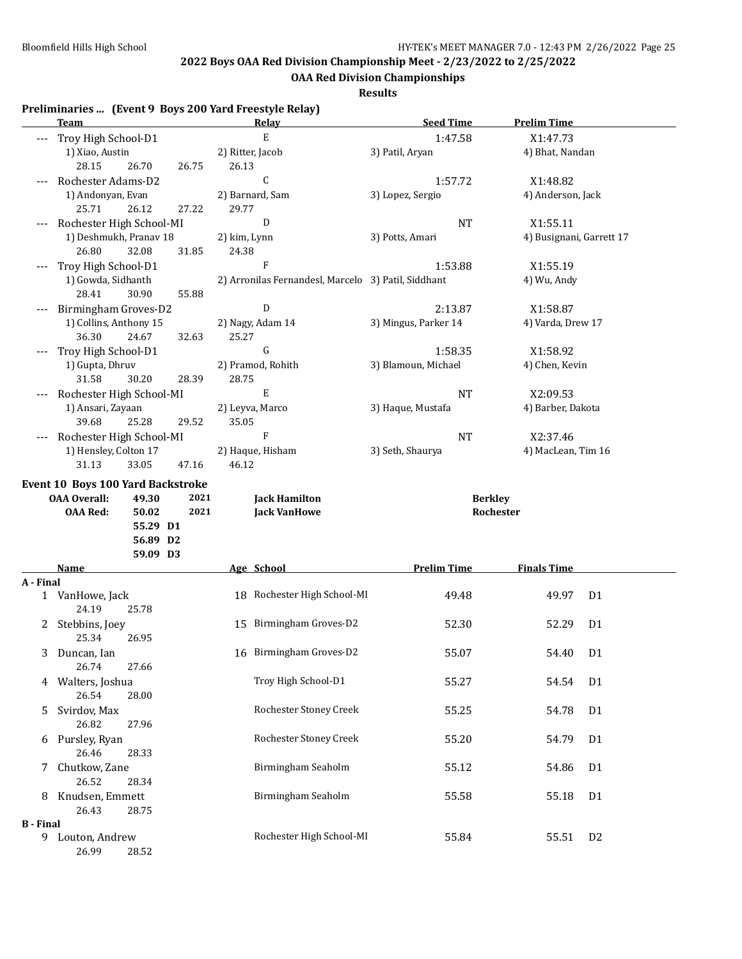**OAA Red Division Championships**

**Results**

## **Preliminaries ... (Event 9 Boys 200 Yard Freestyle Relay)**

|                  | enninal ies  (Event 7 Doys 200 Taru Freestyle Kelay)<br><u>Team</u> |                               |       |                           | <b>Relay</b>                                        | <b>Seed Time</b>     | <b>Prelim Time</b>       |                |
|------------------|---------------------------------------------------------------------|-------------------------------|-------|---------------------------|-----------------------------------------------------|----------------------|--------------------------|----------------|
|                  | Troy High School-D1                                                 |                               |       |                           | E                                                   | 1:47.58              | X1:47.73                 |                |
|                  | 1) Xiao, Austin                                                     |                               |       |                           |                                                     | 3) Patil, Aryan      |                          |                |
|                  | 28.15                                                               | 26.70                         | 26.75 | 2) Ritter, Jacob<br>26.13 |                                                     |                      | 4) Bhat, Nandan          |                |
|                  | Rochester Adams-D2                                                  |                               |       |                           | C                                                   | 1:57.72              | X1:48.82                 |                |
|                  |                                                                     |                               |       |                           |                                                     |                      | 4) Anderson, Jack        |                |
|                  | 1) Andonyan, Evan<br>25.71                                          | 26.12                         |       |                           | 2) Barnard, Sam                                     | 3) Lopez, Sergio     |                          |                |
|                  |                                                                     |                               | 27.22 | 29.77                     |                                                     |                      |                          |                |
|                  | Rochester High School-MI                                            |                               |       |                           | D                                                   | <b>NT</b>            | X1:55.11                 |                |
|                  | 1) Deshmukh, Pranav 18                                              |                               |       | 2) kim, Lynn              |                                                     | 3) Potts, Amari      | 4) Busignani, Garrett 17 |                |
|                  | 26.80                                                               | 32.08                         | 31.85 | 24.38                     |                                                     |                      |                          |                |
|                  | Troy High School-D1                                                 |                               |       |                           | F                                                   | 1:53.88              | X1:55.19                 |                |
|                  | 1) Gowda, Sidhanth                                                  |                               |       |                           | 2) Arronilas Fernandesl, Marcelo 3) Patil, Siddhant |                      | 4) Wu, Andy              |                |
|                  | 28.41                                                               | 30.90                         | 55.88 |                           |                                                     |                      |                          |                |
|                  | Birmingham Groves-D2                                                |                               |       |                           | ${\rm D}$                                           | 2:13.87              | X1:58.87                 |                |
|                  | 1) Collins, Anthony 15                                              |                               |       |                           | 2) Nagy, Adam 14                                    | 3) Mingus, Parker 14 | 4) Varda, Drew 17        |                |
|                  | 36.30                                                               | 24.67                         | 32.63 | 25.27                     |                                                     |                      |                          |                |
|                  | Troy High School-D1                                                 |                               |       |                           | G                                                   | 1:58.35              | X1:58.92                 |                |
|                  | 1) Gupta, Dhruv                                                     |                               |       |                           | 2) Pramod, Rohith                                   | 3) Blamoun, Michael  | 4) Chen, Kevin           |                |
|                  | 31.58                                                               | 30.20                         | 28.39 | 28.75                     |                                                     |                      |                          |                |
|                  | Rochester High School-MI                                            |                               |       |                           | E                                                   | <b>NT</b>            | X2:09.53                 |                |
|                  | 1) Ansari, Zayaan                                                   |                               |       |                           | 2) Leyva, Marco                                     | 3) Haque, Mustafa    | 4) Barber, Dakota        |                |
|                  | 39.68                                                               | 25.28                         | 29.52 | 35.05                     |                                                     |                      |                          |                |
|                  | Rochester High School-MI                                            |                               |       |                           | $\boldsymbol{\mathrm{F}}$                           | <b>NT</b>            | X2:37.46                 |                |
|                  | 1) Hensley, Colton 17                                               |                               |       |                           | 2) Haque, Hisham                                    | 3) Seth, Shaurya     | 4) MacLean, Tim 16       |                |
|                  | 31.13                                                               | 33.05                         | 47.16 | 46.12                     |                                                     |                      |                          |                |
|                  | <b>OAA Red:</b>                                                     | 50.02<br>55.29 D1<br>56.89 D2 | 2021  |                           | <b>Jack VanHowe</b>                                 |                      | Rochester                |                |
|                  |                                                                     | 59.09 D3                      |       |                           |                                                     |                      |                          |                |
|                  | Name                                                                |                               |       |                           | Age School                                          | <b>Prelim Time</b>   | <b>Finals Time</b>       |                |
| A - Final        |                                                                     |                               |       |                           |                                                     |                      |                          |                |
|                  | 1 VanHowe, Jack<br>24.19                                            | 25.78                         |       |                           | 18 Rochester High School-MI                         | 49.48                | 49.97                    | D <sub>1</sub> |
|                  | 2 Stebbins, Joey<br>25.34                                           | 26.95                         |       |                           | 15 Birmingham Groves-D2                             | 52.30                | 52.29                    | D <sub>1</sub> |
|                  | 3 Duncan, Ian                                                       |                               |       |                           | 16 Birmingham Groves-D2                             | 55.07                | 54.40 D1                 |                |
|                  | 26.74<br>4 Walters, Joshua                                          | 27.66                         |       |                           | Troy High School-D1                                 | 55.27                | 54.54                    | D <sub>1</sub> |
|                  | 26.54<br>Svirdov, Max                                               | 28.00                         |       |                           | Rochester Stoney Creek                              | 55.25                | 54.78                    | D <sub>1</sub> |
| 5.               | 26.82                                                               | 27.96                         |       |                           |                                                     |                      |                          |                |
| 6                | Pursley, Ryan<br>26.46                                              | 28.33                         |       |                           | Rochester Stoney Creek                              | 55.20                | 54.79                    | D <sub>1</sub> |
| 7.               | Chutkow, Zane<br>26.52                                              | 28.34                         |       |                           | Birmingham Seaholm                                  | 55.12                | 54.86                    | D <sub>1</sub> |
| 8                | Knudsen, Emmett                                                     |                               |       |                           | Birmingham Seaholm                                  | 55.58                | 55.18                    | D1             |
|                  | 26.43                                                               | 28.75                         |       |                           |                                                     |                      |                          |                |
| <b>B</b> - Final |                                                                     |                               |       |                           |                                                     |                      |                          |                |
|                  | 9 Louton, Andrew<br>26.99                                           | 28.52                         |       |                           | Rochester High School-MI                            | 55.84                | 55.51                    | D <sub>2</sub> |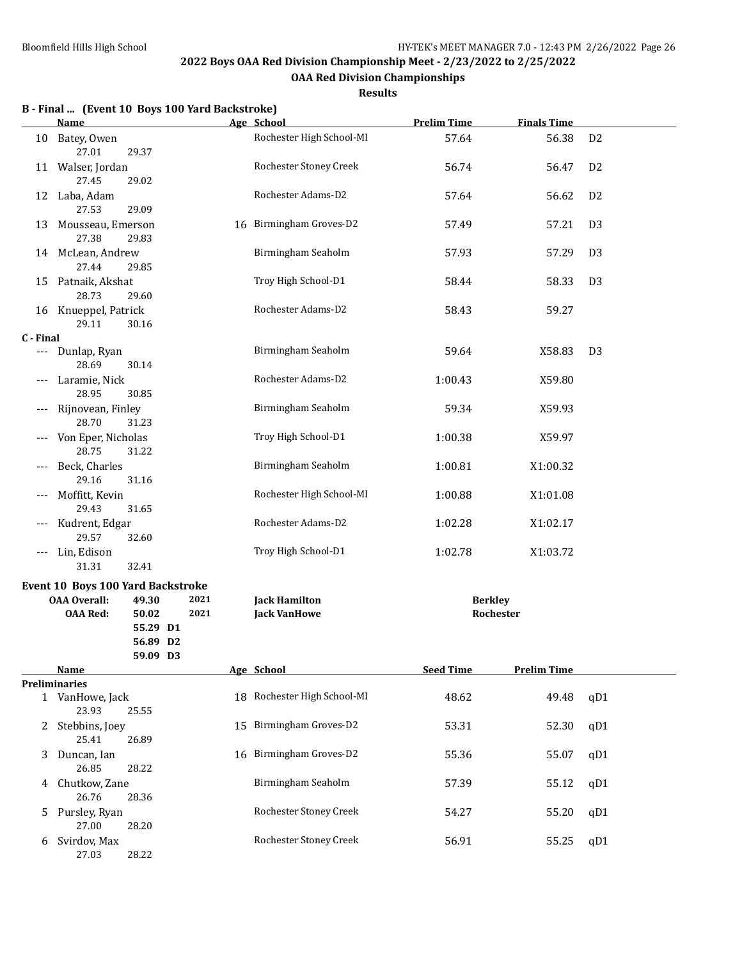**OAA Red Division Championships**

|  |  | B - Final  (Event 10 Boys 100 Yard Backstroke) |  |
|--|--|------------------------------------------------|--|
|  |  |                                                |  |

|           | <b>Name</b>                                                                        |                                        |              | Age School                                  | <b>Prelim Time</b>          | <b>Finals Time</b> |                |
|-----------|------------------------------------------------------------------------------------|----------------------------------------|--------------|---------------------------------------------|-----------------------------|--------------------|----------------|
| 10        | Batey, Owen<br>27.01                                                               | 29.37                                  |              | Rochester High School-MI                    | 57.64                       | 56.38              | D <sub>2</sub> |
|           | 11 Walser, Jordan<br>27.45                                                         | 29.02                                  |              | Rochester Stoney Creek                      | 56.74                       | 56.47              | D <sub>2</sub> |
|           | 12 Laba, Adam<br>27.53                                                             | 29.09                                  |              | Rochester Adams-D2                          | 57.64                       | 56.62              | D <sub>2</sub> |
|           | 13 Mousseau, Emerson<br>27.38                                                      | 29.83                                  |              | 16 Birmingham Groves-D2                     | 57.49                       | 57.21              | D <sub>3</sub> |
|           | 14 McLean, Andrew<br>27.44                                                         | 29.85                                  |              | Birmingham Seaholm                          | 57.93                       | 57.29              | D <sub>3</sub> |
|           | 15 Patnaik, Akshat<br>28.73                                                        | 29.60                                  |              | Troy High School-D1                         | 58.44                       | 58.33              | D <sub>3</sub> |
|           | 16 Knueppel, Patrick<br>29.11                                                      | 30.16                                  |              | Rochester Adams-D2                          | 58.43                       | 59.27              |                |
| C - Final |                                                                                    |                                        |              |                                             |                             |                    |                |
|           | --- Dunlap, Ryan<br>28.69                                                          | 30.14                                  |              | Birmingham Seaholm                          | 59.64                       | X58.83             | D <sub>3</sub> |
| $---$     | Laramie, Nick<br>28.95                                                             | 30.85                                  |              | Rochester Adams-D2                          | 1:00.43                     | X59.80             |                |
| $---$     | Rijnovean, Finley<br>28.70                                                         | 31.23                                  |              | Birmingham Seaholm                          | 59.34                       | X59.93             |                |
| $---$     | Von Eper, Nicholas<br>28.75                                                        | 31.22                                  |              | Troy High School-D1                         | 1:00.38                     | X59.97             |                |
| $---$     | Beck, Charles<br>29.16                                                             | 31.16                                  |              | Birmingham Seaholm                          | 1:00.81                     | X1:00.32           |                |
|           | Moffitt, Kevin<br>29.43                                                            | 31.65                                  |              | Rochester High School-MI                    | 1:00.88                     | X1:01.08           |                |
| ---       | Kudrent, Edgar<br>29.57                                                            | 32.60                                  |              | Rochester Adams-D2                          | 1:02.28                     | X1:02.17           |                |
| $\cdots$  | Lin, Edison<br>31.31                                                               | 32.41                                  |              | Troy High School-D1                         | 1:02.78                     | X1:03.72           |                |
|           | <b>Event 10 Boys 100 Yard Backstroke</b><br><b>OAA Overall:</b><br><b>OAA Red:</b> | 49.30<br>50.02<br>55.29 D1<br>56.89 D2 | 2021<br>2021 | <b>Jack Hamilton</b><br><b>Jack VanHowe</b> | <b>Berkley</b><br>Rochester |                    |                |
|           |                                                                                    | 59.09 D3                               |              |                                             |                             |                    |                |
|           |                                                                                    |                                        |              |                                             |                             |                    |                |
|           | <b>Name</b>                                                                        |                                        |              | Age School                                  | <b>Seed Time</b>            | <b>Prelim Time</b> |                |
|           | <b>Preliminaries</b>                                                               |                                        |              |                                             |                             |                    |                |
|           | 1 VanHowe, Jack<br>23.93                                                           | 25.55                                  |              | 18 Rochester High School-MI                 | 48.62                       | 49.48              | qD1            |
|           | 2 Stebbins, Joey<br>25.41                                                          | 26.89                                  |              | 15 Birmingham Groves-D2                     | 53.31                       | 52.30              | qD1            |
| 3         | Duncan, Ian<br>26.85                                                               | 28.22                                  |              | 16 Birmingham Groves-D2                     | 55.36                       | 55.07              | qD1            |
| 4         | Chutkow, Zane<br>26.76                                                             | 28.36                                  |              | Birmingham Seaholm                          | 57.39                       | 55.12              | qD1            |
| 5         | Pursley, Ryan<br>27.00                                                             | 28.20                                  |              | Rochester Stoney Creek                      | 54.27                       | 55.20              | qD1            |
| 6         | Svirdov, Max<br>27.03                                                              | 28.22                                  |              | Rochester Stoney Creek                      | 56.91                       | 55.25              | qD1            |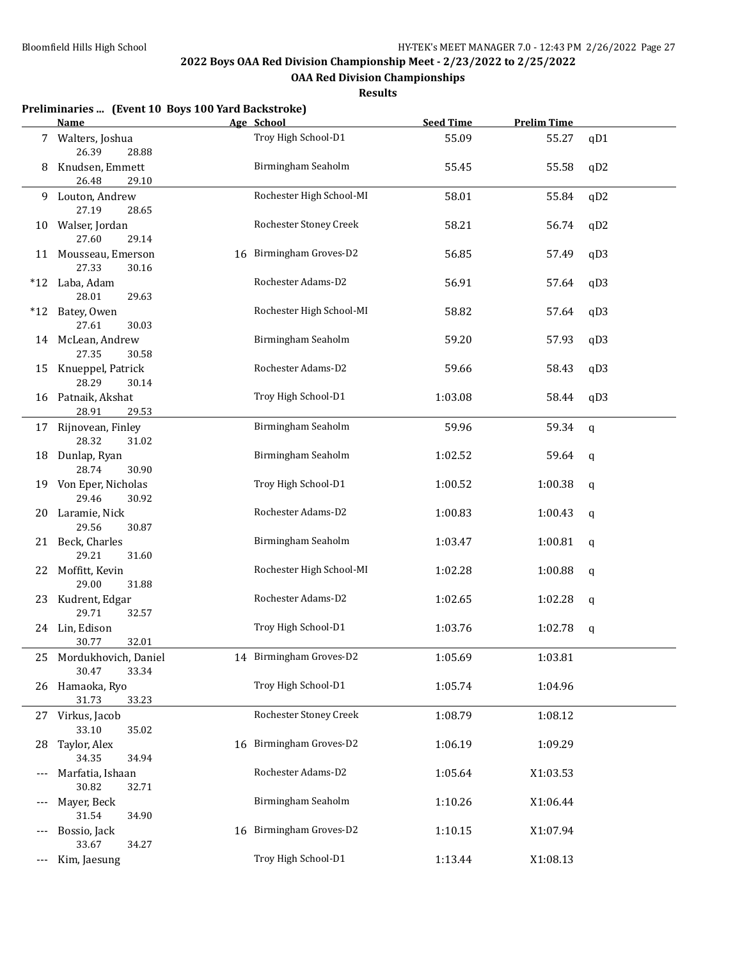**OAA Red Division Championships**

|     | Preliminaries  (Event 10 Boys 100 Yard Backstroke)   |                            |                  |                    |              |
|-----|------------------------------------------------------|----------------------------|------------------|--------------------|--------------|
|     | <b>Name</b>                                          | Age School                 | <b>Seed Time</b> | <b>Prelim Time</b> |              |
|     | 7 Walters, Joshua<br>26.39<br>28.88                  | Troy High School-D1        | 55.09            | 55.27              | qD1          |
| 8   | Knudsen, Emmett<br>26.48<br>29.10                    | Birmingham Seaholm         | 55.45            | 55.58              | qD2          |
| 9.  | Louton, Andrew<br>27.19<br>28.65                     | Rochester High School-MI   | 58.01            | 55.84              | qD2          |
| 10  | Walser, Jordan<br>27.60<br>29.14                     | Rochester Stoney Creek     | 58.21            | 56.74              | qD2          |
| 11  | Mousseau, Emerson<br>27.33<br>30.16                  | Birmingham Groves-D2<br>16 | 56.85            | 57.49              | qD3          |
| *12 | Laba, Adam<br>28.01<br>29.63                         | Rochester Adams-D2         | 56.91            | 57.64              | qD3          |
| *12 | Batey, Owen<br>27.61<br>30.03                        | Rochester High School-MI   | 58.82            | 57.64              | qD3          |
|     | 14 McLean, Andrew<br>27.35<br>30.58                  | Birmingham Seaholm         | 59.20            | 57.93              | qD3          |
| 15  | Knueppel, Patrick<br>28.29<br>30.14                  | Rochester Adams-D2         | 59.66            | 58.43              | qD3          |
| 16  | Patnaik, Akshat<br>28.91<br>29.53                    | Troy High School-D1        | 1:03.08          | 58.44              | qD3          |
|     | 17 Rijnovean, Finley<br>28.32<br>31.02               | Birmingham Seaholm         | 59.96            | 59.34              | $\mathsf{q}$ |
| 18  | Dunlap, Ryan<br>28.74<br>30.90                       | Birmingham Seaholm         | 1:02.52          | 59.64              | q            |
|     | 19 Von Eper, Nicholas<br>29.46<br>30.92              | Troy High School-D1        | 1:00.52          | 1:00.38            | q            |
| 20  | Laramie, Nick<br>29.56<br>30.87                      | Rochester Adams-D2         | 1:00.83          | 1:00.43            | q            |
|     | 21 Beck, Charles<br>29.21<br>31.60                   | Birmingham Seaholm         | 1:03.47          | 1:00.81            | $\mathbf q$  |
| 22  | Moffitt, Kevin<br>29.00<br>31.88                     | Rochester High School-MI   | 1:02.28          | 1:00.88            | q            |
| 23  | Kudrent, Edgar<br>29.71<br>32.57                     | Rochester Adams-D2         | 1:02.65          | 1:02.28            | q            |
|     | 24 Lin, Edison<br>30.77<br>32.01                     | Troy High School-D1        | 1:03.76          | 1:02.78            | q            |
|     | 25 Mordukhovich, Daniel<br>30.47<br>33.34            | 14 Birmingham Groves-D2    | 1:05.69          | 1:03.81            |              |
| 26  | Hamaoka, Ryo<br>31.73<br>33.23                       | Troy High School-D1        | 1:05.74          | 1:04.96            |              |
|     | 27 Virkus, Jacob<br>33.10<br>35.02                   | Rochester Stoney Creek     | 1:08.79          | 1:08.12            |              |
| 28  | Taylor, Alex                                         | 16 Birmingham Groves-D2    | 1:06.19          | 1:09.29            |              |
| --- | 34.35<br>34.94<br>Marfatia, Ishaan<br>30.82<br>32.71 | Rochester Adams-D2         | 1:05.64          | X1:03.53           |              |
| --- | Mayer, Beck<br>31.54<br>34.90                        | Birmingham Seaholm         | 1:10.26          | X1:06.44           |              |
|     | Bossio, Jack<br>33.67<br>34.27                       | Birmingham Groves-D2<br>16 | 1:10.15          | X1:07.94           |              |
| --- | Kim, Jaesung                                         | Troy High School-D1        | 1:13.44          | X1:08.13           |              |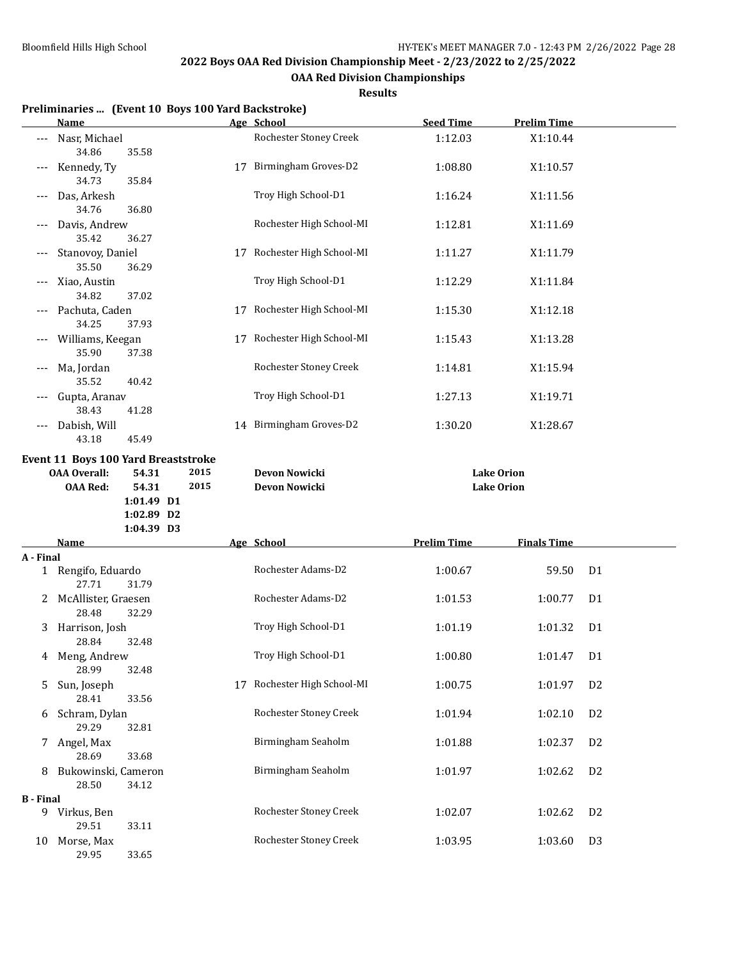**OAA Red Division Championships**

**Results**

#### **Preliminaries ... (Event 10 Boys 100 Yard Backstroke)**

|                  | <u>Name</u>                                                |                                   |      | Age School                                       | <b>Seed Time</b>   | <b>Prelim Time</b> |                |
|------------------|------------------------------------------------------------|-----------------------------------|------|--------------------------------------------------|--------------------|--------------------|----------------|
| ---              | Nasr, Michael<br>34.86                                     | 35.58                             |      | Rochester Stoney Creek                           | 1:12.03            | X1:10.44           |                |
|                  | Kennedy, Ty<br>34.73                                       | 35.84                             |      | 17 Birmingham Groves-D2                          | 1:08.80            | X1:10.57           |                |
|                  | Das, Arkesh<br>34.76                                       | 36.80                             |      | Troy High School-D1                              | 1:16.24            | X1:11.56           |                |
|                  | Davis, Andrew<br>35.42                                     | 36.27                             |      | Rochester High School-MI                         | 1:12.81            | X1:11.69           |                |
|                  | Stanovoy, Daniel<br>35.50                                  | 36.29                             |      | 17 Rochester High School-MI                      | 1:11.27            | X1:11.79           |                |
|                  | Xiao, Austin<br>34.82                                      | 37.02                             |      | Troy High School-D1                              | 1:12.29            | X1:11.84           |                |
|                  | Pachuta, Caden<br>34.25                                    | 37.93                             |      | 17 Rochester High School-MI                      | 1:15.30            | X1:12.18           |                |
|                  | Williams, Keegan<br>35.90                                  | 37.38                             |      | 17 Rochester High School-MI                      | 1:15.43            | X1:13.28           |                |
|                  | Ma, Jordan<br>35.52                                        | 40.42                             |      | Rochester Stoney Creek                           | 1:14.81            | X1:15.94           |                |
|                  | Gupta, Aranav<br>38.43                                     | 41.28                             |      | Troy High School-D1                              | 1:27.13            | X1:19.71           |                |
|                  | Dabish, Will<br>43.18                                      | 45.49                             |      | 14 Birmingham Groves-D2                          | 1:30.20            | X1:28.67           |                |
|                  | Event 11 Boys 100 Yard Breaststroke<br><b>OAA Overall:</b> | 54.31                             | 2015 | Devon Nowicki                                    |                    | <b>Lake Orion</b>  |                |
|                  | <b>OAA Red:</b>                                            | 54.31<br>1:01.49 D1<br>1:02.89 D2 | 2015 | Devon Nowicki                                    |                    | <b>Lake Orion</b>  |                |
|                  | Name                                                       | 1:04.39 D3                        |      | Age School                                       | <b>Prelim Time</b> | <b>Finals Time</b> |                |
| A - Final        |                                                            |                                   |      |                                                  |                    |                    |                |
|                  | 1 Rengifo, Eduardo<br>27.71                                | 31.79                             |      | Rochester Adams-D2                               | 1:00.67            | 59.50              | D <sub>1</sub> |
| 2                | McAllister, Graesen<br>28.48                               | 32.29                             |      | Rochester Adams-D2                               | 1:01.53            | 1:00.77            | D1             |
| 3                | Harrison, Josh<br>28.84                                    | 32.48                             |      | Troy High School-D1                              | 1:01.19            | 1:01.32            | D <sub>1</sub> |
|                  | 4 Meng, Andrew<br>28.99                                    | 32.48                             |      | Troy High School-D1                              | 1:00.80            | 1:01.47 D1         |                |
| 5.               | Sun, Joseph<br>28.41                                       | 33.56                             |      | 17 Rochester High School-MI                      | 1:00.75            | 1:01.97            | D <sub>2</sub> |
| 6                | Schram, Dylan<br>29.29                                     | 32.81                             |      | Rochester Stoney Creek                           | 1:01.94            | 1:02.10            | D <sub>2</sub> |
| 7                | Angel, Max<br>28.69                                        | 33.68                             |      | Birmingham Seaholm                               | 1:01.88            | 1:02.37            | D <sub>2</sub> |
| 8                | Bukowinski, Cameron<br>28.50                               | 34.12                             |      | Birmingham Seaholm                               | 1:01.97            | 1:02.62            | D <sub>2</sub> |
|                  |                                                            |                                   |      |                                                  |                    |                    |                |
| <b>B</b> - Final | 9 Virkus, Ben<br>29.51                                     | 33.11                             |      | Rochester Stoney Creek<br>Rochester Stoney Creek | 1:02.07            | 1:02.62            | D <sub>2</sub> |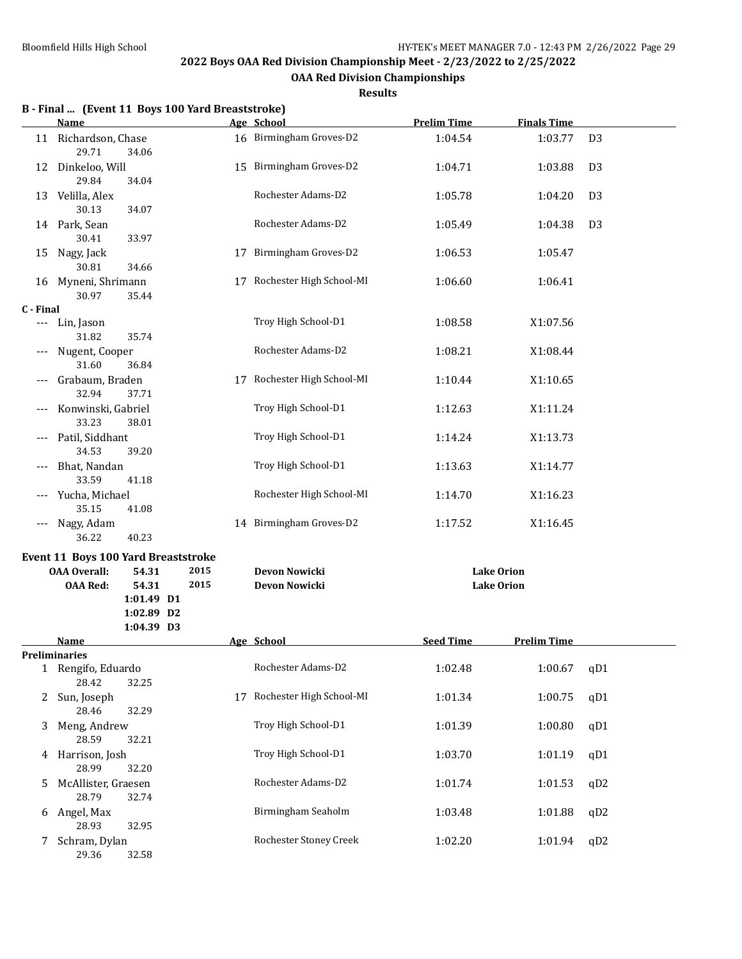**OAA Red Division Championships**

|                     | B - Final  (Event 11 Boys 100 Yard Breaststroke)<br><b>Name</b> |    | Age School                  | <b>Prelim Time</b> | <b>Finals Time</b> |                |
|---------------------|-----------------------------------------------------------------|----|-----------------------------|--------------------|--------------------|----------------|
|                     | 11 Richardson, Chase                                            |    | 16 Birmingham Groves-D2     | 1:04.54            | 1:03.77            | D <sub>3</sub> |
|                     | 29.71<br>34.06                                                  |    |                             |                    |                    |                |
| 12                  | Dinkeloo, Will<br>29.84<br>34.04                                |    | 15 Birmingham Groves-D2     | 1:04.71            | 1:03.88            | D <sub>3</sub> |
| 13                  | Velilla, Alex<br>30.13<br>34.07                                 |    | Rochester Adams-D2          | 1:05.78            | 1:04.20            | D <sub>3</sub> |
|                     | 14 Park, Sean<br>30.41<br>33.97                                 |    | Rochester Adams-D2          | 1:05.49            | 1:04.38            | D <sub>3</sub> |
| 15                  | Nagy, Jack<br>30.81<br>34.66                                    | 17 | Birmingham Groves-D2        | 1:06.53            | 1:05.47            |                |
| 16                  | Myneni, Shrimann<br>30.97<br>35.44                              |    | 17 Rochester High School-MI | 1:06.60            | 1:06.41            |                |
| C - Final           |                                                                 |    |                             |                    |                    |                |
|                     | --- Lin, Jason<br>31.82<br>35.74                                |    | Troy High School-D1         | 1:08.58            | X1:07.56           |                |
| $\qquad \qquad - -$ | Nugent, Cooper<br>31.60<br>36.84                                |    | Rochester Adams-D2          | 1:08.21            | X1:08.44           |                |
|                     | Grabaum, Braden<br>32.94<br>37.71                               |    | 17 Rochester High School-MI | 1:10.44            | X1:10.65           |                |
|                     | Konwinski, Gabriel<br>33.23<br>38.01                            |    | Troy High School-D1         | 1:12.63            | X1:11.24           |                |
|                     | Patil, Siddhant<br>34.53<br>39.20                               |    | Troy High School-D1         | 1:14.24            | X1:13.73           |                |
|                     | Bhat, Nandan<br>33.59<br>41.18                                  |    | Troy High School-D1         | 1:13.63            | X1:14.77           |                |
|                     | Yucha, Michael<br>35.15<br>41.08                                |    | Rochester High School-MI    | 1:14.70            | X1:16.23           |                |
| $---$               | Nagy, Adam<br>40.23<br>36.22                                    |    | 14 Birmingham Groves-D2     | 1:17.52            | X1:16.45           |                |
|                     | <b>Event 11 Boys 100 Yard Breaststroke</b>                      |    |                             |                    |                    |                |
|                     | 2015<br><b>OAA Overall:</b><br>54.31                            |    | Devon Nowicki               |                    | <b>Lake Orion</b>  |                |
|                     | 2015<br><b>OAA Red:</b><br>54.31<br>1:01.49 D1<br>1:02.89 D2    |    | Devon Nowicki               |                    | <b>Lake Orion</b>  |                |
|                     | 1:04.39 D3                                                      |    |                             |                    |                    |                |
|                     | Name                                                            |    | Age School                  | <b>Seed Time</b>   | <b>Prelim Time</b> |                |
|                     | <b>Preliminaries</b><br>1 Rengifo, Eduardo                      |    | Rochester Adams-D2          | 1:02.48            | 1:00.67            | qD1            |
| 2                   | 28.42<br>32.25<br>Sun, Joseph                                   | 17 | Rochester High School-MI    | 1:01.34            | 1:00.75            | qD1            |
| 3                   | 28.46<br>32.29<br>Meng, Andrew                                  |    | Troy High School-D1         | 1:01.39            | 1:00.80            | qD1            |
| 4                   | 28.59<br>32.21<br>Harrison, Josh                                |    | Troy High School-D1         | 1:03.70            | 1:01.19            | qD1            |
| 5                   | 28.99<br>32.20<br>McAllister, Graesen                           |    | Rochester Adams-D2          | 1:01.74            | 1:01.53            | qD2            |
| 6                   | 28.79<br>32.74<br>Angel, Max                                    |    | Birmingham Seaholm          | 1:03.48            | 1:01.88            | qD2            |
| 7                   | 28.93<br>32.95<br>Schram, Dylan<br>29.36<br>32.58               |    | Rochester Stoney Creek      | 1:02.20            | 1:01.94            | qD2            |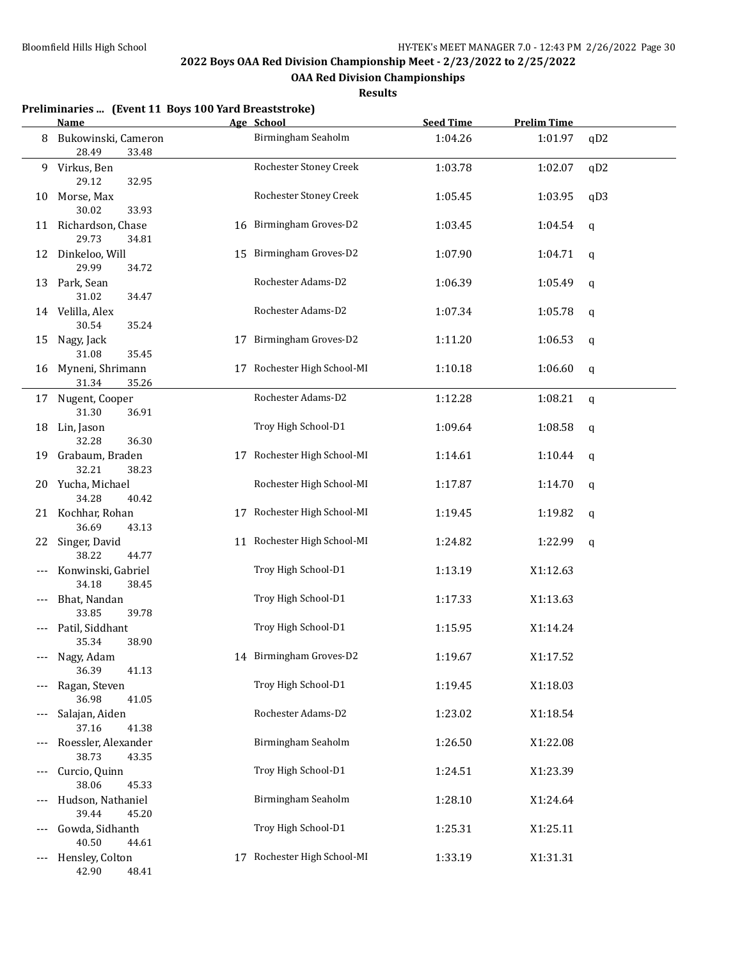**OAA Red Division Championships**

|     | Preliminaries  (Event 11 Boys 100 Yard Breaststroke)<br>Name |    | Age School                  | <b>Seed Time</b> | <b>Prelim Time</b> |     |
|-----|--------------------------------------------------------------|----|-----------------------------|------------------|--------------------|-----|
| 8   | Bukowinski, Cameron<br>28.49<br>33.48                        |    | Birmingham Seaholm          | 1:04.26          | 1:01.97            | qD2 |
|     | 9 Virkus, Ben<br>29.12<br>32.95                              |    | Rochester Stoney Creek      | 1:03.78          | 1:02.07            | qD2 |
| 10  | Morse, Max<br>30.02<br>33.93                                 |    | Rochester Stoney Creek      | 1:05.45          | 1:03.95            | qD3 |
|     | 11 Richardson, Chase<br>29.73<br>34.81                       |    | 16 Birmingham Groves-D2     | 1:03.45          | 1:04.54            | q   |
|     | 12 Dinkeloo, Will<br>29.99<br>34.72                          | 15 | Birmingham Groves-D2        | 1:07.90          | 1:04.71            | q   |
| 13  | Park, Sean<br>31.02<br>34.47                                 |    | Rochester Adams-D2          | 1:06.39          | 1:05.49            | q   |
|     | 14 Velilla, Alex<br>30.54<br>35.24                           |    | Rochester Adams-D2          | 1:07.34          | 1:05.78            | q   |
| 15  | Nagy, Jack                                                   |    | 17 Birmingham Groves-D2     | 1:11.20          | 1:06.53            | q   |
| 16  | 31.08<br>35.45<br>Myneni, Shrimann<br>35.26<br>31.34         |    | 17 Rochester High School-MI | 1:10.18          | 1:06.60            | q   |
|     | 17 Nugent, Cooper                                            |    | Rochester Adams-D2          | 1:12.28          | 1:08.21            | q   |
| 18  | 31.30<br>36.91<br>Lin, Jason<br>36.30                        |    | Troy High School-D1         | 1:09.64          | 1:08.58            | q   |
| 19  | 32.28<br>Grabaum, Braden                                     |    | 17 Rochester High School-MI | 1:14.61          | 1:10.44            | q   |
|     | 32.21<br>38.23<br>20 Yucha, Michael<br>34.28                 |    | Rochester High School-MI    | 1:17.87          | 1:14.70            | q   |
|     | 40.42<br>21 Kochhar, Rohan                                   | 17 | Rochester High School-MI    | 1:19.45          | 1:19.82            | q   |
| 22  | 36.69<br>43.13<br>Singer, David                              | 11 | Rochester High School-MI    | 1:24.82          | 1:22.99            | q   |
| --- | 38.22<br>44.77<br>Konwinski, Gabriel                         |    | Troy High School-D1         | 1:13.19          | X1:12.63           |     |
|     | 34.18<br>38.45<br>Bhat, Nandan<br>39.78                      |    | Troy High School-D1         | 1:17.33          | X1:13.63           |     |
|     | 33.85<br>Patil, Siddhant                                     |    | Troy High School-D1         | 1:15.95          | X1:14.24           |     |
|     | 38.90<br>35.34<br>Nagy, Adam<br>36.39                        |    | 14 Birmingham Groves-D2     | 1:19.67          | X1:17.52           |     |
| --- | 41.13<br>Ragan, Steven<br>36.98                              |    | Troy High School-D1         | 1:19.45          | X1:18.03           |     |
| --- | 41.05<br>Salajan, Aiden                                      |    | Rochester Adams-D2          | 1:23.02          | X1:18.54           |     |
|     | 37.16<br>41.38<br>Roessler, Alexander                        |    | Birmingham Seaholm          | 1:26.50          | X1:22.08           |     |
|     | 38.73<br>43.35<br>Curcio, Quinn                              |    | Troy High School-D1         | 1:24.51          | X1:23.39           |     |
| --- | 38.06<br>45.33<br>Hudson, Nathaniel                          |    | Birmingham Seaholm          | 1:28.10          | X1:24.64           |     |
|     | 39.44<br>45.20<br>Gowda, Sidhanth                            |    | Troy High School-D1         | 1:25.31          | X1:25.11           |     |
|     | 40.50<br>44.61<br>Hensley, Colton<br>42.90<br>48.41          |    | 17 Rochester High School-MI | 1:33.19          | X1:31.31           |     |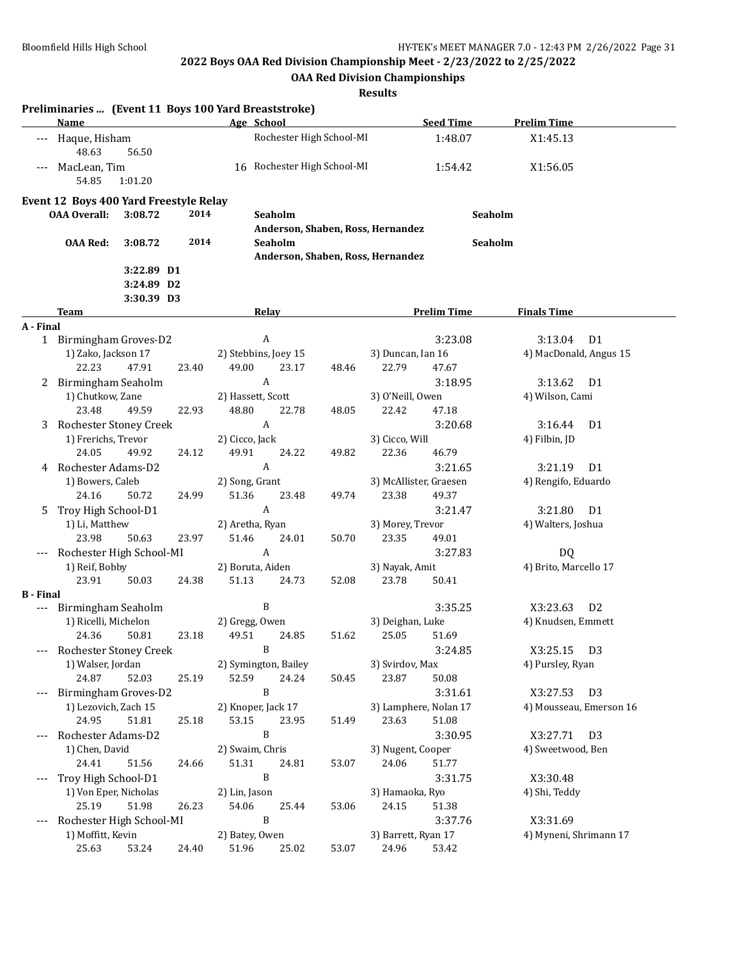**OAA Red Division Championships**

|                  | Name                                   |                          |       |                         | Preliminaries  (Event 11 Boys 100 Yard Breaststroke)<br>Age School |       |                                 | <b>Seed Time</b>               | <b>Prelim Time</b>         |
|------------------|----------------------------------------|--------------------------|-------|-------------------------|--------------------------------------------------------------------|-------|---------------------------------|--------------------------------|----------------------------|
|                  | --- Haque, Hisham<br>48.63             | 56.50                    |       |                         | Rochester High School-MI                                           |       |                                 | 1:48.07                        | X1:45.13                   |
|                  | MacLean, Tim<br>54.85                  | 1:01.20                  |       |                         | 16 Rochester High School-MI                                        |       |                                 | 1:54.42                        | X1:56.05                   |
|                  | Event 12 Boys 400 Yard Freestyle Relay |                          |       |                         |                                                                    |       |                                 |                                |                            |
|                  | <b>OAA Overall:</b>                    | 3:08.72                  | 2014  |                         | Seaholm                                                            |       |                                 |                                | Seaholm                    |
|                  |                                        |                          |       |                         | Anderson, Shaben, Ross, Hernandez                                  |       |                                 |                                |                            |
|                  | <b>OAA Red:</b>                        | 3:08.72                  | 2014  |                         | Seaholm                                                            |       |                                 |                                | Seaholm                    |
|                  |                                        |                          |       |                         | Anderson, Shaben, Ross, Hernandez                                  |       |                                 |                                |                            |
|                  |                                        | 3:22.89 D1<br>3:24.89 D2 |       |                         |                                                                    |       |                                 |                                |                            |
|                  |                                        | 3:30.39 D3               |       |                         |                                                                    |       |                                 |                                |                            |
|                  | Team                                   |                          |       |                         | Relay                                                              |       |                                 | <b>Prelim Time</b>             | <b>Finals Time</b>         |
| A - Final        |                                        |                          |       |                         |                                                                    |       |                                 |                                |                            |
|                  | 1 Birmingham Groves-D2                 |                          |       |                         | $\boldsymbol{A}$                                                   |       |                                 | 3:23.08                        | 3:13.04<br>D <sub>1</sub>  |
|                  | 1) Zako, Jackson 17                    |                          |       |                         | 2) Stebbins, Joey 15                                               |       | 3) Duncan, Ian 16               |                                | 4) MacDonald, Angus 15     |
|                  | 22.23                                  | 47.91                    | 23.40 | 49.00                   | 23.17                                                              | 48.46 | 22.79                           | 47.67                          |                            |
|                  | 2 Birmingham Seaholm                   |                          |       |                         | A                                                                  |       |                                 | 3:18.95                        | 3:13.62<br>D <sub>1</sub>  |
|                  | 1) Chutkow, Zane                       |                          |       |                         | 2) Hassett, Scott                                                  |       | 3) O'Neill, Owen                |                                | 4) Wilson, Cami            |
|                  | 23.48                                  | 49.59                    | 22.93 | 48.80                   | 22.78                                                              | 48.05 | 22.42                           | 47.18                          |                            |
| 3                | Rochester Stoney Creek                 |                          |       |                         | $\boldsymbol{A}$                                                   |       |                                 | 3:20.68                        | 3:16.44<br>D <sub>1</sub>  |
|                  | 1) Frerichs, Trevor                    |                          |       | 2) Cicco, Jack          |                                                                    |       | 3) Cicco, Will                  |                                | 4) Filbin, JD              |
|                  | 24.05                                  | 49.92                    | 24.12 | 49.91                   | 24.22                                                              | 49.82 | 22.36                           | 46.79                          |                            |
| 4                | Rochester Adams-D2                     |                          |       |                         | A                                                                  |       |                                 | 3:21.65                        | 3:21.19<br>D1              |
|                  | 1) Bowers, Caleb<br>24.16              | 50.72                    | 24.99 | 2) Song, Grant<br>51.36 | 23.48                                                              | 49.74 | 3) McAllister, Graesen<br>23.38 | 49.37                          | 4) Rengifo, Eduardo        |
| 5                | Troy High School-D1                    |                          |       |                         | $\boldsymbol{A}$                                                   |       |                                 | 3:21.47                        | 3:21.80<br>D <sub>1</sub>  |
|                  | 1) Li, Matthew                         |                          |       |                         | 2) Aretha, Ryan                                                    |       | 3) Morey, Trevor                |                                | 4) Walters, Joshua         |
|                  | 23.98                                  | 50.63                    | 23.97 | 51.46                   | 24.01                                                              | 50.70 | 23.35                           | 49.01                          |                            |
| ---              | Rochester High School-MI               |                          |       |                         | $\boldsymbol{A}$                                                   |       |                                 | 3:27.83                        | DQ                         |
|                  | 1) Reif, Bobby                         |                          |       |                         | 2) Boruta, Aiden                                                   |       | 3) Nayak, Amit                  |                                | 4) Brito, Marcello 17      |
|                  | 23.91                                  | 50.03                    | 24.38 | 51.13                   | 24.73                                                              | 52.08 | 23.78                           | 50.41                          |                            |
| <b>B</b> - Final |                                        |                          |       |                         |                                                                    |       |                                 |                                |                            |
| ---              | Birmingham Seaholm                     |                          |       |                         | B                                                                  |       |                                 | 3:35.25                        | X3:23.63<br>D <sub>2</sub> |
|                  | 1) Ricelli, Michelon                   |                          |       |                         | 2) Gregg, Owen                                                     |       | 3) Deighan, Luke                |                                | 4) Knudsen, Emmett         |
|                  | 24.36                                  | 50.81                    | 23.18 | 49.51                   | 24.85                                                              | 51.62 | 25.05                           | 51.69                          |                            |
|                  | Rochester Stoney Creek                 |                          |       |                         | B                                                                  |       |                                 | 3:24.85                        | X3:25.15 D3                |
|                  | 1) Walser, Jordan                      |                          |       |                         | 2) Symington, Bailey                                               |       | 3) Svirdov, Max                 |                                | 4) Pursley, Ryan           |
|                  | 24.87                                  | 52.03                    | 25.19 | 52.59                   | 24.24                                                              | 50.45 | 23.87                           | 50.08                          |                            |
| ---              | Birmingham Groves-D2                   |                          |       |                         | B                                                                  |       |                                 | 3:31.61                        | D <sub>3</sub><br>X3:27.53 |
|                  | 1) Lezovich, Zach 15<br>24.95          | 51.81                    | 25.18 | 53.15                   | 2) Knoper, Jack 17<br>23.95                                        | 51.49 | 23.63                           | 3) Lamphere, Nolan 17<br>51.08 | 4) Mousseau, Emerson 16    |
|                  | Rochester Adams-D2                     |                          |       |                         | B                                                                  |       |                                 | 3:30.95                        | X3:27.71<br>D <sub>3</sub> |
|                  | 1) Chen, David                         |                          |       |                         | 2) Swaim, Chris                                                    |       | 3) Nugent, Cooper               |                                | 4) Sweetwood, Ben          |
|                  | 24.41                                  | 51.56                    | 24.66 | 51.31                   | 24.81                                                              | 53.07 | 24.06                           | 51.77                          |                            |
| ---              | Troy High School-D1                    |                          |       |                         | B                                                                  |       |                                 | 3:31.75                        | X3:30.48                   |
|                  | 1) Von Eper, Nicholas                  |                          |       | 2) Lin, Jason           |                                                                    |       | 3) Hamaoka, Ryo                 |                                | 4) Shi, Teddy              |
|                  | 25.19                                  | 51.98                    | 26.23 | 54.06                   | 25.44                                                              | 53.06 | 24.15                           | 51.38                          |                            |
|                  | Rochester High School-MI               |                          |       |                         | B                                                                  |       |                                 | 3:37.76                        | X3:31.69                   |
|                  | 1) Moffitt, Kevin                      |                          |       | 2) Batey, Owen          |                                                                    |       | 3) Barrett, Ryan 17             |                                | 4) Myneni, Shrimann 17     |
|                  | 25.63                                  | 53.24                    | 24.40 | 51.96                   | 25.02                                                              | 53.07 | 24.96                           | 53.42                          |                            |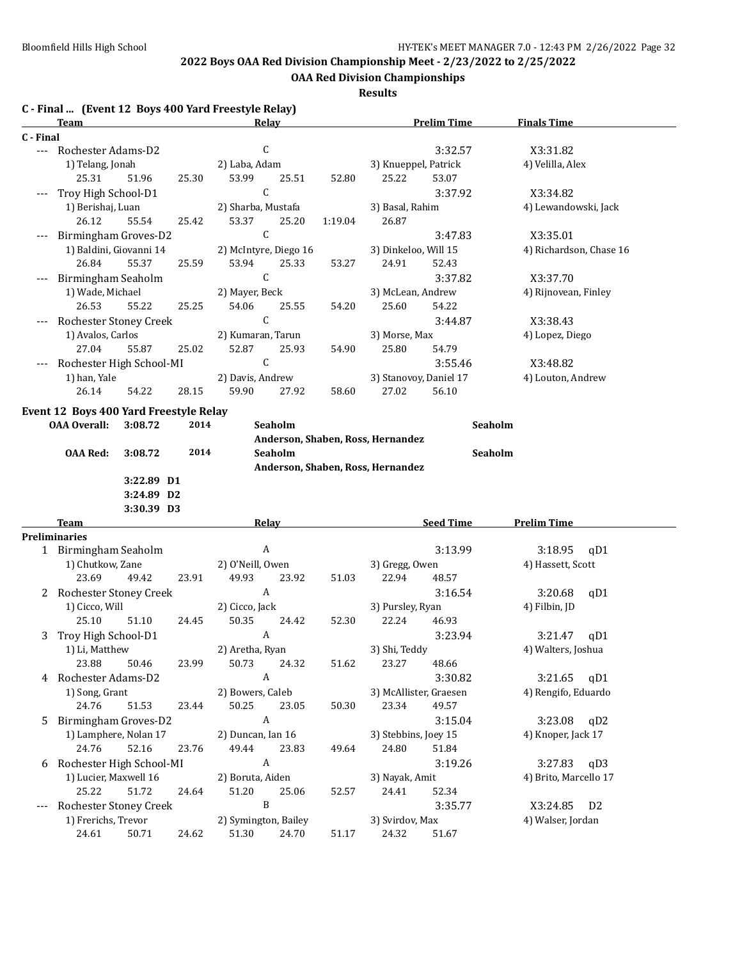**OAA Red Division Championships**

#### **Results**

**C - Final ... (Event 12 Boys 400 Yard Freestyle Relay)**

|           | <u>Team</u>                            |                          |       |                           | <b>Relay</b> |         |                                   | <b>Prelim Time</b>     | <b>Finals Time</b>            |  |
|-----------|----------------------------------------|--------------------------|-------|---------------------------|--------------|---------|-----------------------------------|------------------------|-------------------------------|--|
| C - Final |                                        |                          |       |                           |              |         |                                   |                        |                               |  |
|           | --- Rochester Adams-D2                 |                          |       | $\mathsf{C}$              |              |         |                                   | 3:32.57                | X3:31.82                      |  |
|           | 1) Telang, Jonah                       |                          |       | 2) Laba, Adam             |              |         | 3) Knueppel, Patrick              |                        | 4) Velilla, Alex              |  |
|           | 25.31                                  | 51.96                    | 25.30 | 53.99                     | 25.51        | 52.80   | 25.22                             | 53.07                  |                               |  |
|           | Troy High School-D1                    |                          |       | $\mathsf C$               |              |         |                                   | 3:37.92                | X3:34.82                      |  |
|           | 1) Berishaj, Luan                      |                          |       | 2) Sharba, Mustafa        |              |         | 3) Basal, Rahim                   |                        | 4) Lewandowski, Jack          |  |
|           | 26.12                                  | 55.54                    | 25.42 | 53.37                     | 25.20        | 1:19.04 | 26.87                             |                        |                               |  |
|           | Birmingham Groves-D2                   |                          |       | $\mathsf C$               |              |         |                                   | 3:47.83                | X3:35.01                      |  |
|           | 1) Baldini, Giovanni 14                |                          |       | 2) McIntyre, Diego 16     |              |         | 3) Dinkeloo, Will 15              |                        | 4) Richardson, Chase 16       |  |
|           | 26.84                                  | 55.37                    | 25.59 | 53.94                     | 25.33        | 53.27   | 24.91                             | 52.43                  |                               |  |
|           | Birmingham Seaholm                     |                          |       | $\mathsf C$               |              |         |                                   | 3:37.82                | X3:37.70                      |  |
|           | 1) Wade, Michael                       |                          |       | 2) Mayer, Beck            |              |         | 3) McLean, Andrew                 |                        | 4) Rijnovean, Finley          |  |
|           | 26.53                                  | 55.22                    | 25.25 | 54.06                     | 25.55        | 54.20   | 25.60                             | 54.22                  |                               |  |
|           | Rochester Stoney Creek                 |                          |       | $\mathsf C$               |              |         |                                   | 3:44.87                | X3:38.43                      |  |
|           | 1) Avalos, Carlos                      |                          |       | 2) Kumaran, Tarun         |              |         | 3) Morse, Max                     |                        | 4) Lopez, Diego               |  |
|           | 27.04                                  | 55.87                    | 25.02 | 52.87                     | 25.93        | 54.90   | 25.80                             | 54.79                  |                               |  |
|           | Rochester High School-MI               |                          |       | $\mathsf{C}$              |              |         |                                   | 3:55.46                | X3:48.82                      |  |
|           | 1) han, Yale                           |                          |       | 2) Davis, Andrew          |              |         |                                   | 3) Stanovoy, Daniel 17 | 4) Louton, Andrew             |  |
|           | 26.14                                  | 54.22                    | 28.15 | 59.90                     | 27.92        | 58.60   | 27.02                             | 56.10                  |                               |  |
|           |                                        |                          |       |                           |              |         |                                   |                        |                               |  |
|           | Event 12 Boys 400 Yard Freestyle Relay |                          |       |                           |              |         |                                   |                        |                               |  |
|           | <b>OAA Overall:</b>                    | 3:08.72                  | 2014  |                           | Seaholm      |         |                                   | Seaholm                |                               |  |
|           |                                        |                          |       |                           |              |         | Anderson, Shaben, Ross, Hernandez |                        |                               |  |
|           | <b>OAA Red:</b>                        | 3:08.72                  | 2014  |                           | Seaholm      |         |                                   | Seaholm                |                               |  |
|           |                                        |                          |       |                           |              |         | Anderson, Shaben, Ross, Hernandez |                        |                               |  |
|           |                                        | 3:22.89 D1               |       |                           |              |         |                                   |                        |                               |  |
|           |                                        | 3:24.89 D2<br>3:30.39 D3 |       |                           |              |         |                                   |                        |                               |  |
|           | Team                                   |                          |       |                           | Relay        |         |                                   | <b>Seed Time</b>       | <b>Prelim Time</b>            |  |
|           | <b>Preliminaries</b>                   |                          |       |                           |              |         |                                   |                        |                               |  |
|           | 1 Birmingham Seaholm                   |                          |       | A                         |              |         |                                   | 3:13.99                | 3:18.95<br>qD1                |  |
|           | 1) Chutkow, Zane                       |                          |       | 2) O'Neill, Owen          |              |         | 3) Gregg, Owen                    |                        | 4) Hassett, Scott             |  |
|           | 23.69                                  | 49.42                    | 23.91 | 49.93                     | 23.92        | 51.03   | 22.94                             | 48.57                  |                               |  |
|           | 2 Rochester Stoney Creek               |                          |       | $\mathbf{A}$              |              |         |                                   | 3:16.54                | 3:20.68<br>qD1                |  |
|           | 1) Cicco, Will                         |                          |       | 2) Cicco, Jack            |              |         | 3) Pursley, Ryan                  |                        | 4) Filbin, JD                 |  |
|           | 25.10                                  | 51.10                    | 24.45 | 50.35                     | 24.42        | 52.30   | 22.24                             | 46.93                  |                               |  |
| 3         | Troy High School-D1                    |                          |       | $\boldsymbol{A}$          |              |         |                                   | 3:23.94                | 3:21.47<br>qD1                |  |
|           | 1) Li, Matthew                         |                          |       | 2) Aretha, Ryan           |              |         | 3) Shi, Teddy                     |                        | 4) Walters, Joshua            |  |
|           | 23.88                                  | 50.46                    | 23.99 | 50.73                     | 24.32        | 51.62   | 23.27                             | 48.66                  |                               |  |
| 4         | Rochester Adams-D2                     |                          |       | $\boldsymbol{\mathsf{A}}$ |              |         |                                   | 3:30.82                | 3:21.65<br>qD1                |  |
|           | 1) Song, Grant                         |                          |       | 2) Bowers, Caleb          |              |         |                                   | 3) McAllister, Graesen | 4) Rengifo, Eduardo           |  |
|           | 24.76                                  | 51.53                    | 23.44 | 50.25                     | 23.05        | 50.30   | 23.34                             | 49.57                  |                               |  |
| 5.        | Birmingham Groves-D2                   |                          |       | $\boldsymbol{A}$          |              |         |                                   | 3:15.04                | 3:23.08<br>qD2                |  |
|           | 1) Lamphere, Nolan 17                  |                          |       | 2) Duncan, Ian 16         |              |         | 3) Stebbins, Joey 15              |                        | 4) Knoper, Jack 17            |  |
|           | 24.76                                  | 52.16                    | 23.76 | 49.44                     | 23.83        | 49.64   | 24.80                             | 51.84                  |                               |  |
|           | Rochester High School-MI               |                          |       | $\mathbf{A}$              |              |         |                                   | 3:19.26                | 3:27.83<br>qD3                |  |
| 6         | 1) Lucier, Maxwell 16                  |                          |       | 2) Boruta, Aiden          |              |         | 3) Nayak, Amit                    |                        | 4) Brito, Marcello 17         |  |
|           | 25.22                                  | 51.72                    | 24.64 | 51.20                     | 25.06        | 52.57   | 24.41                             | 52.34                  |                               |  |
|           | Rochester Stoney Creek                 |                          |       | B                         |              |         |                                   | 3:35.77                | D <sub>2</sub>                |  |
|           | 1) Frerichs, Trevor                    |                          |       | 2) Symington, Bailey      |              |         | 3) Svirdov, Max                   |                        | X3:24.85<br>4) Walser, Jordan |  |
|           | 24.61                                  | 50.71                    | 24.62 | 51.30                     | 24.70        | 51.17   | 24.32                             | 51.67                  |                               |  |
|           |                                        |                          |       |                           |              |         |                                   |                        |                               |  |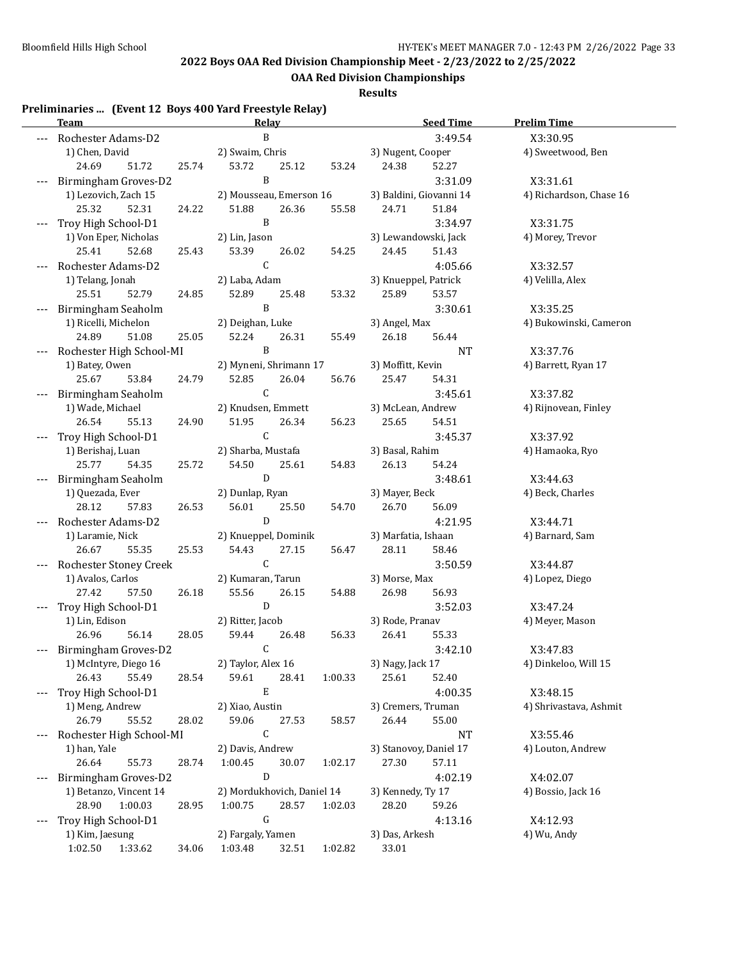**OAA Red Division Championships**

**Results**

#### **Preliminaries ... (Event 12 Boys 400 Yard Freestyle Relay)**

|     | <u>Team</u>                             |                   | <b>Relay</b>                  |                      |                   |                         | <b>Seed Time</b>   | <b>Prelim Time</b>          |
|-----|-----------------------------------------|-------------------|-------------------------------|----------------------|-------------------|-------------------------|--------------------|-----------------------------|
|     | Rochester Adams-D2                      | B                 |                               |                      | 3:49.54           |                         | X3:30.95           |                             |
|     | 1) Chen, David                          |                   | 2) Swaim, Chris               |                      |                   | 3) Nugent, Cooper       |                    | 4) Sweetwood, Ben           |
|     | 24.69<br>51.72                          | 25.74             | 53.72                         | 25.12                | 53.24             | 24.38                   | 52.27              |                             |
|     | Birmingham Groves-D2                    |                   | $\, {\bf B}$                  |                      |                   |                         | 3:31.09            | X3:31.61                    |
|     | 1) Lezovich, Zach 15                    |                   | 2) Mousseau, Emerson 16       |                      |                   | 3) Baldini, Giovanni 14 |                    | 4) Richardson, Chase 16     |
|     | 25.32<br>52.31                          | 24.22             | 51.88                         | 26.36                | 55.58             | 24.71                   | 51.84              |                             |
|     | Troy High School-D1                     |                   | B                             |                      |                   |                         | 3:34.97            | X3:31.75                    |
|     | 1) Von Eper, Nicholas                   |                   | 2) Lin, Jason                 |                      |                   | 3) Lewandowski, Jack    |                    | 4) Morey, Trevor            |
|     | 52.68<br>25.41                          | 25.43             | 53.39                         | 26.02                | 54.25             | 24.45                   | 51.43              |                             |
|     | $\mathsf C$<br>Rochester Adams-D2       |                   |                               |                      |                   | 4:05.66                 | X3:32.57           |                             |
|     | 1) Telang, Jonah                        | 2) Laba, Adam     |                               | 3) Knueppel, Patrick |                   | 4) Velilla, Alex        |                    |                             |
|     | 25.51<br>52.79                          | 24.85             | 52.89                         | 25.48                | 53.32             | 25.89                   | 53.57              |                             |
|     | Birmingham Seaholm                      |                   | B                             |                      |                   |                         | 3:30.61            | X3:35.25                    |
|     | 1) Ricelli, Michelon                    |                   | 2) Deighan, Luke              |                      |                   | 3) Angel, Max           |                    | 4) Bukowinski, Cameron      |
|     | 24.89<br>51.08                          | 25.05             | 52.24                         | 26.31                | 55.49             | 26.18                   | 56.44              |                             |
|     | Rochester High School-MI                |                   | $\, {\bf B}$                  |                      |                   |                         | NT                 | X3:37.76                    |
|     | 1) Batey, Owen                          |                   | 2) Myneni, Shrimann 17        |                      |                   | 3) Moffitt, Kevin       |                    | 4) Barrett, Ryan 17         |
|     | 25.67<br>53.84                          | 24.79             | 52.85                         | 26.04                | 56.76             | 25.47                   | 54.31              |                             |
|     | Birmingham Seaholm                      |                   | $\mathsf C$                   |                      |                   |                         | 3:45.61            | X3:37.82                    |
|     | 1) Wade, Michael                        |                   | 2) Knudsen, Emmett            |                      |                   | 3) McLean, Andrew       |                    | 4) Rijnovean, Finley        |
|     | 26.54<br>55.13                          | 24.90             | 51.95                         | 26.34                | 56.23             | 25.65                   | 54.51              |                             |
|     | Troy High School-D1                     |                   | $\mathsf C$                   |                      |                   |                         | 3:45.37            | X3:37.92                    |
|     | 1) Berishaj, Luan                       |                   | 2) Sharba, Mustafa            |                      |                   | 3) Basal, Rahim         |                    | 4) Hamaoka, Ryo             |
|     | 25.77<br>54.35                          | 25.72             | 54.50                         | 25.61                | 54.83             | 26.13                   | 54.24              |                             |
|     | ${\bf D}$<br>Birmingham Seaholm         |                   |                               |                      |                   |                         | 3:48.61            | X3:44.63                    |
|     | 1) Quezada, Ever                        |                   | 2) Dunlap, Ryan               |                      |                   | 3) Mayer, Beck          |                    | 4) Beck, Charles            |
|     | 28.12<br>57.83                          | 26.53             | 56.01<br>D                    | 25.50                | 54.70             | 26.70                   | 56.09              |                             |
|     | Rochester Adams-D2                      |                   |                               |                      |                   | 3) Marfatia, Ishaan     | 4:21.95            | X3:44.71<br>4) Barnard, Sam |
|     | 1) Laramie, Nick<br>26.67<br>55.35      | 25.53             | 2) Knueppel, Dominik<br>54.43 | 27.15                | 56.47             | 28.11                   | 58.46              |                             |
|     | Rochester Stoney Creek                  |                   | $\mathsf C$                   |                      |                   |                         | 3:50.59            | X3:44.87                    |
|     | 1) Avalos, Carlos                       |                   | 2) Kumaran, Tarun             |                      |                   | 3) Morse, Max           |                    | 4) Lopez, Diego             |
|     | 27.42<br>57.50                          | 26.18             | 55.56                         | 26.15                | 54.88             | 26.98                   | 56.93              |                             |
|     | Troy High School-D1                     |                   | ${\bf D}$                     |                      |                   |                         | 3:52.03            | X3:47.24                    |
|     | 1) Lin, Edison                          |                   | 2) Ritter, Jacob              |                      |                   | 3) Rode, Pranav         |                    | 4) Meyer, Mason             |
|     | 26.96<br>56.14                          | 28.05             | 59.44                         | 26.48                | 56.33             | 26.41                   | 55.33              |                             |
|     | Birmingham Groves-D2                    |                   | $\mathsf C$                   |                      |                   |                         | 3:42.10            | X3:47.83                    |
|     | 1) McIntyre, Diego 16                   |                   | 2) Taylor, Alex 16            |                      |                   | 3) Nagy, Jack 17        |                    | 4) Dinkeloo, Will 15        |
|     | 26.43<br>55.49                          | 28.54             | 59.61                         | 28.41                | 1:00.33           | 25.61                   | 52.40              |                             |
|     | Troy High School-D1                     |                   | ${\bf E}$                     |                      |                   |                         | 4:00.35            | X3:48.15                    |
|     | 1) Meng, Andrew                         |                   | 2) Xiao, Austin               |                      |                   | 3) Cremers, Truman      |                    | 4) Shrivastava, Ashmit      |
|     | 26.79<br>55.52<br>28.02<br>59.06        |                   | 27.53                         | 58.57                | 26.44             | 55.00                   |                    |                             |
| --- | $\mathsf C$<br>Rochester High School-MI |                   |                               |                      |                   |                         | NT                 | X3:55.46                    |
|     | 1) han, Yale                            |                   | 2) Davis, Andrew              |                      |                   | 3) Stanovoy, Daniel 17  |                    | 4) Louton, Andrew           |
|     | 26.64<br>55.73                          | 28.74             | 1:00.45                       | 30.07                | 1:02.17           | 27.30                   | 57.11              |                             |
| --- | Birmingham Groves-D2                    |                   | ${\bf D}$                     |                      |                   |                         | 4:02.19            | X4:02.07                    |
|     | 1) Betanzo, Vincent 14                  |                   | 2) Mordukhovich, Daniel 14    |                      | 3) Kennedy, Ty 17 |                         | 4) Bossio, Jack 16 |                             |
|     | 28.90<br>1:00.03                        | 28.95             | 1:00.75                       | 28.57                | 1:02.03           | 28.20                   | 59.26              |                             |
| --- | Troy High School-D1                     | G                 |                               |                      | 4:13.16           |                         | X4:12.93           |                             |
|     | 1) Kim, Jaesung                         | 2) Fargaly, Yamen |                               | 3) Das, Arkesh       |                   | 4) Wu, Andy             |                    |                             |
|     | 1:02.50<br>1:33.62                      | 34.06             | 1:03.48                       | 32.51                | 1:02.82           | 33.01                   |                    |                             |